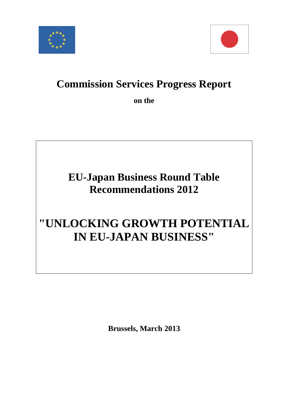



# **Commission Services Progress Report**

**on the** 

# **EU-Japan Business Round Table Recommendations 2012**

# **"UNLOCKING GROWTH POTENTIAL IN EU-JAPAN BUSINESS"**

**Brussels, March 2013**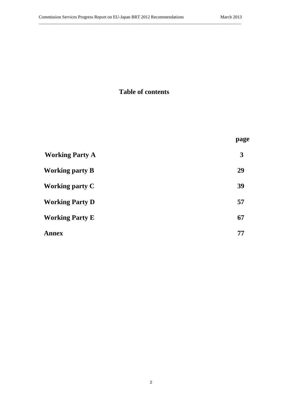## **Table of contents**

\_\_\_\_\_\_\_\_\_\_\_\_\_\_\_\_\_\_\_\_\_\_\_\_\_\_\_\_\_\_\_\_\_\_\_\_\_\_\_\_\_\_\_\_\_\_\_\_\_\_\_\_\_\_\_\_\_\_\_\_\_\_\_\_\_\_\_\_\_\_\_\_\_\_\_\_\_\_\_\_\_\_\_\_\_\_\_\_\_\_\_\_

|                        | page |
|------------------------|------|
| <b>Working Party A</b> | 3    |
| <b>Working party B</b> | 29   |
| <b>Working party C</b> | 39   |
| <b>Working Party D</b> | 57   |
| <b>Working Party E</b> | 67   |
| nnex                   | 77   |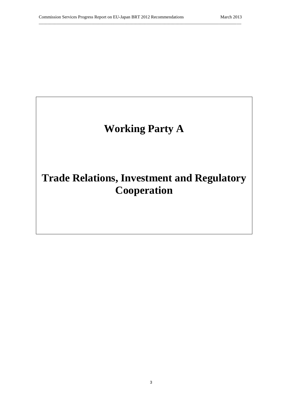## **Working Party A**

\_\_\_\_\_\_\_\_\_\_\_\_\_\_\_\_\_\_\_\_\_\_\_\_\_\_\_\_\_\_\_\_\_\_\_\_\_\_\_\_\_\_\_\_\_\_\_\_\_\_\_\_\_\_\_\_\_\_\_\_\_\_\_\_\_\_\_\_\_\_\_\_\_\_\_\_\_\_\_\_\_\_\_\_\_\_\_\_\_\_\_\_

# **Trade Relations, Investment and Regulatory Cooperation**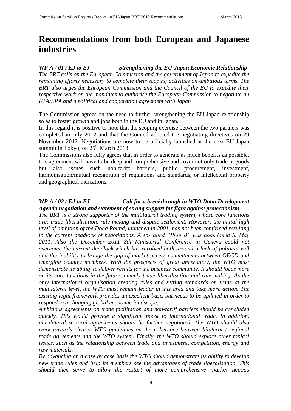## **Recommendations from both European and Japanese industries**

\_\_\_\_\_\_\_\_\_\_\_\_\_\_\_\_\_\_\_\_\_\_\_\_\_\_\_\_\_\_\_\_\_\_\_\_\_\_\_\_\_\_\_\_\_\_\_\_\_\_\_\_\_\_\_\_\_\_\_\_\_\_\_\_\_\_\_\_\_\_\_\_\_\_\_\_\_\_\_\_\_\_\_\_\_\_\_\_\_\_\_\_

*WP-A / 01 / EJ to EJ* Strengthening the EU-Japan Economic Relationship *The BRT calls on the European Commission and the government of Japan to expedite the remaining efforts necessary to complete their scoping activities on ambitious terms. The BRT also urges the European Commission and the Council of the EU to expedite their respective work on the mandates to authorise the European Commission to negotiate an FTA/EPA and a political and cooperation agreement with Japan* 

The Commission agrees on the need to further strengthening the EU-Japan relationship so as to foster growth and jobs both in the EU and in Japan.

In this regard it is positive to note that the scoping exercise between the two partners was completed in July 2012 and that the Council adopted the negotiating directives on 29 November 2012. Negotiations are now to be officially launched at the next EU-Japan summit in Tokyo, on  $25<sup>th</sup>$  March 2013.

The Commissions also fully agrees that in order to generate as much benefits as possible, this agreement will have to be deep and comprehensive and cover not only trade in goods but also issues such non-tariff barriers, public procurement, investment, harmonisation/mutual recognition of regulations and standards, or intellectual property and geographical indications.

#### *WP-A / 02 / EJ to EJ Call for a breakthrough in WTO Doha Development Agenda negotiation and statement of strong support for fight against protectionism*

*The BRT is a strong supporter of the multilateral trading system, whose core functions are: trade liberalisation, rule-making and dispute settlement. However, the initial high level of ambition of the Doha Round, launched in 2001, has not been confirmed resulting in the current deadlock of negotiations. A so-called "Plan B" was abandoned in May 2011. Also the December 2011 8th Ministerial Conference in Geneva could not overcome the current deadlock which has revolved both around a lack of political will and the inability to bridge the gap of market access commitments between OECD and emerging country members. With the prospects of great uncertainty, the WTO must demonstrate its ability to deliver results for the business community. It should focus more on its core functions in the future, namely trade liberalisation and rule making. As the only international organisation creating rules and setting standards on trade at the multilateral level, the WTO must remain leader in this area and take more action. The existing legal framework provides an excellent basis but needs to be updated in order to respond to a changing global economic landscape.* 

*Ambitious agreements on trade facilitation and non-tariff barriers should be concluded quickly. This would provide a significant boost to international trade. In addition, plurilateral sectoral agreements should be further negotiated. The WTO should also work towards clearer WTO guidelines on the coherence between bilateral / regional trade agreements and the WTO system. Finally, the WTO should explore other topical issues, such as the relationship between trade and investment, competition, energy and raw materials.* 

*By advancing on a case by case basis the WTO should demonstrate its ability to develop new trade rules and help its members see the advantages of trade liberalisation. This should then serve to allow the restart of more comprehensive market access*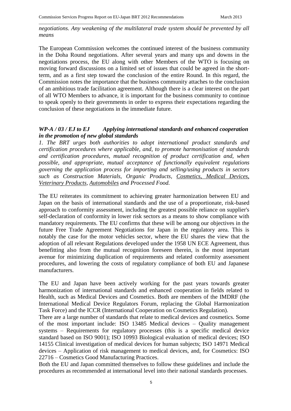*negotiations. Any weakening of the multilateral trade system should be prevented by all means*

\_\_\_\_\_\_\_\_\_\_\_\_\_\_\_\_\_\_\_\_\_\_\_\_\_\_\_\_\_\_\_\_\_\_\_\_\_\_\_\_\_\_\_\_\_\_\_\_\_\_\_\_\_\_\_\_\_\_\_\_\_\_\_\_\_\_\_\_\_\_\_\_\_\_\_\_\_\_\_\_\_\_\_\_\_\_\_\_\_\_\_\_

The European Commission welcomes the continued interest of the business community in the Doha Round negotiations. After several years and many ups and downs in the negotiations process, the EU along with other Members of the WTO is focusing on moving forward discussions on a limited set of issues that could be agreed in the shortterm, and as a first step toward the conclusion of the entire Round. In this regard, the Commission notes the importance that the business community attaches to the conclusion of an ambitious trade facilitation agreement. Although there is a clear interest on the part of all WTO Members to advance, it is important for the business community to continue to speak openly to their governments in order to express their expectations regarding the conclusion of these negotiations in the immediate future.

### *WP-A / 03 / EJ to EJ Applying international standards and enhanced cooperation in the promotion of new global standards*

*1. The BRT urges both authorities to adopt international product standards and certification procedures where applicable, and, to promote harmonisation of standards*  and certification procedures, mutual recognition of product certification and, when *possible, and appropriate, mutual acceptance of functionally equivalent regulations governing the application process for importing and selling/using products in sectors such as Construction Materials, Organic Products, Cosmetics, Medical Devices, Veterinary Products, Automobiles and Processed Food.* 

The EU reiterates its commitment to achieving greater harmonization between EU and Japan on the basis of international standards and the use of a proportionate, risk-based approach to conformity assessment, including the greatest possible reliance on supplier's self-declaration of conformity in lower risk sectors as a means to show compliance with mandatory requirements. The EU confirms that these will be among our objectives in the future Free Trade Agreement Negotiations for Japan in the regulatory area. This is notably the case for the motor vehicles sector, where the EU shares the view that the adoption of all relevant Regulations developed under the 1958 UN ECE Agreement, thus benefitting also from the mutual recognition foreseen therein, is the most important avenue for minimizing duplication of requirements and related conformity assessment procedures, and lowering the costs of regulatory compliance of both EU and Japanese manufacturers.

The EU and Japan have been actively working for the past years towards greater harmonization of international standards and enhanced cooperation in fields related to Health, such as Medical Devices and Cosmetics. Both are members of the IMDRF (the International Medical Device Regulators Forum, replacing the Global Harmonization Task Force) and the ICCR (International Cooperation on Cosmetics Regulation).

There are a large number of standards that relate to medical devices and cosmetics. Some of the most important include: ISO 13485 Medical devices – Quality management systems – Requirements for regulatory processes (this is a specific medical device standard based on ISO 9001); ISO 10993 Biological evaluation of medical devices; ISO 14155 Clinical investigation of medical devices for human subjects; ISO 14971 Medical devices – Application of risk management to medical devices, and, for Cosmetics: ISO 22716 – Cosmetics Good Manufacturing Practices.

Both the EU and Japan committed themselves to follow these guidelines and include the procedures as recommended at international level into their national standards processes.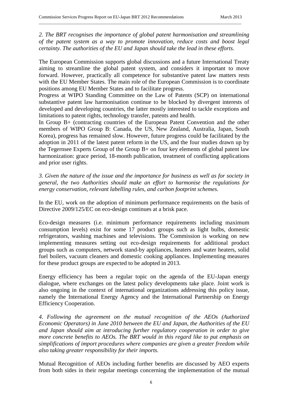*2. The BRT recognises the importance of global patent harmonisation and streamlining of the patent system as a way to promote innovation, reduce costs and boost legal certainty. The authorities of the EU and Japan should take the lead in these efforts.* 

\_\_\_\_\_\_\_\_\_\_\_\_\_\_\_\_\_\_\_\_\_\_\_\_\_\_\_\_\_\_\_\_\_\_\_\_\_\_\_\_\_\_\_\_\_\_\_\_\_\_\_\_\_\_\_\_\_\_\_\_\_\_\_\_\_\_\_\_\_\_\_\_\_\_\_\_\_\_\_\_\_\_\_\_\_\_\_\_\_\_\_\_

The European Commission supports global discussions and a future International Treaty aiming to streamline the global patent system, and considers it important to move forward. However, practically all competence for substantive patent law matters rests with the EU Member States. The main role of the European Commission is to coordinate positions among EU Member States and to facilitate progress.

Progress at WIPO Standing Committee on the Law of Patents (SCP) on international substantive patent law harmonisation continue to be blocked by divergent interests of developed and developing countries, the latter mostly interested to tackle exceptions and limitations to patent rights, technology transfer, patents and health.

In Group B+ (contracting countries of the European Patent Convention and the other members of WIPO Group B: Canada, the US, New Zealand, Australia, Japan, South Korea), progress has remained slow. However, future progress could be facilitated by the adoption in 2011 of the latest patent reform in the US, and the four studies drawn up by the Tegernsee Experts Group of the Group B+ on four key elements of global patent law harmonization: grace period, 18-month publication, treatment of conflicting applications and prior user rights.

*3. Given the nature of the issue and the importance for business as well as for society in general, the two Authorities should make an effort to harmonise the regulations for energy conservation, relevant labelling rules, and carbon footprint schemes.*

In the EU, work on the adoption of minimum performance requirements on the basis of Directive 2009/125/EC on eco-design continues at a brisk pace.

Eco-design measures (i.e. minimum performance requirements including maximum consumption levels) exist for some 17 product groups such as light bulbs, domestic refrigerators, washing machines and televisions. The Commission is working on new implementing measures setting out eco-design requirements for additional product groups such as computers, network stand-by appliances, heaters and water heaters, solid fuel boilers, vacuum cleaners and domestic cooking appliances. Implementing measures for these product groups are expected to be adopted in 2013.

Energy efficiency has been a regular topic on the agenda of the EU-Japan energy dialogue, where exchanges on the latest policy developments take place. Joint work is also ongoing in the context of international organizations addressing this policy issue, namely the International Energy Agency and the International Partnership on Energy Efficiency Cooperation.

*4. Following the agreement on the mutual recognition of the AEOs (Authorized Economic Operators) in June 2010 between the EU and Japan, the Authorities of the EU and Japan should aim at introducing further regulatory cooperation in order to give more concrete benefits to AEOs. The BRT would in this regard like to put emphasis on simplifications of import procedures where companies are given a greater freedom while also taking greater responsibility for their imports.* 

Mutual Recognition of AEOs including further benefits are discussed by AEO experts from both sides in their regular meetings concerning the implementation of the mutual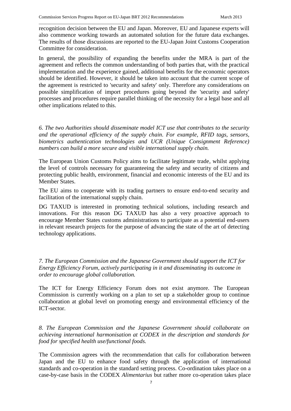recognition decision between the EU and Japan. Moreover, EU and Japanese experts will also commence working towards an automated solution for the future data exchanges. The results of those discussions are reported to the EU-Japan Joint Customs Cooperation Committee for consideration.

\_\_\_\_\_\_\_\_\_\_\_\_\_\_\_\_\_\_\_\_\_\_\_\_\_\_\_\_\_\_\_\_\_\_\_\_\_\_\_\_\_\_\_\_\_\_\_\_\_\_\_\_\_\_\_\_\_\_\_\_\_\_\_\_\_\_\_\_\_\_\_\_\_\_\_\_\_\_\_\_\_\_\_\_\_\_\_\_\_\_\_\_

In general, the possibility of expanding the benefits under the MRA is part of the agreement and reflects the common understanding of both parties that, with the practical implementation and the experience gained, additional benefits for the economic operators should be identified. However, it should be taken into account that the current scope of the agreement is restricted to 'security and safety' only. Therefore any considerations on possible simplification of import procedures going beyond the 'security and safety' processes and procedures require parallel thinking of the necessity for a legal base and all other implications related to this.

*6. The two Authorities should disseminate model ICT use that contributes to the security and the operational efficiency of the supply chain. For example, RFID tags, sensors, biometrics authentication technologies and UCR (Unique Consignment Reference) numbers can build a more secure and visible international supply chain.* 

The European Union Customs Policy aims to facilitate legitimate trade, whilst applying the level of controls necessary for guaranteeing the safety and security of citizens and protecting public health, environment, financial and economic interests of the EU and its Member States.

The EU aims to cooperate with its trading partners to ensure end-to-end security and facilitation of the international supply chain.

DG TAXUD is interested in promoting technical solutions, including research and innovations. For this reason DG TAXUD has also a very proactive approach to encourage Member States customs administrations to participate as a potential end-users in relevant research projects for the purpose of advancing the state of the art of detecting technology applications.

*7. The European Commission and the Japanese Government should support the ICT for Energy Efficiency Forum, actively participating in it and disseminating its outcome in order to encourage global collaboration.*

The ICT for Energy Efficiency Forum does not exist anymore. The European Commission is currently working on a plan to set up a stakeholder group to continue collaboration at global level on promoting energy and environmental efficiency of the ICT-sector.

*8. The European Commission and the Japanese Government should collaborate on achieving international harmonisation at CODEX in the description and standards for food for specified health use/functional foods.* 

The Commission agrees with the recommendation that calls for collaboration between Japan and the EU to enhance food safety through the application of international standards and co-operation in the standard setting process. Co-ordination takes place on a case-by-case basis in the CODEX *Alimentarius* but rather more co-operation takes place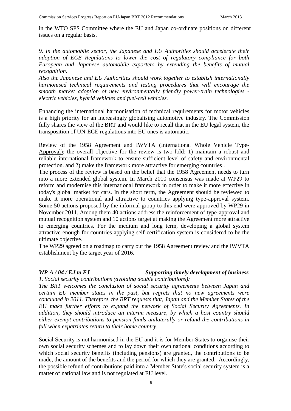in the WTO SPS Committee where the EU and Japan co-ordinate positions on different issues on a regular basis.

\_\_\_\_\_\_\_\_\_\_\_\_\_\_\_\_\_\_\_\_\_\_\_\_\_\_\_\_\_\_\_\_\_\_\_\_\_\_\_\_\_\_\_\_\_\_\_\_\_\_\_\_\_\_\_\_\_\_\_\_\_\_\_\_\_\_\_\_\_\_\_\_\_\_\_\_\_\_\_\_\_\_\_\_\_\_\_\_\_\_\_\_

*9. In the automobile sector, the Japanese and EU Authorities should accelerate their adoption of ECE Regulations to lower the cost of regulatory compliance for both European and Japanese automobile exporters by extending the benefits of mutual recognition.*

*Also the Japanese and EU Authorities should work together to establish internationally harmonised technical requirements and testing procedures that will encourage the smooth market adoption of new environmentally friendly power-train technologies electric vehicles, hybrid vehicles and fuel-cell vehicles.*

Enhancing the international harmonisation of technical requirements for motor vehicles is a high priority for an increasingly globalising automotive industry. The Commission fully shares the view of the BRT and would like to recall that in the EU legal system, the transposition of UN-ECE regulations into EU ones is automatic.

Review of the 1958 Agreement and IWVTA (International Whole Vehicle Type-Approval): the overall objective for the review is two-fold: 1) maintain a robust and reliable international framework to ensure sufficient level of safety and environmental protection. and 2) make the framework more attractive for emerging countries .

The process of the review is based on the belief that the 1958 Agreement needs to turn into a more extended global system. In March 2010 consensus was made at WP29 to reform and modernise this international framework in order to make it more effective in today's global market for cars. In the short term, the Agreement should be reviewed to make it more operational and attractive to countries applying type-approval system. Some 50 actions proposed by the informal group to this end were approved by WP29 in November 2011. Among them 40 actions address the reinforcement of type-approval and mutual recognition system and 10 actions target at making the Agreement more attractive to emerging countries. For the medium and long term, developing a global system attractive enough for countries applying self-certification system is considered to be the ultimate objective.

The WP29 agreed on a roadmap to carry out the 1958 Agreement review and the IWVTA establishment by the target year of 2016.

*WP-A / 04 / EJ to EJ Supporting timely development of business* 

*1. Social security contributions (avoiding double contributions): The BRT welcomes the conclusion of social security agreements between Japan and* 

*certain EU member states in the past, but regrets that no new agreements were concluded in 2011. Therefore, the BRT requests that, Japan and the Member States of the EU make further efforts to expand the network of Social Security Agreements. In addition, they should introduce an interim measure, by which a host country should either exempt contributions to pension funds unilaterally or refund the contributions in full when expatriates return to their home country.* 

Social Security is not harmonised in the EU and it is for Member States to organise their own social security schemes and to lay down their own national conditions according to which social security benefits (including pensions) are granted, the contributions to be made, the amount of the benefits and the period for which they are granted. Accordingly, the possible refund of contributions paid into a Member State's social security system is a matter of national law and is not regulated at EU level.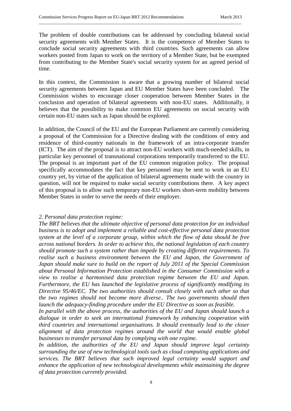The problem of double contributions can be addressed by concluding bilateral social security agreements with Member States. It is the competence of Member States to conclude social security agreements with third countries. Such agreements can allow workers posted from Japan to work on the territory of a Member State, but be exempted from contributing to the Member State's social security system for an agreed period of time.

\_\_\_\_\_\_\_\_\_\_\_\_\_\_\_\_\_\_\_\_\_\_\_\_\_\_\_\_\_\_\_\_\_\_\_\_\_\_\_\_\_\_\_\_\_\_\_\_\_\_\_\_\_\_\_\_\_\_\_\_\_\_\_\_\_\_\_\_\_\_\_\_\_\_\_\_\_\_\_\_\_\_\_\_\_\_\_\_\_\_\_\_

In this context, the Commission is aware that a growing number of bilateral social security agreements between Japan and EU Member States have been concluded. The Commission wishes to encourage closer cooperation between Member States in the conclusion and operation of bilateral agreements with non-EU states. Additionally, it believes that the possibility to make common EU agreements on social security with certain non-EU states such as Japan should be explored.

In addition, the Council of the EU and the European Parliament are currently considering a proposal of the Commission for a Directive dealing with the conditions of entry and residence of third-country nationals in the framework of an intra-corporate transfer (ICT). The aim of the proposal is to attract non-EU workers with much-needed skills, in particular key personnel of transnational corporations temporarily transferred to the EU. The proposal is an important part of the EU common migration policy. The proposal specifically accommodates the fact that key personnel may be sent to work in an EU country yet, by virtue of the application of bilateral agreements made with the country in question, will not be required to make social security contributions there. A key aspect of this proposal is to allow such temporary non-EU workers short-term mobility between Member States in order to serve the needs of their employer.

#### *2. Personal data protection regime:*

*The BRT believes that the ultimate objective of personal data protection for an individual business is to adopt and implement a reliable and cost-effective personal data protection system at the level of a corporate group, within which the flow of data should be free across national borders. In order to achieve this, the national legislation of each country should promote such a system rather than impede by creating different requirements. To realise such a business environment between the EU and Japan, the Government of Japan should make sure to build on the report of July 2011 of the Special Commission about Personal Information Protection established in the Consumer Commission with a view to realise a harmonised data protection regime between the EU and Japan. Furthermore, the EU has launched the legislative process of significantly modifying its Directive 95/46/EC. The two authorities should consult closely with each other so that the two regimes should not become more diverse.. The two governments should then launch the adequacy-finding procedure under the EU Directive as soon as feasible.* 

*In parallel with the above process, the authorities of the EU and Japan should launch a dialogue in order to seek an international framework by enhancing cooperation with third countries and international organisations. It should eventually lead to the closer alignment of data protection regimes around the world that would enable global businesses to transfer personal data by complying with one regime.* 

*In addition, the authorities of the EU and Japan should improve legal certainty surrounding the use of new technological tools such as cloud computing applications and services. The BRT believes that such improved legal certainty would support and enhance the application of new technological developments while maintaining the degree of data protection currently provided.*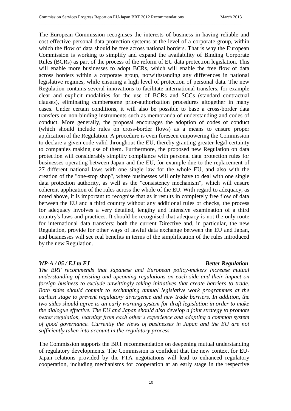The European Commission recognises the interests of business in having reliable and cost-effective personal data protection systems at the level of a corporate group, within which the flow of data should be free across national borders. That is why the European Commission is working to simplify and expand the availability of Binding Corporate Rules (BCRs) as part of the process of the reform of EU data protection legislation. This will enable more businesses to adopt BCRs, which will enable the free flow of data across borders within a corporate group, notwithstanding any differences in national legislative regimes, while ensuring a high level of protection of personal data. The new Regulation contains several innovations to facilitate international transfers, for example clear and explicit modalities for the use of BCRs and SCCs (standard contractual clauses), eliminating cumbersome prior-authorization procedures altogether in many cases. Under certain conditions, it will also be possible to base a cross-border data transfers on non-binding instruments such as memoranda of understanding and codes of conduct. More generally, the proposal encourages the adoption of codes of conduct (which should include rules on cross-border flows) as a means to ensure proper application of the Regulation. A procedure is even foreseen empowering the Commission to declare a given code valid throughout the EU, thereby granting greater legal certainty to companies making use of them. Furthermore, the proposed new Regulation on data protection will considerably simplify compliance with personal data protection rules for businesses operating between Japan and the EU, for example due to the replacement of 27 different national laws with one single law for the whole EU, and also with the creation of the "one-stop shop", where businesses will only have to deal with one single data protection authority, as well as the "consistency mechanism", which will ensure coherent application of the rules across the whole of the EU. With regard to adequacy, as noted above, it is important to recognise that as it results in completely free flow of data between the EU and a third country without any additional rules or checks, the process for adequacy involves a very detailed, lengthy and intensive examination of a third country's laws and practices. It should be recognised that adequacy is not the only route for international data transfers: both the current Directive and, in particular, the new Regulation, provide for other ways of lawful data exchange between the EU and Japan, and businesses will see real benefits in terms of the simplification of the rules introduced by the new Regulation.

\_\_\_\_\_\_\_\_\_\_\_\_\_\_\_\_\_\_\_\_\_\_\_\_\_\_\_\_\_\_\_\_\_\_\_\_\_\_\_\_\_\_\_\_\_\_\_\_\_\_\_\_\_\_\_\_\_\_\_\_\_\_\_\_\_\_\_\_\_\_\_\_\_\_\_\_\_\_\_\_\_\_\_\_\_\_\_\_\_\_\_\_

#### *WP-A* / 05 / *EJ to EJ Better Regulation*

*The BRT recommends that Japanese and European policy-makers increase mutual understanding of existing and upcoming regulations on each side and their impact on foreign business to exclude unwittingly taking initiatives that create barriers to trade. Both sides should commit to exchanging annual legislative work programmes at the earliest stage to prevent regulatory divergence and new trade barriers. In addition, the two sides should agree to an early warning system for draft legislation in order to make the dialogue effective. The EU and Japan should also develop a joint strategy to promote better regulation, learning from each other's experience and adopting a common system of good governance. Currently the views of businesses in Japan and the EU are not sufficiently taken into account in the regulatory process.*

The Commission supports the BRT recommendation on deepening mutual understanding of regulatory developments. The Commission is confident that the new context for EU-Japan relations provided by the FTA negotiations will lead to enhanced regulatory cooperation, including mechanisms for cooperation at an early stage in the respective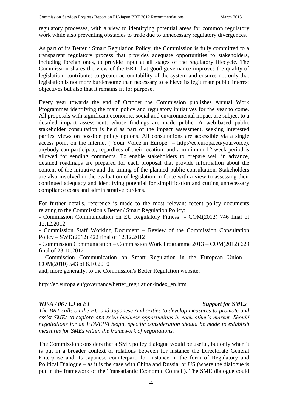regulatory processes, with a view to identifying potential areas for common regulatory work while also preventing obstacles to trade due to unnecessary regulatory divergences.

\_\_\_\_\_\_\_\_\_\_\_\_\_\_\_\_\_\_\_\_\_\_\_\_\_\_\_\_\_\_\_\_\_\_\_\_\_\_\_\_\_\_\_\_\_\_\_\_\_\_\_\_\_\_\_\_\_\_\_\_\_\_\_\_\_\_\_\_\_\_\_\_\_\_\_\_\_\_\_\_\_\_\_\_\_\_\_\_\_\_\_\_

As part of its Better / Smart Regulation Policy, the Commission is fully committed to a transparent regulatory process that provides adequate opportunities to stakeholders, including foreign ones, to provide input at all stages of the regulatory lifecycle. The Commission shares the view of the BRT that good governance improves the quality of legislation, contributes to greater accountability of the system and ensures not only that legislation is not more burdensome than necessary to achieve its legitimate public interest objectives but also that it remains fit for purpose.

Every year towards the end of October the Commission publishes Annual Work Programmes identifying the main policy and regulatory initiatives for the year to come. All proposals with significant economic, social and environmental impact are subject to a detailed impact assessment, whose findings are made public. A web-based public stakeholder consultation is held as part of the impact assessment, seeking interested parties' views on possible policy options. All consultations are accessible via a single access point on the internet ("Your Voice in Europe" – http://ec.europa.eu/yourvoice), anybody can participate, regardless of their location, and a minimum 12 week period is allowed for sending comments. To enable stakeholders to prepare well in advance, detailed roadmaps are prepared for each proposal that provide information about the content of the initiative and the timing of the planned public consultation. Stakeholders are also involved in the evaluation of legislation in force with a view to assessing their continued adequacy and identifying potential for simplification and cutting unnecessary compliance costs and administrative burdens.

For further details, reference is made to the most relevant recent policy documents relating to the Commission's Better / Smart Regulation Policy:

- Commission Communication on EU Regulatory Fitness - COM(2012) 746 final of 12.12.2012

- Commission Staff Working Document – Review of the Commission Consultation Policy – SWD(2012) 422 final of 12.12.2012

- Commission Communication – Commission Work Programme 2013 – COM(2012) 629 final of 23.10.2012

- Commission Communication on Smart Regulation in the European Union – COM(2010) 543 of 8.10.2010

and, more generally, to the Commission's Better Regulation website:

http://ec.europa.eu/governance/better\_regulation/index\_en.htm

#### *WP-A / 06 / EJ to EJ Support for SMEs*

*The BRT calls on the EU and Japanese Authorities to develop measures to promote and assist SMEs to explore and seize business opportunities in each other's market. Should negotiations for an FTA/EPA begin, specific consideration should be made to establish measures for SMEs within the framework of negotiations.* 

The Commission considers that a SME policy dialogue would be useful, but only when it is put in a broader context of relations between for instance the Directorate General Enterprise and its Japanese counterpart, for instance in the form of Regulatory and Political Dialogue – as it is the case with China and Russia, or US (where the dialogue is put in the framework of the Transatlantic Economic Council). The SME dialogue could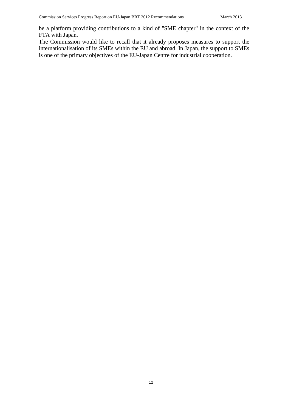be a platform providing contributions to a kind of "SME chapter" in the context of the FTA with Japan.

\_\_\_\_\_\_\_\_\_\_\_\_\_\_\_\_\_\_\_\_\_\_\_\_\_\_\_\_\_\_\_\_\_\_\_\_\_\_\_\_\_\_\_\_\_\_\_\_\_\_\_\_\_\_\_\_\_\_\_\_\_\_\_\_\_\_\_\_\_\_\_\_\_\_\_\_\_\_\_\_\_\_\_\_\_\_\_\_\_\_\_\_

The Commission would like to recall that it already proposes measures to support the internationalisation of its SMEs within the EU and abroad. In Japan, the support to SMEs is one of the primary objectives of the EU-Japan Centre for industrial cooperation.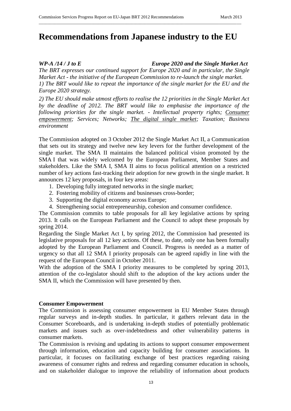## **Recommendations from Japanese industry to the EU**

\_\_\_\_\_\_\_\_\_\_\_\_\_\_\_\_\_\_\_\_\_\_\_\_\_\_\_\_\_\_\_\_\_\_\_\_\_\_\_\_\_\_\_\_\_\_\_\_\_\_\_\_\_\_\_\_\_\_\_\_\_\_\_\_\_\_\_\_\_\_\_\_\_\_\_\_\_\_\_\_\_\_\_\_\_\_\_\_\_\_\_\_

#### *WP-A /14 / J to E Europe 2020 and the Single Market Act*

*The BRT expresses our continued support for Europe 2020 and in particular, the Single Market Act - the initiative of the European Commission to re-launch the single market. 1) The BRT would like to repeat the importance of the single market for the EU and the Europe 2020 strategy.* 

*2) The EU should make utmost efforts to realise the 12 priorities in the Single Market Act by the deadline of 2012. The BRT would like to emphasise the importance of the following priorities for the single market. - Intellectual property rights; Consumer empowerment; Services; Networks; The digital single market; Taxation; Business environment* 

The Commission adopted on 3 October 2012 the Single Market Act II, a Communication that sets out its strategy and twelve new key levers for the further development of the single market. The SMA II maintains the balanced political vision promoted by the SMA I that was widely welcomed by the European Parliament, Member States and stakeholders. Like the SMA I, SMA II aims to focus political attention on a restricted number of key actions fast-tracking their adoption for new growth in the single market. It announces 12 key proposals, in four key areas:

- 1. Developing fully integrated networks in the single market;
- 2. Fostering mobility of citizens and businesses cross-border;
- 3. Supporting the digital economy across Europe;
- 4. Strengthening social entrepreneurship, cohesion and consumer confidence.

The Commission commits to table proposals for all key legislative actions by spring 2013. It calls on the European Parliament and the Council to adopt these proposals by spring 2014.

Regarding the Single Market Act I, by spring 2012, the Commission had presented its legislative proposals for all 12 key actions. Of these, to date, only one has been formally adopted by the European Parliament and Council. Progress is needed as a matter of urgency so that all 12 SMA I priority proposals can be agreed rapidly in line with the request of the European Council in October 2011.

With the adoption of the SMA I priority measures to be completed by spring 2013, attention of the co-legislator should shift to the adoption of the key actions under the SMA II, which the Commission will have presented by then.

#### **Consumer Empowerment**

The Commission is assessing consumer empowerment in EU Member States through regular surveys and in-depth studies. In particular, it gathers relevant data in the Consumer Scoreboards, and is undertaking in-depth studies of potentially problematic markets and issues such as over-indebtedness and other vulnerability patterns in consumer markets.

The Commission is revising and updating its actions to support consumer empowerment through information, education and capacity building for consumer associations. In particular, it focuses on facilitating exchange of best practices regarding raising awareness of consumer rights and redress and regarding consumer education in schools, and on stakeholder dialogue to improve the reliability of information about products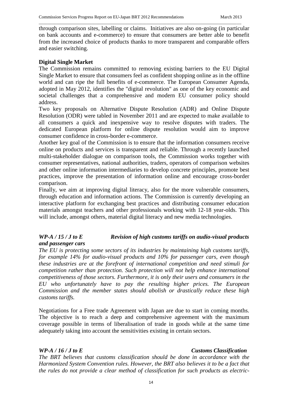through comparison sites, labelling or claims. Initiatives are also on-going (in particular on bank accounts and e-commerce) to ensure that consumers are better able to benefit from the increased choice of products thanks to more transparent and comparable offers and easier switching.

\_\_\_\_\_\_\_\_\_\_\_\_\_\_\_\_\_\_\_\_\_\_\_\_\_\_\_\_\_\_\_\_\_\_\_\_\_\_\_\_\_\_\_\_\_\_\_\_\_\_\_\_\_\_\_\_\_\_\_\_\_\_\_\_\_\_\_\_\_\_\_\_\_\_\_\_\_\_\_\_\_\_\_\_\_\_\_\_\_\_\_\_

#### **Digital Single Market**

The Commission remains committed to removing existing barriers to the EU Digital Single Market to ensure that consumers feel as confident shopping online as in the offline world and can ripe the full benefits of e-commerce. The European Consumer Agenda, adopted in May 2012, identifies the "digital revolution" as one of the key economic and societal challenges that a comprehensive and modern EU consumer policy should address.

Two key proposals on Alternative Dispute Resolution (ADR) and Online Dispute Resolution (ODR) were tabled in November 2011 and are expected to make available to all consumers a quick and inexpensive way to resolve disputes with traders. The dedicated European platform for online dispute resolution would aim to improve consumer confidence in cross-border e-commerce.

Another key goal of the Commission is to ensure that the information consumers receive online on products and services is transparent and reliable. Through a recently launched multi-stakeholder dialogue on comparison tools, the Commission works together with consumer representatives, national authorities, traders, operators of comparison websites and other online information intermediaries to develop concrete principles, promote best practices, improve the presentation of information online and encourage cross-border comparison.

Finally, we aim at improving digital literacy, also for the more vulnerable consumers, through education and information actions. The Commission is currently developing an interactive platform for exchanging best practices and distributing consumer education materials amongst teachers and other professionals working with 12-18 year-olds. This will include, amongst others, material digital literacy and new media technologies.

### *WP-A / 15 / J to E Revision of high customs tariffs on audio-visual products and passenger cars*

*The EU is protecting some sectors of its industries by maintaining high customs tariffs, for example 14% for audio-visual products and 10% for passenger cars, even though these industries are at the forefront of international competition and need stimuli for competition rather than protection. Such protection will not help enhance international competitiveness of those sectors. Furthermore, it is only their users and consumers in the EU who unfortunately have to pay the resulting higher prices. The European Commission and the member states should abolish or drastically reduce these high customs tariffs.* 

Negotiations for a Free trade Agreement with Japan are due to start in coming months. The objective is to reach a deep and comprehensive agreement with the maximum coverage possible in terms of liberalisation of trade in goods while at the same time adequately taking into account the sensitivities existing in certain sectors.

#### *WP-A / 16 / J to E Customs Classification*

*The BRT believes that customs classification should be done in accordance with the Harmonized System Convention rules. However, the BRT also believes it to be a fact that the rules do not provide a clear method of classification for such products as electric-*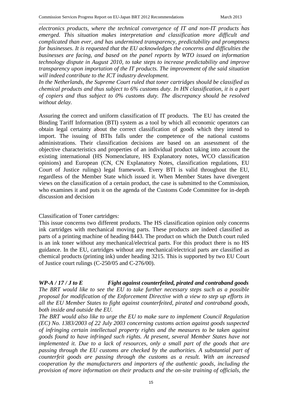*electronics products, where the technical convergence of IT and non-IT products has emerged. This situation makes interpretation and classification more difficult and complicated than ever, and has undermined transparency, predictability and promptness for businesses. It is requested that the EU acknowledges the concerns and difficulties the businesses are facing, and based on the panel reports by WTO issued on information technology dispute in August 2010, to take steps to increase predictability and improve transparency upon importation of the IT products. The improvement of the said situation will indeed contribute to the ICT industry development.* 

\_\_\_\_\_\_\_\_\_\_\_\_\_\_\_\_\_\_\_\_\_\_\_\_\_\_\_\_\_\_\_\_\_\_\_\_\_\_\_\_\_\_\_\_\_\_\_\_\_\_\_\_\_\_\_\_\_\_\_\_\_\_\_\_\_\_\_\_\_\_\_\_\_\_\_\_\_\_\_\_\_\_\_\_\_\_\_\_\_\_\_\_

*In the Netherlands, the Supreme Court ruled that toner cartridges should be classified as chemical products and thus subject to 6% customs duty. In HN classification, it is a part of copiers and thus subject to 0% customs duty. The discrepancy should be resolved without delay.* 

Assuring the correct and uniform classification of IT products. The EU has created the Binding Tariff Information (BTI) system as a tool by which all economic operators can obtain legal certainty about the correct classification of goods which they intend to import. The issuing of BTIs falls under the competence of the national customs administrations. Their classification decisions are based on an assessment of the objective characteristics and properties of an individual product taking into account the existing international (HS Nomenclature, HS Explanatory notes, WCO classification opinions) and European (CN, CN Explanatory Notes, classification regulations, EU Court of Justice rulings) legal framework. Every BTI is valid throughout the EU, regardless of the Member State which issued it. When Member States have divergent views on the classification of a certain product, the case is submitted to the Commission, who examines it and puts it on the agenda of the Customs Code Committee for in-depth discussion and decision

Classification of Toner cartridges:

This issue concerns two different products. The HS classification opinion only concerns ink cartridges with mechanical moving parts. These products are indeed classified as parts of a printing machine of heading 8443. The product on which the Dutch court ruled is an ink toner without any mechanical/electrical parts. For this product there is no HS guidance. In the EU, cartridges without any mechanical/electrical parts are classified as chemical products (printing ink) under heading 3215. This is supported by two EU Court of Justice court rulings (C-250/05 and C-276/00).

*WP-A / 17 / J to E Fight against counterfeited, pirated and contraband goods The BRT would like to see the EU to take further necessary steps such as a possible proposal for modification of the Enforcement Directive with a view to step up efforts in all the EU Member States to fight against counterfeited, pirated and contraband goods, both inside and outside the EU.* 

*The BRT would also like to urge the EU to make sure to implement Council Regulation (EC) No. 1383/2003 of 22 July 2003 concerning customs action against goods suspected of infringing certain intellectual property rights and the measures to be taken against goods found to have infringed such rights. At present, several Member States have not implemented it. Due to a lack of resources, only a small part of the goods that are passing through the EU customs are checked by the authorities. A substantial part of counterfeit goods are passing through the customs as a result. With an increased cooperation by the manufacturers and importers of the authentic goods, including the provision of more information on their products and the on-site training of officials, the*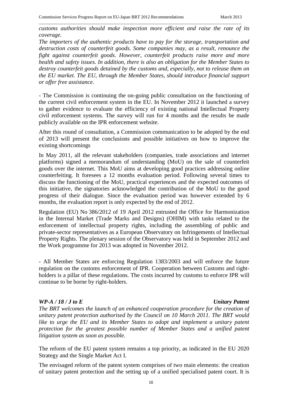*customs authorities should make inspection more efficient and raise the rate of its coverage.* 

\_\_\_\_\_\_\_\_\_\_\_\_\_\_\_\_\_\_\_\_\_\_\_\_\_\_\_\_\_\_\_\_\_\_\_\_\_\_\_\_\_\_\_\_\_\_\_\_\_\_\_\_\_\_\_\_\_\_\_\_\_\_\_\_\_\_\_\_\_\_\_\_\_\_\_\_\_\_\_\_\_\_\_\_\_\_\_\_\_\_\_\_

*The importers of the authentic products have to pay for the storage, transportation and destruction costs of counterfeit goods. Some companies may, as a result, renounce the fight against counterfeit goods. However, counterfeit products raise more and more health and safety issues. In addition, there is also an obligation for the Member States to destroy counterfeit goods detained by the customs and, especially, not to release them on the EU market. The EU, through the Member States, should introduce financial support or offer free assistance.* 

- The Commission is continuing the on-going public consultation on the functioning of the current civil enforcement system in the EU. In November 2012 it launched a survey to gather evidence to evaluate the efficiency of existing national Intellectual Property civil enforcement systems. The survey will run for 4 months and the results be made publicly available on the IPR enforcement website.

After this round of consultation, a Commission communication to be adopted by the end of 2013 will present the conclusions and possible initiatives on how to improve the existing shortcomings

In May 2011, all the relevant stakeholders (companies, trade associations and internet platforms) signed a memorandum of understanding (MoU) on the sale of counterfeit goods over the internet. This MoU aims at developing good practices addressing online counterfeiting. It foresees a 12 months evaluation period. Following several times to discuss the functioning of the MoU, practical experiences and the expected outcomes of this initiative, the signatories acknowledged the contribution of the MoU to the good progress of their dialogue. Since the evaluation period was however extended by 6 months, the evaluation report is only expected by the end of 2012.

Regulation (EU) No 386/2012 of 19 April 2012 entrusted the Office for Harmonization in the Internal Market (Trade Marks and Designs) (OHIM) with tasks related to the enforcement of intellectual property rights, including the assembling of public and private-sector representatives as a European Observatory on Infringements of Intellectual Property Rights. The plenary session of the Observatory was held in September 2012 and the Work programme for 2013 was adopted in November 2012.

- All Member States are enforcing Regulation 1383/2003 and will enforce the future regulation on the customs enforcement of IPR. Cooperation between Customs and rightholders is a pillar of these regulations. The costs incurred by customs to enforce IPR will continue to be borne by right-holders.

#### *WP-A / 18 / J to E Unitary Patent*

*The BRT welcomes the launch of an enhanced cooperation procedure for the creation of unitary patent protection authorised by the Council on 10 March 2011. The BRT would*  like to urge the EU and its Member States to adopt and implement a unitary patent *protection for the greatest possible number of Member States and a unified patent litigation system as soon as possible.* 

The reform of the EU patent system remains a top priority, as indicated in the EU 2020 Strategy and the Single Market Act I.

The envisaged reform of the patent system comprises of two main elements: the creation of unitary patent protection and the setting up of a unified specialised patent court. It is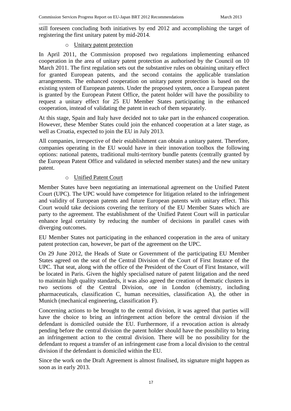still foreseen concluding both initiatives by end 2012 and accomplishing the target of registering the first unitary patent by mid-2014.

\_\_\_\_\_\_\_\_\_\_\_\_\_\_\_\_\_\_\_\_\_\_\_\_\_\_\_\_\_\_\_\_\_\_\_\_\_\_\_\_\_\_\_\_\_\_\_\_\_\_\_\_\_\_\_\_\_\_\_\_\_\_\_\_\_\_\_\_\_\_\_\_\_\_\_\_\_\_\_\_\_\_\_\_\_\_\_\_\_\_\_\_

### o Unitary patent protection

In April 2011, the Commission proposed two regulations implementing enhanced cooperation in the area of unitary patent protection as authorised by the Council on 10 March 2011. The first regulation sets out the substantive rules on obtaining unitary effect for granted European patents, and the second contains the applicable translation arrangements. The enhanced cooperation on unitary patent protection is based on the existing system of European patents. Under the proposed system, once a European patent is granted by the European Patent Office, the patent holder will have the possibility to request a unitary effect for 25 EU Member States participating in the enhanced cooperation, instead of validating the patent in each of them separately.

At this stage, Spain and Italy have decided not to take part in the enhanced cooperation. However, these Member States could join the enhanced cooperation at a later stage, as well as Croatia, expected to join the EU in July 2013.

All companies, irrespective of their establishment can obtain a unitary patent. Therefore, companies operating in the EU would have in their innovation toolbox the following options: national patents, traditional multi-territory bundle patents (centrally granted by the European Patent Office and validated in selected member states) and the new unitary patent.

### o Unified Patent Court

Member States have been negotiating an international agreement on the Unified Patent Court (UPC). The UPC would have competence for litigation related to the infringement and validity of European patents and future European patents with unitary effect. This Court would take decisions covering the territory of the EU Member States which are party to the agreement. The establishment of the Unified Patent Court will in particular enhance legal certainty by reducing the number of decisions in parallel cases with diverging outcomes.

EU Member States not participating in the enhanced cooperation in the area of unitary patent protection can, however, be part of the agreement on the UPC.

On 29 June 2012, the Heads of State or Government of the participating EU Member States agreed on the seat of the Central Division of the Court of First Instance of the UPC. That seat, along with the office of the President of the Court of First Instance, will be located in Paris. Given the highly specialised nature of patent litigation and the need to maintain high quality standards, it was also agreed the creation of thematic clusters in two sections of the Central Division, one in London (chemistry, including pharmaceuticals, classification C, human necessities, classification A), the other in Munich (mechanical engineering, classification F).

Concerning actions to be brought to the central division, it was agreed that parties will have the choice to bring an infringement action before the central division if the defendant is domiciled outside the EU. Furthermore, if a revocation action is already pending before the central division the patent holder should have the possibility to bring an infringement action to the central division. There will be no possibility for the defendant to request a transfer of an infringement case from a local division to the central division if the defendant is domiciled within the EU.

Since the work on the Draft Agreement is almost finalised, its signature might happen as soon as in early 2013.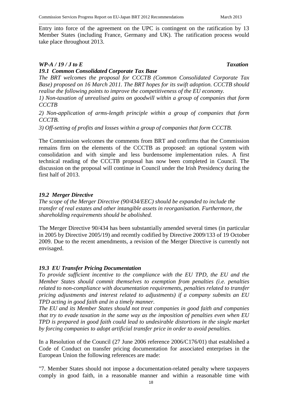\_\_\_\_\_\_\_\_\_\_\_\_\_\_\_\_\_\_\_\_\_\_\_\_\_\_\_\_\_\_\_\_\_\_\_\_\_\_\_\_\_\_\_\_\_\_\_\_\_\_\_\_\_\_\_\_\_\_\_\_\_\_\_\_\_\_\_\_\_\_\_\_\_\_\_\_\_\_\_\_\_\_\_\_\_\_\_\_\_\_\_\_ Entry into force of the agreement on the UPC is contingent on the ratification by 13 Member States (including France, Germany and UK). The ratification process would take place throughout 2013.

#### *WP-A / 19 / J to E Taxation*

#### *19.1 Common Consolidated Corporate Tax Base*

*The BRT welcomes the proposal for CCCTB (Common Consolidated Corporate Tax Base) proposed on 16 March 2011. The BRT hopes for its swift adoption. CCCTB should realise the following points to improve the competitiveness of the EU economy.* 

*1) Non-taxation of unrealised gains on goodwill within a group of companies that form CCCTB* 

*2) Non-application of arms-length principle within a group of companies that form CCCTB.* 

*3) Off-setting of profits and losses within a group of companies that form CCCTB.* 

The Commission welcomes the comments from BRT and confirms that the Commission remains firm on the elements of the CCCTB as proposed: an optional system with consolidation and with simple and less burdensome implementation rules. A first technical reading of the CCCTB proposal has now been completed in Council. The discussion on the proposal will continue in Council under the Irish Presidency during the first half of 2013.

#### *19.2 Merger Directive*

*The scope of the Merger Directive (90/434/EEC) should be expanded to include the transfer of real estates and other intangible assets in reorganisation. Furthermore, the shareholding requirements should be abolished.* 

The Merger Directive 90/434 has been substantially amended several times (in particular in 2005 by Directive 2005/19) and recently codified by Directive 2009/133 of 19 October 2009. Due to the recent amendments, a revision of the Merger Directive is currently not envisaged.

#### *19.3 EU Transfer Pricing Documentation*

*To provide sufficient incentive to the compliance with the EU TPD, the EU and the Member States should commit themselves to exemption from penalties (i.e. penalties related to non-compliance with documentation requirements, penalties related to transfer pricing adjustments and interest related to adjustments) if a company submits an EU TPD acting in good faith and in a timely manner.* 

*The EU and its Member States should not treat companies in good faith and companies that try to evade taxation in the same way as the imposition of penalties even when EU TPD is prepared in good faith could lead to undesirable distortions in the single market by forcing companies to adopt artificial transfer price in order to avoid penalties.* 

In a Resolution of the Council (27 June 2006 reference 2006/C176/01) that established a Code of Conduct on transfer pricing documentation for associated enterprises in the European Union the following references are made:

"7. Member States should not impose a documentation-related penalty where taxpayers comply in good faith, in a reasonable manner and within a reasonable time with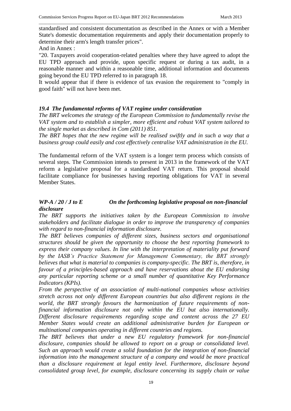standardised and consistent documentation as described in the Annex or with a Member State's domestic documentation requirements and apply their documentation properly to determine their arm's length transfer prices".

\_\_\_\_\_\_\_\_\_\_\_\_\_\_\_\_\_\_\_\_\_\_\_\_\_\_\_\_\_\_\_\_\_\_\_\_\_\_\_\_\_\_\_\_\_\_\_\_\_\_\_\_\_\_\_\_\_\_\_\_\_\_\_\_\_\_\_\_\_\_\_\_\_\_\_\_\_\_\_\_\_\_\_\_\_\_\_\_\_\_\_\_

And in Annex :

"20. Taxpayers avoid cooperation-related penalties where they have agreed to adopt the EU TPD approach and provide, upon specific request or during a tax audit, in a reasonable manner and within a reasonable time, additional information and documents going beyond the EU TPD referred to in paragraph 18.

It would appear that if there is evidence of tax evasion the requirement to "comply in good faith" will not have been met.

#### *19.4 The fundamental reforms of VAT regime under consideration*

*The BRT welcomes the strategy of the European Commission to fundamentally revise the VAT system and to establish a simpler, more efficient and robust VAT system tailored to the single market as described in Com (2011) 851.* 

*The BRT hopes that the new regime will be realised swiftly and in such a way that a business group could easily and cost effectively centralise VAT administration in the EU.* 

The fundamental reform of the VAT system is a longer term process which consists of several steps. The Commission intends to present in 2013 in the framework of the VAT reform a legislative proposal for a standardised VAT return. This proposal should facilitate compliance for businesses having reporting obligations for VAT in several Member States.

### *WP-A / 20 / J to E On the forthcoming legislative proposal on non-financial disclosure*

*The BRT supports the initiatives taken by the European Commission to involve stakeholders and facilitate dialogue in order to improve the transparency of companies with regard to non-financial information disclosure.* 

*The BRT believes companies of different sizes, business sectors and organisational structures should be given the opportunity to choose the best reporting framework to express their company values. In line with the interpretation of materiality put forward by the IASB's Practice Statement for Management Commentary, the BRT strongly believes that what is material to companies is company-specific. The BRT is, therefore, in favour of a principles-based approach and have reservations about the EU endorsing any particular reporting scheme or a small number of quantitative Key Performance Indicators (KPIs).* 

*From the perspective of an association of multi-national companies whose activities stretch across not only different European countries but also different regions in the world, the BRT strongly favours the harmonization of future requirements of nonfinancial information disclosure not only within the EU but also internationally. Different disclosure requirements regarding scope and content across the 27 EU Member States would create an additional administrative burden for European or multinational companies operating in different countries and regions.* 

*The BRT believes that under a new EU regulatory framework for non-financial disclosure, companies should be allowed to report on a group or consolidated level. Such an approach would create a solid foundation for the integration of non-financial information into the management structure of a company and would be more practical than a disclosure requirement at legal entity level. Furthermore, disclosure beyond consolidated group level, for example, disclosure concerning its supply chain or value*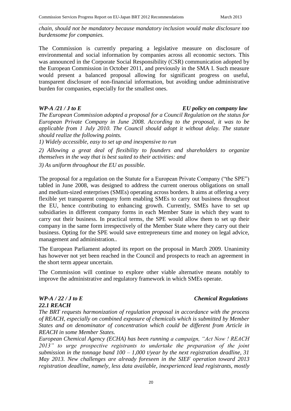*chain, should not be mandatory because mandatory inclusion would make disclosure too burdensome for companies.* 

\_\_\_\_\_\_\_\_\_\_\_\_\_\_\_\_\_\_\_\_\_\_\_\_\_\_\_\_\_\_\_\_\_\_\_\_\_\_\_\_\_\_\_\_\_\_\_\_\_\_\_\_\_\_\_\_\_\_\_\_\_\_\_\_\_\_\_\_\_\_\_\_\_\_\_\_\_\_\_\_\_\_\_\_\_\_\_\_\_\_\_\_

The Commission is currently preparing a legislative measure on disclosure of environmental and social information by companies across all economic sectors. This was announced in the Corporate Social Responsibility (CSR) communication adopted by the European Commission in October 2011, and previously in the SMA I. Such measure would present a balanced proposal allowing for significant progress on useful, transparent disclosure of non-financial information, but avoiding undue administrative burden for companies, especially for the smallest ones.

#### *WP-A /21 / J to E* EU policy on company law

*The European Commission adopted a proposal for a Council Regulation on the status for European Private Company in June 2008. According to the proposal, it was to be applicable from 1 July 2010. The Council should adopt it without delay. The statute should realize the following points.* 

*1) Widely accessible, easy to set up and inexpensive to run* 

*2) Allowing a great deal of flexibility to founders and shareholders to organize themselves in the way that is best suited to their activities: and* 

*3) As uniform throughout the EU as possible.* 

The proposal for a regulation on the Statute for a European Private Company ("the SPE") tabled in June 2008, was designed to address the current onerous obligations on small and medium-sized enterprises (SMEs) operating across borders. It aims at offering a very flexible yet transparent company form enabling SMEs to carry out business throughout the EU, hence contributing to enhancing growth. Currently, SMEs have to set up subsidiaries in different company forms in each Member State in which they want to carry out their business. In practical terms, the SPE would allow them to set up their company in the same form irrespectively of the Member State where they carry out their business. Opting for the SPE would save entrepreneurs time and money on legal advice, management and administration..

The European Parliament adopted its report on the proposal in March 2009. Unanimity has however not yet been reached in the Council and prospects to reach an agreement in the short term appear uncertain.

The Commission will continue to explore other viable alternative means notably to improve the administrative and regulatory framework in which SMEs operate.

# *22.1 REACH*

#### *WP-A / 22 / J to E Chemical Regulations*

*The BRT requests harmonization of regulation proposal in accordance with the process of REACH, especially on combined exposure of chemicals which is submitted by Member States and on denominator of concentration which could be different from Article in REACH in some Member States.*

*European Chemical Agency (ECHA) has been running a campaign, "Act Now ! REACH 2013" to urge prospective registrants to undertake the preparation of the joint submission in the tonnage band 100 – 1,000 t/year by the next registration deadline, 31 May 2013. New challenges are already foreseen in the SIEF operation toward 2013 registration deadline, namely, less data available, inexperienced lead registrants, mostly*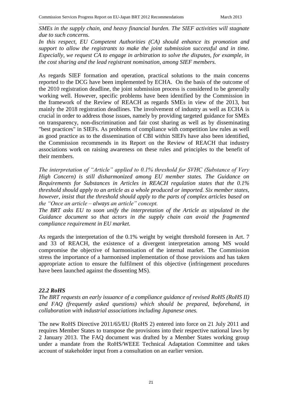*SMEs in the supply chain, and heavy financial burden. The SIEF activities will stagnate due to such concerns.* 

\_\_\_\_\_\_\_\_\_\_\_\_\_\_\_\_\_\_\_\_\_\_\_\_\_\_\_\_\_\_\_\_\_\_\_\_\_\_\_\_\_\_\_\_\_\_\_\_\_\_\_\_\_\_\_\_\_\_\_\_\_\_\_\_\_\_\_\_\_\_\_\_\_\_\_\_\_\_\_\_\_\_\_\_\_\_\_\_\_\_\_\_

*In this respect, EU Competent Authorities (CA) should enhance its promotion and support to allow the registrants to make the joint submission successful and in time. Especially, we request CA to engage in arbitration to solve the disputes, for example, in the cost sharing and the lead registrant nomination, among SIEF members.* 

As regards SIEF formation and operation, practical solutions to the main concerns reported to the DCG have been implemented by ECHA. On the basis of the outcome of the 2010 registration deadline, the joint submission process is considered to be generally working well. However, specific problems have been identified by the Commission in the framework of the Review of REACH as regards SMEs in view of the 2013, but mainly the 2018 registration deadlines. The involvement of industry as well as ECHA is crucial in order to address those issues, namely by providing targeted guidance for SMEs on transparency, non-discrimination and fair cost sharing as well as by disseminating "best practices" in SIEFs. As problems of compliance with competition law rules as well as good practice as to the dissemination of CBI within SIEFs have also been identified, the Commission recommends in its Report on the Review of REACH that industry associations work on raising awareness on these rules and principles to the benefit of their members.

*The interpretation of "Article" applied to 0.1% threshold for SVHC (Substance of Very High Concern) is still disharmonized among EU member states. The Guidance on Requirements for Substances in Articles in REACH regulation states that the 0.1% threshold should apply to an article as a whole produced or imported. Six member states, however, insist that the threshold should apply to the parts of complex articles based on the "Once an article – always an article" concept.* 

*The BRT asks EU to soon unify the interpretation of the Article as stipulated in the Guidance document so that actors in the supply chain can avoid the fragmented compliance requirement in EU market.* 

As regards the interpretation of the 0.1% weight by weight threshold foreseen in Art. 7 and 33 of REACH, the existence of a divergent interpretation among MS would compromise the objective of harmonisation of the internal market. The Commission stress the importance of a harmonised implementation of those provisions and has taken appropriate action to ensure the fulfilment of this objective (infringement procedures have been launched against the dissenting MS).

#### *22.2 RoHS*

*The BRT requests an early issuance of a compliance guidance of revised RoHS (RoHS II) and FAQ (frequently asked questions) which should be prepared, beforehand, in collaboration with industrial associations including Japanese ones.*

The new RoHS Directive 2011/65/EU (RoHS 2) entered into force on 21 July 2011 and requires Member States to transpose the provisions into their respective national laws by 2 January 2013. The FAQ document was drafted by a Member States working group under a mandate from the RoHS/WEEE Technical Adaptation Committee and takes account of stakeholder input from a consultation on an earlier version.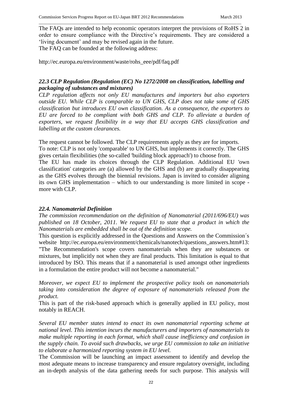The FAQs are intended to help economic operators interpret the provisions of RoHS 2 in order to ensure compliance with the Directive's requirements. They are considered a 'living document' and may be revised again in the future. The FAQ can be founded at the following address:

\_\_\_\_\_\_\_\_\_\_\_\_\_\_\_\_\_\_\_\_\_\_\_\_\_\_\_\_\_\_\_\_\_\_\_\_\_\_\_\_\_\_\_\_\_\_\_\_\_\_\_\_\_\_\_\_\_\_\_\_\_\_\_\_\_\_\_\_\_\_\_\_\_\_\_\_\_\_\_\_\_\_\_\_\_\_\_\_\_\_\_\_

http://ec.europa.eu/environment/waste/rohs\_eee/pdf/faq.pdf

### *22.3 CLP Regulation (Regulation (EC) No 1272/2008 on classification, labelling and packaging of substances and mixtures)*

*CLP regulation affects not only EU manufactures and importers but also exporters outside EU. While CLP is comparable to UN GHS, CLP does not take some of GHS classification but introduces EU own classification. As a consequence, the exporters to EU are forced to be compliant with both GHS and CLP. To alleviate a burden of exporters, we request flexibility in a way that EU accepts GHS classification and labelling at the custom clearances.* 

The request cannot be followed. The CLP requirements apply as they are for imports.

To note: CLP is not only 'comparable' to UN GHS, but implements it correctly. The GHS gives certain flexibilities (the so-called 'building block approach') to choose from.

The EU has made its choices through the CLP Regulation. Additional EU 'own classification' categories are (a) allowed by the GHS and (b) are gradually disappearing as the GHS evolves through the biennial revisions. Japan is invited to consider aligning its own GHS implementation – which to our understanding is more limited in scope more with CLP.

### *22.4. Nanomaterial Definition*

*The commission recommendation on the definition of Nanomaterial (2011/696/EU) was published on 18 October, 2011. We request EU to state that a product in which the Nanomaterials are embedded shall be out of the definition scope.*

This question is explicitly addressed in the Questions and Answers on the Commission´s website http://ec.europa.eu/environment/chemicals/nanotech/questions\_answers.htm#13: "The Recommendation's scope covers nanomaterials when they are substances or mixtures, but implicitly not when they are final products. This limitation is equal to that introduced by ISO. This means that if a nanomaterial is used amongst other ingredients in a formulation the entire product will not become a nanomaterial."

*Moreover, we expect EU to implement the prospective policy tools on nanomaterials taking into consideration the degree of exposure of nanomaterials released from the product.*

This is part of the risk-based approach which is generally applied in EU policy, most notably in REACH.

*Several EU member states intend to enact its own nanomaterial reporting scheme at national level. This intention incurs the manufacturers and importers of nanomaterials to make multiple reporting in each format, which shall cause inefficiency and confusion in the supply chain. To avoid such drawbacks, we urge EU commission to take an initiative to elaborate a harmonized reporting system in EU level.* 

The Commission will be launching an impact assessment to identify and develop the most adequate means to increase transparency and ensure regulatory oversight, including an in-depth analysis of the data gathering needs for such purpose. This analysis will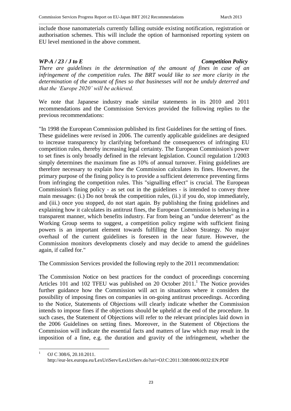include those nanomaterials currently falling outside existing notification, registration or authorisation schemes. This will include the option of harmonised reporting system on EU level mentioned in the above comment.

\_\_\_\_\_\_\_\_\_\_\_\_\_\_\_\_\_\_\_\_\_\_\_\_\_\_\_\_\_\_\_\_\_\_\_\_\_\_\_\_\_\_\_\_\_\_\_\_\_\_\_\_\_\_\_\_\_\_\_\_\_\_\_\_\_\_\_\_\_\_\_\_\_\_\_\_\_\_\_\_\_\_\_\_\_\_\_\_\_\_\_\_

### *WP-A / 23 / J to E Competition Policy*

*There are guidelines in the determination of the amount of fines in case of an infringement of the competition rules. The BRT would like to see more clarity in the determination of the amount of fines so that businesses will not be unduly deterred and that the 'Europe 2020' will be achieved.* 

We note that Japanese industry made similar statements in its 2010 and 2011 recommendations and the Commission Services provided the following replies to the previous recommendations:

"In 1998 the European Commission published its first Guidelines for the setting of fines. These guidelines were revised in 2006. The currently applicable guidelines are designed to increase transparency by clarifying beforehand the consequences of infringing EU competition rules, thereby increasing legal certainty. The European Commission's power to set fines is only broadly defined in the relevant legislation. Council regulation 1/2003 simply determines the maximum fine as 10% of annual turnover. Fining guidelines are therefore necessary to explain how the Commission calculates its fines. However, the primary purpose of the fining policy is to provide a sufficient deterrence preventing firms from infringing the competition rules. This "signalling effect" is crucial. The European Commission's fining policy - as set out in the guidelines - is intended to convey three main messages: (i.) Do not break the competition rules, (ii.) if you do, stop immediately, and (iii.) once you stopped, do not start again. By publishing the fining guidelines and explaining how it calculates its antitrust fines, the European Commission is behaving in a transparent manner, which benefits industry. Far from being an "undue deterrent" as the Working Group seems to suggest, a competition policy regime with sufficient fining powers is an important element towards fulfilling the Lisbon Strategy. No major overhaul of the current guidelines is foreseen in the near future. However, the Commission monitors developments closely and may decide to amend the guidelines again, if called for."

The Commission Services provided the following reply to the 2011 recommendation:

The Commission Notice on best practices for the conduct of proceedings concerning Articles 101 and 102 TFEU was published on 20 October  $2011$ .<sup>1</sup> The Notice provides further guidance how the Commission will act in situations where it considers the possibility of imposing fines on companies in on-going antitrust proceedings. According to the Notice, Statements of Objections will clearly indicate whether the Commission intends to impose fines if the objections should be upheld at the end of the procedure. In such cases, the Statement of Objections will refer to the relevant principles laid down in the 2006 Guidelines on setting fines. Moreover, in the Statement of Objections the Commission will indicate the essential facts and matters of law which may result in the imposition of a fine, e.g. the duration and gravity of the infringement, whether the

 $\mathbf{1}$ OJ C 308/6, 20.10.2011.

http://eur-lex.europa.eu/LexUriServ/LexUriServ.do?uri=OJ:C:2011:308:0006:0032:EN:PDF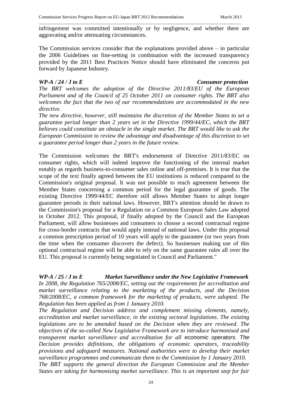infringement was committed intentionally or by negligence, and whether there are aggravating and/or attenuating circumstances.

\_\_\_\_\_\_\_\_\_\_\_\_\_\_\_\_\_\_\_\_\_\_\_\_\_\_\_\_\_\_\_\_\_\_\_\_\_\_\_\_\_\_\_\_\_\_\_\_\_\_\_\_\_\_\_\_\_\_\_\_\_\_\_\_\_\_\_\_\_\_\_\_\_\_\_\_\_\_\_\_\_\_\_\_\_\_\_\_\_\_\_\_

The Commission services consider that the explanations provided above – in particular the 2006 Guidelines on fine-setting in combination with the increased transparency provided by the 2011 Best Practices Notice should have eliminated the concerns put forward by Japanese Industry.

#### *WP-A / 24 / J to E Consumer protection*

*The BRT welcomes the adoption of the Directive 2011/83/EU of the European Parliament and of the Council of 25 October 2011 on consumer rights. The BRT also welcomes the fact that the two of our recommendations are accommodated in the new directive.* 

*The new directive, however, still maintains the discretion of the Member States to set a guarantee period longer than 2 years set in the Directive 1999/44/EC, which the BRT believes could constitute an obstacle in the single market. The BRT would like to ask the European Commission to review the advantage and disadvantage of this discretion to set a guarantee period longer than 2 years in the future review.* 

The Commission welcomes the BRT's endorsement of Directive 2011/83/EC on consumer rights, which will indeed improve the functioning of the internal market notably as regards business-to-consumer sales online and off-premises. It is true that the scope of the text finally agreed between the EU institutions is reduced compared to the Commission's original proposal. It was not possible to reach agreement between the Member States concerning a common period for the legal guarantee of goods. The existing Directive 1999/44/EC therefore still allows Member States to adopt longer guarantee periods in their national laws. However, BRT's attention should be drawn to the Commission's proposal for a Regulation on a Common European Sales Law adopted in October 2012. This proposal, if finally adopted by the Council and the European Parliament, will allow businesses and consumers to choose a second contractual regime for cross-border contracts that would apply instead of national laws. Under this proposal a common prescription period of 10 years will apply to the guarantee (or two years from the time when the consumer discovers the defect). So businesses making use of this optional contractual regime will be able to rely on the same guarantee rules all over the EU. This proposal is currently being negotiated in Council and Parliament."

*WP-A / 25 / J to E Market Surveillance under the New Legislative Framework In 2008, the Regulation 765/2008/EC, setting out the requirements for accreditation and market surveillance relating to the marketing of the products, and the Decision 768/2008/EC, a common framework for the marketing of products, were adopted. The Regulation has been applied as from 1 January 2010.* 

*The Regulation and Decision address and complement missing elements, namely, accreditation and market surveillance, in the existing sectoral legislations. The existing legislations are to be amended based on the Decision when they are reviewed. The objectives of the so-called New Legislative Framework are to introduce harmonised and transparent market surveillance and accreditation for all economic operators. The Decision provides definitions, the obligations of economic operators, traceability provisions and safeguard measures. National authorities were to develop their market surveillance programmes and communicate them to the Commission by 1 January 2010. The BRT supports the general direction the European Commission and the Member States are taking for harmonising market surveillance. This is an important step for fair*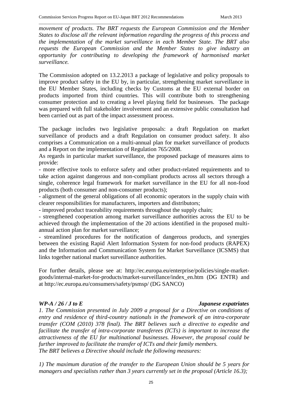*movement of products. The BRT requests the European Commission and the Member States to disclose all the relevant information regarding the progress of this process and the implementation of the market surveillance in each Member State. The BRT also requests the European Commission and the Member States to give industry an opportunity for contributing to developing the framework of harmonised market surveillance.*

\_\_\_\_\_\_\_\_\_\_\_\_\_\_\_\_\_\_\_\_\_\_\_\_\_\_\_\_\_\_\_\_\_\_\_\_\_\_\_\_\_\_\_\_\_\_\_\_\_\_\_\_\_\_\_\_\_\_\_\_\_\_\_\_\_\_\_\_\_\_\_\_\_\_\_\_\_\_\_\_\_\_\_\_\_\_\_\_\_\_\_\_

The Commission adopted on 13.2.2013 a package of legislative and policy proposals to improve product safety in the EU by, in particular, strengthening market surveillance in the EU Member States, including checks by Customs at the EU external border on products imported from third countries. This will contribute both to strengthening consumer protection and to creating a level playing field for businesses. The package was prepared with full stakeholder involvement and an extensive public consultation had been carried out as part of the impact assessment process.

The package includes two legislative proposals: a draft Regulation on market surveillance of products and a draft Regulation on consumer product safety. It also comprises a Communication on a multi-annual plan for market surveillance of products and a Report on the implementation of Regulation 765/2008.

As regards in particular market surveillance, the proposed package of measures aims to provide:

- more effective tools to enforce safety and other product-related requirements and to take action against dangerous and non-compliant products across all sectors through a single, coherence legal framework for market surveillance in the EU for all non-food products (both consumer and non-consumer products);

- alignment of the general obligations of all economic operators in the supply chain with clearer responsibilities for manufacturers, importers and distributors;

- improved product traceability requirements throughout the supply chain;

- strengthened cooperation among market surveillance authorities across the EU to be achieved through the implementation of the 20 actions identified in the proposed multiannual action plan for market surveillance;

- streamlined procedures for the notification of dangerous products, and synergies between the existing Rapid Alert Information System for non-food products (RAPEX) and the Information and Communication System for Market Surveillance (ICSMS) that links together national market surveillance authorities.

For further details, please see at: http://ec.europa.eu/enterprise/policies/single-marketgoods/internal-market-for-products/market-surveillance/index\_en.htm (DG ENTR) and at http://ec.europa.eu/consumers/safety/psmsp/ (DG SANCO)

#### *WP-A / 26 / J to E Japanese expatriates*

*1. The Commission presented in July 2009 a proposal for a Directive on conditions of entry and residence of third-country nationals in the framework of an intra-corporate transfer (COM (2010) 378 final). The BRT believes such a directive to expedite and facilitate the transfer of intra-corporate transferees (ICTs) is important to increase the attractiveness of the EU for multinational businesses. However, the proposal could be further improved to facilitate the transfer of ICTs and their family members. The BRT believes a Directive should include the following measures:* 

*1) The maximum duration of the transfer to the European Union should be 5 years for managers and specialists rather than 3 years currently set in the proposal (Article 16.3);*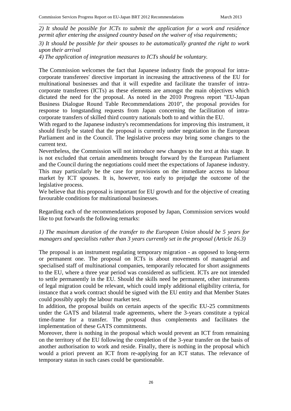\_\_\_\_\_\_\_\_\_\_\_\_\_\_\_\_\_\_\_\_\_\_\_\_\_\_\_\_\_\_\_\_\_\_\_\_\_\_\_\_\_\_\_\_\_\_\_\_\_\_\_\_\_\_\_\_\_\_\_\_\_\_\_\_\_\_\_\_\_\_\_\_\_\_\_\_\_\_\_\_\_\_\_\_\_\_\_\_\_\_\_\_ *2) It should be possible for ICTs to submit the application for a work and residence permit after entering the assigned country based on the waiver of visa requirements; 3) It should be possible for their spouses to be automatically granted the right to work upon their arrival*

*4) The application of integration measures to ICTs should be voluntary.* 

The Commission welcomes the fact that Japanese industry finds the proposal for intracorporate transferees' directive important in increasing the attractiveness of the EU for multinational businesses and that it will expedite and facilitate the transfer of intracorporate transferees (ICTs) as these elements are amongst the main objectives which dictated the need for the proposal. As noted in the 2010 Progress report "EU-Japan Business Dialogue Round Table Recommendations 2010", the proposal provides for response to longstanding requests from Japan concerning the facilitation of intracorporate transfers of skilled third country nationals both to and within the EU.

With regard to the Japanese industry's recommendations for improving this instrument, it should firstly be stated that the proposal is currently under negotiation in the European Parliament and in the Council. The legislative process may bring some changes to the current text.

Nevertheless, the Commission will not introduce new changes to the text at this stage. It is not excluded that certain amendments brought forward by the European Parliament and the Council during the negotiations could meet the expectations of Japanese industry. This may particularly be the case for provisions on the immediate access to labour market by ICT spouses. It is, however, too early to prejudge the outcome of the legislative process.

We believe that this proposal is important for EU growth and for the objective of creating favourable conditions for multinational businesses.

Regarding each of the recommendations proposed by Japan, Commission services would like to put forwards the following remarks:

*1) The maximum duration of the transfer to the European Union should be 5 years for managers and specialists rather than 3 years currently set in the proposal (Article 16.3)*

The proposal is an instrument regulating temporary migration - as opposed to long-term or permanent one. The proposal on ICTs is about movements of managerial and specialised staff of multinational companies, temporarily relocated for short assignments to the EU, where a three year period was considered as sufficient. ICTs are not intended to settle permanently in the EU. Should the skills need be permanent, other instruments of legal migration could be relevant, which could imply additional eligibility criteria, for instance that a work contract should be signed with the EU entity and that Member States could possibly apply the labour market test.

In addition, the proposal builds on certain aspects of the specific EU-25 commitments under the GATS and bilateral trade agreements, where the 3-years constitute a typical time-frame for a transfer. The proposal thus complements and facilitates the implementation of these GATS commitments.

Moreover, there is nothing in the proposal which would prevent an ICT from remaining on the territory of the EU following the completion of the 3-year transfer on the basis of another authorisation to work and reside. Finally, there is nothing in the proposal which would a priori prevent an ICT from re-applying for an ICT status. The relevance of temporary status in such cases could be questionable.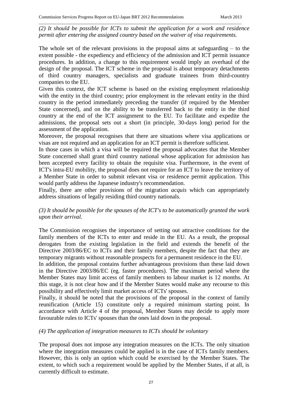\_\_\_\_\_\_\_\_\_\_\_\_\_\_\_\_\_\_\_\_\_\_\_\_\_\_\_\_\_\_\_\_\_\_\_\_\_\_\_\_\_\_\_\_\_\_\_\_\_\_\_\_\_\_\_\_\_\_\_\_\_\_\_\_\_\_\_\_\_\_\_\_\_\_\_\_\_\_\_\_\_\_\_\_\_\_\_\_\_\_\_\_ *(2) It should be possible for ICTs to submit the application for a work and residence permit after entering the assigned country based on the waiver of visa requirements.*

The whole set of the relevant provisions in the proposal aims at safeguarding – to the extent possible - the expediency and efficiency of the admission and ICT permit issuance procedures. In addition, a change to this requirement would imply an overhaul of the design of the proposal. The ICT scheme in the proposal is about temporary detachments of third country managers, specialists and graduate trainees from third-country companies to the EU.

Given this context, the ICT scheme is based on the existing employment relationship with the entity in the third country; prior employment in the relevant entity in the third country in the period immediately preceding the transfer (if required by the Member State concerned), and on the ability to be transferred back to the entity in the third country at the end of the ICT assignment to the EU. To facilitate and expedite the admissions, the proposal sets out a short (in principle, 30-days long) period for the assessment of the application.

Moreover, the proposal recognises that there are situations where visa applications or visas are not required and an application for an ICT permit is therefore sufficient.

In those cases in which a visa will be required the proposal advocates that the Member State concerned shall grant third country national whose application for admission has been accepted every facility to obtain the requisite visa. Furthermore, in the event of ICT's intra-EU mobility, the proposal does not require for an ICT to leave the territory of a Member State in order to submit relevant visa or residence permit application. This would partly address the Japanese industry's recommendation.

Finally, there are other provisions of the migration *acquis* which can appropriately address situations of legally residing third country nationals.

*(3) It should be possible for the spouses of the ICT's to be automatically granted the work upon their arrival.*

The Commission recognises the importance of setting out attractive conditions for the family members of the ICTs to enter and reside in the EU. As a result, the proposal derogates from the existing legislation in the field and extends the benefit of the Directive 2003/86/EC to ICTs and their family members, despite the fact that they are temporary migrants without reasonable prospects for a permanent residence in the EU.

In addition, the proposal contains further advantageous provisions than these laid down in the Directive 2003/86/EC (eg. faster procedures). The maximum period where the Member States may limit access of family members to labour market is 12 months. At this stage, it is not clear how and if the Member States would make any recourse to this possibility and effectively limit market access of ICTs' spouses.

Finally, it should be noted that the provisions of the proposal in the context of family reunification (Article 15) constitute only a required minimum starting point. In accordance with Article 4 of the proposal, Member States may decide to apply more favourable rules to ICTs' spouses than the ones laid down in the proposal.

*(4) The application of integration measures to ICTs should be voluntary*

The proposal does not impose any integration measures on the ICTs. The only situation where the integration measures could be applied is in the case of ICTs family members. However, this is only an option which could be exercised by the Member States. The extent, to which such a requirement would be applied by the Member States, if at all, is currently difficult to estimate.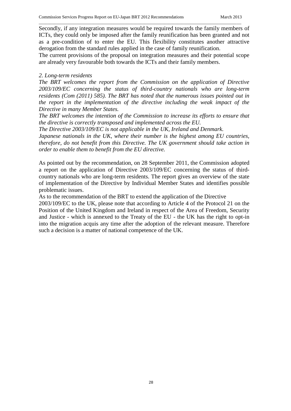\_\_\_\_\_\_\_\_\_\_\_\_\_\_\_\_\_\_\_\_\_\_\_\_\_\_\_\_\_\_\_\_\_\_\_\_\_\_\_\_\_\_\_\_\_\_\_\_\_\_\_\_\_\_\_\_\_\_\_\_\_\_\_\_\_\_\_\_\_\_\_\_\_\_\_\_\_\_\_\_\_\_\_\_\_\_\_\_\_\_\_\_ Secondly, if any integration measures would be required towards the family members of ICTs, they could only be imposed after the family reunification has been granted and not as a pre-condition of to enter the EU. This flexibility constitutes another attractive derogation from the standard rules applied in the case of family reunification.

The current provisions of the proposal on integration measures and their potential scope are already very favourable both towards the ICTs and their family members.

#### *2. Long-term residents*

*The BRT welcomes the report from the Commission on the application of Directive 2003/109/EC concerning the status of third-country nationals who are long-term residents (Com (2011) 585). The BRT has noted that the numerous issues pointed out in the report in the implementation of the directive including the weak impact of the Directive in many Member States.*

*The BRT welcomes the intention of the Commission to increase its efforts to ensure that the directive is correctly transposed and implemented across the EU.*

*The Directive 2003/109/EC is not applicable in the UK, Ireland and Denmark.*

*Japanese nationals in the UK, where their number is the highest among EU countries, therefore, do not benefit from this Directive. The UK government should take action in order to enable them to benefit from the EU directive.*

As pointed out by the recommendation, on 28 September 2011, the Commission adopted a report on the application of Directive 2003/109/EC concerning the status of thirdcountry nationals who are long-term residents. The report gives an overview of the state of implementation of the Directive by Individual Member States and identifies possible problematic issues.

As to the recommendation of the BRT to extend the application of the Directive

2003/109/EC to the UK, please note that according to Article 4 of the Protocol 21 on the Position of the United Kingdom and Ireland in respect of the Area of Freedom, Security and Justice - which is annexed to the Treaty of the EU - the UK has the right to opt-in into the migration acquis any time after the adoption of the relevant measure. Therefore such a decision is a matter of national competence of the UK.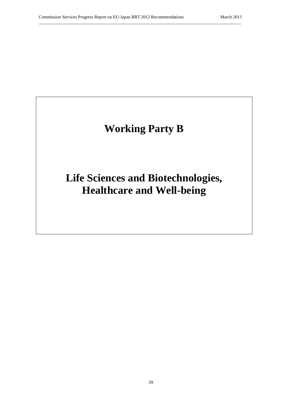## **Working Party B**

\_\_\_\_\_\_\_\_\_\_\_\_\_\_\_\_\_\_\_\_\_\_\_\_\_\_\_\_\_\_\_\_\_\_\_\_\_\_\_\_\_\_\_\_\_\_\_\_\_\_\_\_\_\_\_\_\_\_\_\_\_\_\_\_\_\_\_\_\_\_\_\_\_\_\_\_\_\_\_\_\_\_\_\_\_\_\_\_\_\_\_\_

# **Life Sciences and Biotechnologies, Healthcare and Well-being**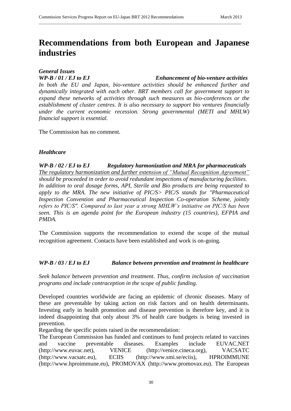## **Recommendations from both European and Japanese industries**

\_\_\_\_\_\_\_\_\_\_\_\_\_\_\_\_\_\_\_\_\_\_\_\_\_\_\_\_\_\_\_\_\_\_\_\_\_\_\_\_\_\_\_\_\_\_\_\_\_\_\_\_\_\_\_\_\_\_\_\_\_\_\_\_\_\_\_\_\_\_\_\_\_\_\_\_\_\_\_\_\_\_\_\_\_\_\_\_\_\_\_\_

### *General Issues*

#### *WP-B / 01 / EJ to EJ* Enhancement of bio-venture activities

*In both the EU and Japan, bio-venture activities should be enhanced further and dynamically integrated with each other. BRT members call for government support to expand these networks of activities through such measures as bio-conferences or the establishment of cluster centres. It is also necessary to support bio ventures financially under the current economic recession. Strong governmental (METI and MHLW) financial support is essential.*

The Commission has no comment.

#### *Healthcare*

*WP-B / 02 / EJ to EJ* Regulatory harmonization and MRA for pharmaceuticals *The regulatory harmonization and further extension of "Mutual Recognition Agreement" should be proceeded in order to avoid redundant inspections of manufacturing facilities. In addition to oral dosage forms, API, Sterile and Bio products are being requested to apply to the MRA. The new initiative of PIC/S> PIC/S stands for "Pharmaceutical Inspection Convention and Pharmaceutical Inspection Co-operation Scheme, jointly refers to PIC/S". Compared to last year a strong MHLW's initiative on PIC/S has been seen. This is an agenda point for the European industry (15 countries), EFPIA and PMDA.*

The Commission supports the recommendation to extend the scope of the mutual recognition agreement. Contacts have been established and work is on-going.

#### *WP-B / 03 / EJ to EJ Balance between prevention and treatment in healthcare*

*Seek balance between prevention and treatment. Thus, confirm inclusion of vaccination programs and include contraception in the scope of public funding.*

Developed countries worldwide are facing an epidemic of chronic diseases. Many of these are preventable by taking action on risk factors and on health determinants. Investing early in health promotion and disease prevention is therefore key, and it is indeed disappointing that only about 3% of health care budgets is being invested in prevention.

Regarding the specific points raised in the recommendation:

The European Commission has funded and continues to fund projects related to vaccines and vaccine preventable diseases. Examples include EUVAC.NET (http://www.euvac.net), VENICE (http://venice.cineca.org), VACSATC (http://www.vacsatc.eu), ECIIS (http://www.smi.se/eciis), HPROIMMUNE (http://www.hproimmune.eu), PROMOVAX (http://www.promovax.eu). The European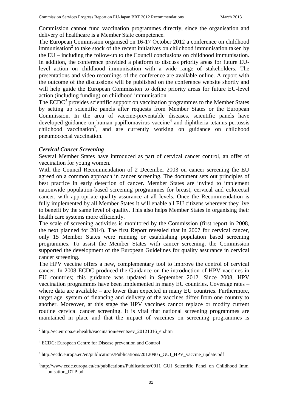Commission cannot fund vaccination programmes directly, since the organisation and delivery of healthcare is a Member State competence.

\_\_\_\_\_\_\_\_\_\_\_\_\_\_\_\_\_\_\_\_\_\_\_\_\_\_\_\_\_\_\_\_\_\_\_\_\_\_\_\_\_\_\_\_\_\_\_\_\_\_\_\_\_\_\_\_\_\_\_\_\_\_\_\_\_\_\_\_\_\_\_\_\_\_\_\_\_\_\_\_\_\_\_\_\_\_\_\_\_\_\_\_

The European Commission organised on 16-17 October 2012 a conference on childhood immunisation<sup>2</sup> to take stock of the recent initiatives on childhood immunisation taken by the EU – including the follow-up to the Council conclusions on childhood immunisation. In addition, the conference provided a platform to discuss priority areas for future EUlevel action on childhood immunisation with a wide range of stakeholders. The presentations and video recordings of the conference are available online. A report with the outcome of the discussions will be published on the conference website shortly and will help guide the European Commission to define priority areas for future EU-level action (including funding) on childhood immunisation.

The  $ECDC<sup>3</sup>$  provides scientific support on vaccination programmes to the Member States by setting up scientific panels after requests from Member States or the European Commission. In the area of vaccine-preventable diseases, scientific panels have developed guidance on human papillomavirus vaccine<sup>4</sup> and diphtheria-tetanus-pertussis childhood vaccination<sup>5</sup>, and are currently working on guidance on childhood pneumococcal vaccination.

#### *Cervical Cancer Screening*

Several Member States have introduced as part of cervical cancer control, an offer of vaccination for young women.

With the Council Recommendation of 2 December 2003 on cancer screening the EU agreed on a common approach in cancer screening. The document sets out principles of best practice in early detection of cancer. Member States are invited to implement nationwide population-based screening programmes for breast, cervical and colorectal cancer, with appropriate quality assurance at all levels. Once the Recommendation is fully implemented by all Member States it will enable all EU citizens wherever they live to benefit by the same level of quality. This also helps Member States in organising their health care systems more efficiently.

The scale of screening activities is monitored by the Commission (first report in 2008, the next planned for 2014). The first Report revealed that in 2007 for cervical cancer, only 15 Member States were running or establishing population based screening programmes. To assist the Member States with cancer screening, the Commission supported the development of the European Guidelines for quality assurance in cervical cancer screening.

The HPV vaccine offers a new, complementary tool to improve the control of cervical cancer. In 2008 ECDC produced the Guidance on the introduction of HPV vaccines in EU countries; this guidance was updated in September 2012. Since 2008, HPV vaccination programmes have been implemented in many EU countries. Coverage rates – where data are available – are lower than expected in many EU countries. Furthermore, target age, system of financing and delivery of the vaccines differ from one country to another. Moreover, at this stage the HPV vaccines cannot replace or modify current routine cervical cancer screening. It is vital that national screening programmes are maintained in place and that the impact of vaccines on screening programmes is

 2 http://ec.europa.eu/health/vaccination/events/ev\_20121016\_en.htm

<sup>&</sup>lt;sup>3</sup> ECDC: European Centre for Disease prevention and Control

<sup>&</sup>lt;sup>4</sup> http://ecdc.europa.eu/en/publications/Publications/20120905\_GUI\_HPV\_vaccine\_update.pdf

<sup>&</sup>lt;sup>5</sup>http://www.ecdc.europa.eu/en/publications/Publications/0911\_GUI\_Scientific\_Panel\_on\_Childhood\_Imm unisation\_DTP.pdf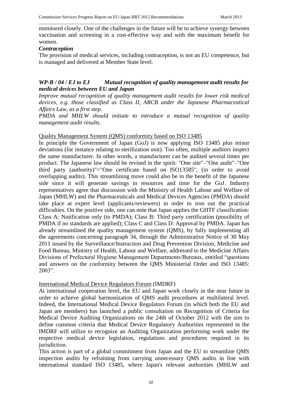monitored closely. One of the challenges in the future will be to achieve synergy between vaccination and screening in a cost-effective way and with the maximum benefit for women.

\_\_\_\_\_\_\_\_\_\_\_\_\_\_\_\_\_\_\_\_\_\_\_\_\_\_\_\_\_\_\_\_\_\_\_\_\_\_\_\_\_\_\_\_\_\_\_\_\_\_\_\_\_\_\_\_\_\_\_\_\_\_\_\_\_\_\_\_\_\_\_\_\_\_\_\_\_\_\_\_\_\_\_\_\_\_\_\_\_\_\_\_

#### *Contraception*

The provision of medical services, including contraception, is not an EU competence, but is managed and delivered at Member State level.

#### *WP-B / 04 / EJ to EJ Mutual recognition of quality management audit results for medical devices between EU and Japan*

*Improve mutual recognition of quality management audit results for lower risk medical devices, e.g. those classified as Class II, ARCB under the Japanese Pharmaceutical Affairs Law, as a first step.*

*PMDA and MHLW should initiate to introduce a mutual recognition of quality management audit results.*

#### Quality Management System (QMS) conformity based on ISO 13485

In principle the Government of Japan (GoJ) is now applying ISO 13485 plus minor deviations (for instance relating to sterilization unit). Too often, multiple auditors inspect the same manufacturer. In other words, a manufacturer can be audited several times per product. The Japanese law should be revised in the spirit: "One site"–"One audit"–"One third party (authority)"="One certificate based on ISO13585", (in order to avoid overlapping audits). This streamlining move could also be in the benefit of the Japanese side since it will generate savings in resources and time for the GoJ. Industry representatives agree that discussion with the Ministry of Health Labour and Welfare of Japan (MHLW) and the Pharmaceuticals and Medical Devices Agencies (PMDA) should take place at expert level (applicants/reviewers) in order to iron out the practical difficulties. On the positive side, one can note that Japan applies the GHTF classification: Class A: Notification only (to PMDA); Class B: Third party certification (possibility of PMDA if no standards are applied); Class C and Class D: Approval by PMDA. Japan has already streamlined the quality management system (QMS), by fully implementing all the agreements concerning paragraph 34, through the Administrative Notice of 30 May 2011 issued by the Surveillance/Instruction and Drug Prevention Division, Medicine and Food Bureau, Ministry of Health, Labour and Welfare, addressed to the Medicine Affairs Divisions of Prefectural Hygiene Management Departments/Bureaux, entitled "questions and answers on the conformity between the QMS Ministerial Order and ISO 13485: 2003".

#### International Medical Device Regulators Forum (IMDRF)

At international cooperation level, the EU and Japan work closely in the near future in order to achieve global harmonization of QMS audit procedures at multilateral level. Indeed, the International Medical Device Regulators Forum (in which both the EU and Japan are members) has launched a public consultation on Recognition of Criteria for Medical Device Auditing Organizations on the 24th of October 2012 with the aim to define common criteria that Medical Device Regulatory Authorities represented in the IMDRF will utilize to recognize an Auditing Organization performing work under the respective medical device legislation, regulations and procedures required in its jurisdiction.

This action is part of a global commitment from Japan and the EU to streamline QMS inspection audits by refraining from carrying unnecessary QMS audits in line with international standard ISO 13485, where Japan's relevant authorities (MHLW and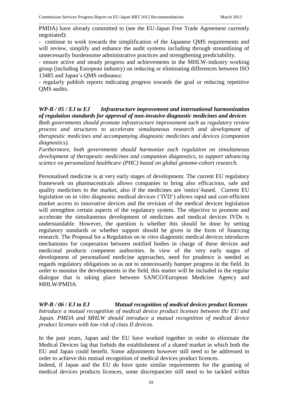PMDA) have already committed to (see the EU-Japan Free Trade Agreement currently negotiated):

\_\_\_\_\_\_\_\_\_\_\_\_\_\_\_\_\_\_\_\_\_\_\_\_\_\_\_\_\_\_\_\_\_\_\_\_\_\_\_\_\_\_\_\_\_\_\_\_\_\_\_\_\_\_\_\_\_\_\_\_\_\_\_\_\_\_\_\_\_\_\_\_\_\_\_\_\_\_\_\_\_\_\_\_\_\_\_\_\_\_\_\_

- continue to work towards the simplification of the Japanese QMS requirements and will review, simplify and enhance the audit systems including through streamlining of unnecessarily burdensome administrative practices and strengthening predictability.

- ensure active and steady progress and achievements in the MHLW-industry working group (including European industry) on reducing or eliminating differences between ISO 13485 and Japan's QMS ordinance.

- regularly publish reports indicating progress towards the goal or reducing repetitive QMS audits.

#### *WP-B / 05 / EJ to EJ Infrastructure improvement and international harmonization of regulation standards for approval of non-invasive diagnostic medicines and devices*

*Both governments should promote infrastructure improvement such as regulatory review process and structures to accelerate simultaneous research and development of therapeutic medicines and accompanying diagnostic medicines and devices (companion diagnostics).*

*Furthermore, both governments should harmonize each regulation on simultaneous development of therapeutic medicines and companion diagnostics, to support advancing science on personalized healthcare (PHC) based on global genome-cohort research.*

Personalised medicine is at very early stages of development. The current EU regulatory framework on pharmaceuticals allows companies to bring also efficacious, safe and quality medicines to the market, also if the medicines are 'omics'-based. Current EU legislation on in vitro diagnostic medical devices ('IVD') allows rapid and cost-efficient market access to innovative devices and the revision of the medical devices legislation will strengthen certain aspects of the regulatory system. The objective to promote and accelerate the simultaneous development of medicines and medical devices IVDs is understandable. However, the question is whether this should be done by setting regulatory standards or whether support should be given in the form of financing research. The Proposal for a Regulation on in vitro diagnostic medical devices introduces mechanisms for cooperation between notified bodies in charge of these devices and medicinal products competent authorities. In view of the very early stages of development of personalised medicine approaches, need for prudence is needed as regards regulatory obligations so as not to unnecessarily hamper progress in the field. In order to monitor the developments in the field, this matter will be included in the regular dialogue that is taking place between SANCO/European Medicine Agency and MHLW/PMDA.

*WP-B / 06 / EJ to EJ Mutual recognition of medical devices product licenses Introduce a mutual recognition of medical device product licenses between the EU and Japan. PMDA and MHLW should introduce a mutual recognition of medical device product licenses with low risk of class II devices.*

In the past years, Japan and the EU have worked together in order to eliminate the Medical Devices lag that forbids the establishment of a shared market in which both the EU and Japan could benefit. Some adjustments however still need to be addressed in order to achieve this mutual recognition of medical devices product licences.

Indeed, if Japan and the EU do have quite similar requirements for the granting of medical devices products licences, some discrepancies still need to be tackled within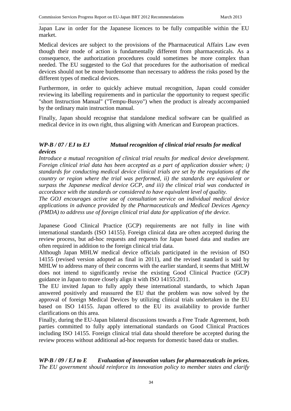Japan Law in order for the Japanese licences to be fully compatible within the EU market.

\_\_\_\_\_\_\_\_\_\_\_\_\_\_\_\_\_\_\_\_\_\_\_\_\_\_\_\_\_\_\_\_\_\_\_\_\_\_\_\_\_\_\_\_\_\_\_\_\_\_\_\_\_\_\_\_\_\_\_\_\_\_\_\_\_\_\_\_\_\_\_\_\_\_\_\_\_\_\_\_\_\_\_\_\_\_\_\_\_\_\_\_

Medical devices are subject to the provisions of the Pharmaceutical Affairs Law even though their mode of action is fundamentally different from pharmaceuticals. As a consequence, the authorization procedures could sometimes be more complex than needed. The EU suggested to the GoJ that procedures for the authorisation of medical devices should not be more burdensome than necessary to address the risks posed by the different types of medical devices.

Furthermore, in order to quickly achieve mutual recognition, Japan could consider reviewing its labelling requirements and in particular the opportunity to request specific "short Instruction Manual" ("Tempu-Busyo") when the product is already accompanied by the ordinary main instruction manual.

Finally, Japan should recognise that standalone medical software can be qualified as medical device in its own right, thus aligning with American and European practices.

### *WP-B / 07 / EJ to EJ Mutual recognition of clinical trial results for medical devices*

*Introduce a mutual recognition of clinical trial results for medical device development. Foreign clinical trial data has been accepted as a part of application dossier when; i) standards for conducting medical device clinical trials are set by the regulations of the country or region where the trial was performed, ii) the standards are equivalent or surpass the Japanese medical device GCP, and iii) the clinical trial was conducted in accordance with the standards or considered to have equivalent level of quality.*

*The GOJ encourages active use of consultation service on individual medical device applications in advance provided by the Pharmaceuticals and Medical Devices Agency (PMDA) to address use of foreign clinical trial data for application of the device.*

Japanese Good Clinical Practice (GCP) requirements are not fully in line with international standards (ISO 14155). Foreign clinical data are often accepted during the review process, but ad-hoc requests and requests for Japan based data and studies are often required in addition to the foreign clinical trial data.

Although Japan MHLW medical device officials participated in the revision of ISO 14155 (revised version adopted as final in 2011), and the revised standard is said by MHLW to address many of their concerns with the earlier standard, it seems that MHLW does not intend to significantly revise the existing Good Clinical Practice (GCP) guidance in Japan to more closely align it with ISO 14155:2011.

The EU invited Japan to fully apply these international standards, to which Japan answered positively and reassured the EU that the problem was now solved by the approval of foreign Medical Devices by utilizing clinical trials undertaken in the EU based on ISO 14155. Japan offered to the EU its availability to provide further clarifications on this area.

Finally, during the EU-Japan bilateral discussions towards a Free Trade Agreement, both parties committed to fully apply international standards on Good Clinical Practices including ISO 14155. Foreign clinical trial data should therefore be accepted during the review process without additional ad-hoc requests for domestic based data or studies.

*WP-B / 09 / EJ to E Evaluation of innovation values for pharmaceuticals in prices. The EU government should reinforce its innovation policy to member states and clarify*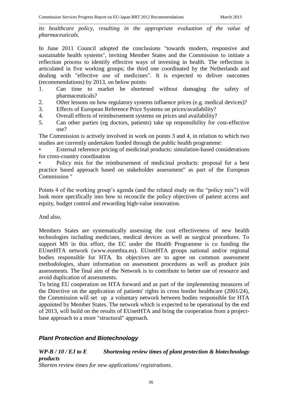*its healthcare policy, resulting in the appropriate evaluation of the value of pharmaceuticals.*

\_\_\_\_\_\_\_\_\_\_\_\_\_\_\_\_\_\_\_\_\_\_\_\_\_\_\_\_\_\_\_\_\_\_\_\_\_\_\_\_\_\_\_\_\_\_\_\_\_\_\_\_\_\_\_\_\_\_\_\_\_\_\_\_\_\_\_\_\_\_\_\_\_\_\_\_\_\_\_\_\_\_\_\_\_\_\_\_\_\_\_\_

In June 2011 Council adopted the conclusions "towards modern, responsive and sustainable health systems", inviting Member States and the Commission to initiate a reflection process to identify effective ways of investing in health. The reflection is articulated in five working groups; the third one coordinated by the Netherlands and dealing with "effective use of medicines". It is expected to deliver outcomes (recommendations) by 2013, on below points:

- 1. Can time to market be shortened without damaging the safety of pharmaceuticals?
- 2. Other lessons on how regulatory systems influence prices (e.g. medical devices)?
- 3. Effects of European Reference Price Systems on prices/availability?
- 4. Overall effects of reimbursement systems on prices and availability?
- 5. Can other parties (eg doctors, patients) take up responsibility for cost-effective use?

The Commission is actively involved in work on points 3 and 4, in relation to which two studies are currently undertaken funded through the public health programme:

External reference pricing of medicinal products: simulation-based considerations for cross-country coordination

• Policy mix for the reimbursement of medicinal products: proposal for a best practice based approach based on stakeholder assessment" as part of the European Commission "

Points 4 of the working group's agenda (and the related study on the "policy mix") will look more specifically into how to reconcile the policy objectives of patient access and equity, budget control and rewarding high-value innovation.

And also,

Members States are systematically assessing the cost effectiveness of new health technologies including medicines, medical devices as well as surgical procedures. To support MS in this effort, the EC under the Health Programme is co funding the EUnetHTA network (www.eunethta.eu). EUnetHTA groups national and/or regional bodies responsible for HTA. Its objectives are to agree on common assessment methodologies, share information on assessment procedures as well as produce join assessments. The final aim of the Network is to contribute to better use of resource and avoid duplication of assessments.

To bring EU cooperation on HTA forward and as part of the implementing measures of the Directive on the application of patients' rights in cross border healthcare (2001/24), the Commission will set up a voluntary network between bodies responsible for HTA appointed by Member States. The network which is expected to be operational by the end of 2013, will build on the results of EUnetHTA and bring the cooperation from a projectbase approach to a more "structural" approach.

### *Plant Protection and Biotechnology*

*WP-B / 10 / EJ to E Shortening review times of plant protection & biotechnology products Shorten review times for new applications/ registrations.*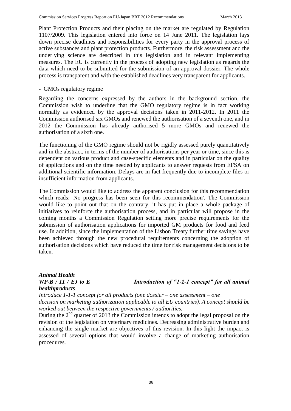Plant Protection Products and their placing on the market are regulated by Regulation 1107/2009. This legislation entered into force on 14 June 2011. The legislation lays down precise deadlines and responsibilities for every party in the approval process of active substances and plant protection products. Furthermore, the risk assessment and the underlying science are described in this legislation and in relevant implementing measures. The EU is currently in the process of adopting new legislation as regards the data which need to be submitted for the submission of an approval dossier. The whole process is transparent and with the established deadlines very transparent for applicants.

\_\_\_\_\_\_\_\_\_\_\_\_\_\_\_\_\_\_\_\_\_\_\_\_\_\_\_\_\_\_\_\_\_\_\_\_\_\_\_\_\_\_\_\_\_\_\_\_\_\_\_\_\_\_\_\_\_\_\_\_\_\_\_\_\_\_\_\_\_\_\_\_\_\_\_\_\_\_\_\_\_\_\_\_\_\_\_\_\_\_\_\_

#### - GMOs regulatory regime

Regarding the concerns expressed by the authors in the background section, the Commission wish to underline that the GMO regulatory regime is in fact working normally as evidenced by the approval decisions taken in 2011-2012. In 2011 the Commission authorised six GMOs and renewed the authorisation of a seventh one, and in 2012 the Commission has already authorised 5 more GMOs and renewed the authorisation of a sixth one.

The functioning of the GMO regime should not be rigidly assessed purely quantitatively and in the abstract, in terms of the number of authorisations per year or time, since this is dependent on various product and case-specific elements and in particular on the quality of applications and on the time needed by applicants to answer requests from EFSA on additional scientific information. Delays are in fact frequently due to incomplete files or insufficient information from applicants.

The Commission would like to address the apparent conclusion for this recommendation which reads: 'No progress has been seen for this recommendation'. The Commission would like to point out that on the contrary, it has put in place a whole package of initiatives to reinforce the authorisation process, and in particular will propose in the coming months a Commission Regulation setting more precise requirements for the submission of authorisation applications for imported GM products for food and feed use. In addition, since the implementation of the Lisbon Treaty further time savings have been achieved through the new procedural requirements concerning the adoption of authorisation decisions which have reduced the time for risk management decisions to be taken.

## *Animal Health healthproducts*

*WP-B / 11 / EJ to E Introduction of "1-1-1 concept" for all animal* 

*Introduce 1-1-1 concept for all products (one dossier – one assessment – one decision on marketing authorization applicable to all EU countries). A concept should be worked out between the respective governments / authorities.*

During the  $2<sup>nd</sup>$  quarter of 2013 the Commission intends to adopt the legal proposal on the revision of the legislation on veterinary medicines. Decreasing administrative burden and enhancing the single market are objectives of this revision. In this light the impact is assessed of several options that would involve a change of marketing authorisation procedures.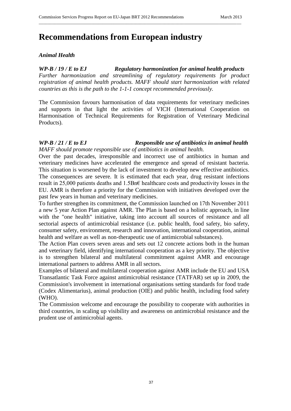## **Recommendations from European industry**

#### *Animal Health*

*WP-B / 19 / E to EJ* Regulatory harmonization for animal health products *Further harmonization and streamlining of regulatory requirements for product registration of animal health products. MAFF should start harmonization with related countries as this is the path to the 1-1-1 concept recommended previously.*

\_\_\_\_\_\_\_\_\_\_\_\_\_\_\_\_\_\_\_\_\_\_\_\_\_\_\_\_\_\_\_\_\_\_\_\_\_\_\_\_\_\_\_\_\_\_\_\_\_\_\_\_\_\_\_\_\_\_\_\_\_\_\_\_\_\_\_\_\_\_\_\_\_\_\_\_\_\_\_\_\_\_\_\_\_\_\_\_\_\_\_\_

The Commission favours harmonisation of data requirements for veterinary medicines and supports in that light the activities of VICH (International Cooperation on Harmonisation of Technical Requirements for Registration of Veterinary Medicinal Products).

#### *WP-B / 21 / E to EJ Responsible use of antibiotics in animal health MAFF should promote responsible use of antibiotics in animal health.*

Over the past decades, irresponsible and incorrect use of antibiotics in human and veterinary medicines have accelerated the emergence and spread of resistant bacteria. This situation is worsened by the lack of investment to develop new effective antibiotics. The consequences are severe. It is estimated that each year, drug resistant infections result in 25,000 patients deaths and 1.5Bn€ healthcare costs and productivity losses in the EU. AMR is therefore a priority for the Commission with initiatives developed over the past few years in human and veterinary medicines.

To further strengthen its commitment, the Commission launched on 17th November 2011 a new 5 year Action Plan against AMR. The Plan is based on a holistic approach, in line with the "one health" initiative, taking into account all sources of resistance and all sectorial aspects of antimicrobial resistance (i.e. public health, food safety, bio safety, consumer safety, environment, research and innovation, international cooperation, animal health and welfare as well as non-therapeutic use of antimicrobial substances).

The Action Plan covers seven areas and sets out 12 concrete actions both in the human and veterinary field, identifying international cooperation as a key priority. The objective is to strengthen bilateral and multilateral commitment against AMR and encourage international partners to address AMR in all sectors.

Examples of bilateral and multilateral cooperation against AMR include the EU and USA Transatlantic Task Force against antimicrobial resistance (TATFAR) set up in 2009, the Commission's involvement in international organisations setting standards for food trade (Codex Alimentarius), animal production (OIE) and public health, including food safety (WHO).

The Commission welcome and encourage the possibility to cooperate with authorities in third countries, in scaling up visibility and awareness on antimicrobial resistance and the prudent use of antimicrobial agents.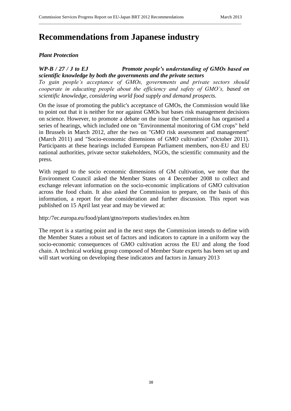# **Recommendations from Japanese industry**

#### *Plant Protection*

### *WP-B / 27 / J to EJ Promote people's understanding of GMOs based on scientific knowledge by both the governments and the private sectors*

\_\_\_\_\_\_\_\_\_\_\_\_\_\_\_\_\_\_\_\_\_\_\_\_\_\_\_\_\_\_\_\_\_\_\_\_\_\_\_\_\_\_\_\_\_\_\_\_\_\_\_\_\_\_\_\_\_\_\_\_\_\_\_\_\_\_\_\_\_\_\_\_\_\_\_\_\_\_\_\_\_\_\_\_\_\_\_\_\_\_\_\_

*To gain people's acceptance of GMOs, governments and private sectors should cooperate in educating people about the efficiency and safety of GMO's, based on scientific knowledge, considering world food supply and demand prospects.*

On the issue of promoting the public's acceptance of GMOs, the Commission would like to point out that it is neither for nor against GMOs but bases risk management decisions on science. However, to promote a debate on the issue the Commission has organised a series of hearings, which included one on "Environmental monitoring of GM crops" held in Brussels in March 2012, after the two on "GMO risk assessment and management" (March 2011) and "Socio-economic dimensions of GMO cultivation" (October 2011). Participants at these hearings included European Parliament members, non-EU and EU national authorities, private sector stakeholders, NGOs, the scientific community and the press.

With regard to the socio economic dimensions of GM cultivation, we note that the Environment Council asked the Member States on 4 December 2008 to collect and exchange relevant information on the socio-economic implications of GMO cultivation across the food chain. It also asked the Commission to prepare, on the basis of this information, a report for due consideration and further discussion. This report was published on 15 April last year and may be viewed at:

http:/7ec.europa.eu/food/plant/gtno/reports studies/index en.htm

The report is a starting point and in the next steps the Commission intends to define with the Member States a robust set of factors and indicators to capture in a uniform way the socio-economic consequences of GMO cultivation across the EU and along the food chain. A technical working group composed of Member State experts has been set up and will start working on developing these indicators and factors in January 2013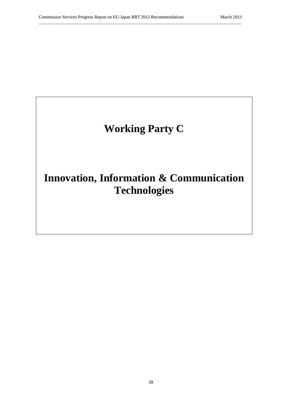# **Working Party C**

\_\_\_\_\_\_\_\_\_\_\_\_\_\_\_\_\_\_\_\_\_\_\_\_\_\_\_\_\_\_\_\_\_\_\_\_\_\_\_\_\_\_\_\_\_\_\_\_\_\_\_\_\_\_\_\_\_\_\_\_\_\_\_\_\_\_\_\_\_\_\_\_\_\_\_\_\_\_\_\_\_\_\_\_\_\_\_\_\_\_\_\_

# **Innovation, Information & Communication Technologies**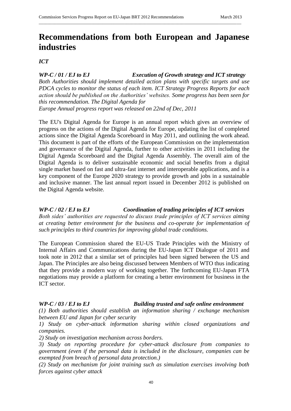## **Recommendations from both European and Japanese industries**

\_\_\_\_\_\_\_\_\_\_\_\_\_\_\_\_\_\_\_\_\_\_\_\_\_\_\_\_\_\_\_\_\_\_\_\_\_\_\_\_\_\_\_\_\_\_\_\_\_\_\_\_\_\_\_\_\_\_\_\_\_\_\_\_\_\_\_\_\_\_\_\_\_\_\_\_\_\_\_\_\_\_\_\_\_\_\_\_\_\_\_\_

*ICT*

### *WP-C / 01 / EJ to EJ Execution of Growth strategy and ICT strategy Both Authorities should implement detailed action plans with specific targets and use PDCA cycles to monitor the status of each item. ICT Strategy Progress Reports for each action should be published on the Authorities' websites. Some progress has been seen for this recommendation. The Digital Agenda for*

*Europe Annual progress report was released on 22nd of Dec, 2011*

The EU's Digital Agenda for Europe is an annual report which gives an overview of progress on the actions of the Digital Agenda for Europe, updating the list of completed actions since the Digital Agenda Scoreboard in May 2011, and outlining the work ahead. This document is part of the efforts of the European Commission on the implementation and governance of the Digital Agenda, further to other activities in 2011 including the Digital Agenda Scoreboard and the Digital Agenda Assembly. The overall aim of the Digital Agenda is to deliver sustainable economic and social benefits from a digital single market based on fast and ultra-fast internet and interoperable applications, and is a key component of the Europe 2020 strategy to provide growth and jobs in a sustainable and inclusive manner. The last annual report issued in December 2012 is published on the Digital Agenda website.

#### *WP-C / 02 / EJ to EJ Coordination of trading principles of ICT services*

*Both sides' authorities are requested to discuss trade principles of ICT services aiming at creating better environment for the business and co-operate for implementation of such principles to third countries for improving global trade conditions.*

The European Commission shared the EU-US Trade Principles with the Ministry of Internal Affairs and Communications during the EU-Japan ICT Dialogue of 2011 and took note in 2012 that a similar set of principles had been signed between the US and Japan. The Principles are also being discussed between Members of WTO thus indicating that they provide a modern way of working together. The forthcoming EU-Japan FTA negotiations may provide a platform for creating a better environment for business in the ICT sector.

#### *WP-C / 03 / EJ to EJ Building trusted and safe online environment*

*(1) Both authorities should establish an information sharing / exchange mechanism between EU and Japan for cyber security*

*1) Study on cyber-attack information sharing within closed organizations and companies.*

*2) Study on investigation mechanism across borders.*

*3) Study on reporting procedure for cyber-attack disclosure from companies to government (even if the personal data is included in the disclosure, companies can be exempted from breach of personal data protection.)*

*(2) Study on mechanism for joint training such as simulation exercises involving both forces against cyber attack*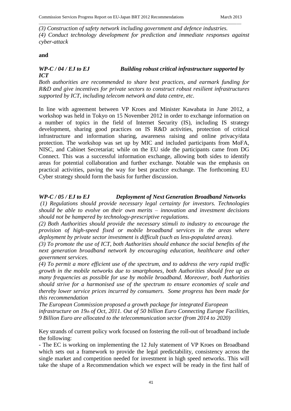*(3) Construction of safety network including government and defence industries. (4) Conduct technology development for prediction and immediate responses against cyber-attack*

\_\_\_\_\_\_\_\_\_\_\_\_\_\_\_\_\_\_\_\_\_\_\_\_\_\_\_\_\_\_\_\_\_\_\_\_\_\_\_\_\_\_\_\_\_\_\_\_\_\_\_\_\_\_\_\_\_\_\_\_\_\_\_\_\_\_\_\_\_\_\_\_\_\_\_\_\_\_\_\_\_\_\_\_\_\_\_\_\_\_\_\_

**and** 

### *WP-C / 04 / EJ to EJ Building robust critical infrastructure supported by ICT*

*Both authorities are recommended to share best practices, and earmark funding for R&D and give incentives for private sectors to construct robust resilient infrastructures supported by ICT, including telecom network and data centre, etc.*

In line with agreement between VP Kroes and Minister Kawabata in June 2012, a workshop was held in Tokyo on 15 November 2012 in order to exchange information on a number of topics in the field of Internet Security (IS), including IS strategy development, sharing good practices on IS R&D activities, protection of critical infrastructure and information sharing, awareness raising and online privacy/data protection. The workshop was set up by MIC and included participants from MoFA, NISC, and Cabinet Secretariat; while on the EU side the participants came from DG Connect. This was a successful information exchange, allowing both sides to identify areas for potential collaboration and further exchange. Notable was the emphasis on practical activities, paving the way for best practice exchange. The forthcoming EU Cyber strategy should form the basis for further discussion.

### *WP-C / 05 / EJ to EJ Deployment of Next Generation Broadband Networks*

*(1) Regulations should provide necessary legal certainty for investors. Technologies should be able to evolve on their own merits – innovation and investment decisions should not be hampered by technology-prescriptive regulations.*

*(2) Both Authorities should provide the necessary stimuli to industry to encourage the provision of high-speed fixed or mobile broadband services in the areas where deployment by private sector investment is difficult (such as less-populated areas).*

*(3) To promote the use of ICT, both Authorities should enhance the social benefits of the next generation broadband network by encouraging education, healthcare and other government services.*

*(4) To permit a more efficient use of the spectrum, and to address the very rapid traffic growth in the mobile networks due to smartphones, both Authorities should free up as many frequencies as possible for use by mobile broadband. Moreover, both Authorities should strive for a harmonised use of the spectrum to ensure economies of scale and thereby lower service prices incurred by consumers. Some progress has been made for this recommendation*

*The European Commission proposed a growth package for integrated European infrastructure on 19th of Oct, 2011. Out of 50 billion Euro Connecting Europe Facilities, 9 Billion Euro are allocated to the telecommunication sector (from 2014 to 2020)*

Key strands of current policy work focused on fostering the roll-out of broadband include the following:

- The EC is working on implementing the 12 July statement of VP Kroes on Broadband which sets out a framework to provide the legal predictability, consistency across the single market and competition needed for investment in high speed networks. This will take the shape of a Recommendation which we expect will be ready in the first half of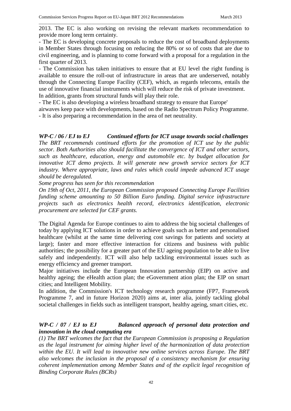2013. The EC is also working on revising the relevant markets recommendation to provide more long term certainty.

\_\_\_\_\_\_\_\_\_\_\_\_\_\_\_\_\_\_\_\_\_\_\_\_\_\_\_\_\_\_\_\_\_\_\_\_\_\_\_\_\_\_\_\_\_\_\_\_\_\_\_\_\_\_\_\_\_\_\_\_\_\_\_\_\_\_\_\_\_\_\_\_\_\_\_\_\_\_\_\_\_\_\_\_\_\_\_\_\_\_\_\_

- The EC is developing concrete proposals to reduce the cost of broadband deployments in Member States through focusing on reducing the 80% or so of costs that are due to civil engineering, and is planning to come forward with a proposal for a regulation in the first quarter of 2013.

- The Commission has taken initiatives to ensure that at EU level the right funding is available to ensure the roll-out of infrastructure in areas that are underserved, notably through the Connecting Europe Facility (CEF), which, as regards telecoms, entails the use of innovative financial instruments which will reduce the risk of private investment. In addition, grants from structural funds will play their role.

- The EC is also developing a wireless broadband strategy to ensure that Europe'

airwaves keep pace with developments, based on the Radio Spectrum Policy Programme. - It is also preparing a recommendation in the area of net neutrality.

*WP-C / 06 / EJ to EJ Continued efforts for ICT usage towards social challenges The BRT recommends continued efforts for the promotion of ICT use by the public sector. Both Authorities also should facilitate the convergence of ICT and other sectors, such as healthcare, education, energy and automobile etc. by budget allocation for innovative ICT demo projects. It will generate new growth service sectors for ICT industry. Where appropriate, laws and rules which could impede advanced ICT usage should be deregulated.*

*Some progress has seen for this recommendation*

*On 19th of Oct, 2011, the European Commission proposed Connecting Europe Facilities funding scheme amounting to 50 Billion Euro funding. Digital service infrastructure projects such as electronics health record, electronics identification, electronic procurement are selected for CEF grants.*

The Digital Agenda for Europe continues to aim to address the big societal challenges of today by applying ICT solutions in order to achieve goals such as better and personalised healthcare (whilst at the same time delivering cost savings for patients and society at large); faster and more effective interaction for citizens and business with public authorities; the possibility for a greater part of the EU ageing population to be able to live safely and independently. ICT will also help tackling environmental issues such as energy efficiency and greener transport.

Major initiatives include the European Innovation partnership (EIP) on active and healthy ageing; the eHealth action plan; the eGovernment ation plan; the EIP on smart cities; and Intelligent Mobility.

In addition, the Commission's ICT technology research programme (FP7, Framework Programme 7, and in future Horizon 2020) aims at, inter alia, jointly tackling global societal challenges in fields such as intelligent transport, healthy ageing, smart cities, etc.

#### *WP-C / 07 / EJ to EJ Balanced approach of personal data protection and innovation in the cloud computing era*

*(1) The BRT welcomes the fact that the European Commission is proposing a Regulation as the legal instrument for aiming higher level of the harmonization of data protection within the EU. It will lead to innovative new online services across Europe. The BRT also welcomes the inclusion in the proposal of a consistency mechanism for ensuring coherent implementation among Member States and of the explicit legal recognition of Binding Corporate Rules (BCRs)*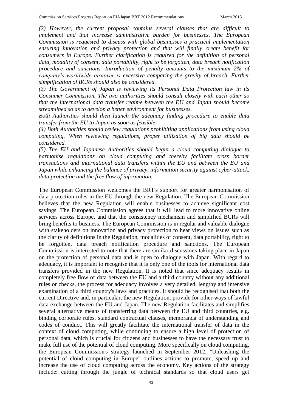*(2) However, the current proposal contains several clauses that are difficult to implement and that increase administrative burden for businesses. The European Commission is requested to discuss with global businesses a practical implementation ensuring innovation and privacy protection and that will finally create benefit for consumers in Europe. Further clarification is required for the definition of personal data, modality of consent, data portability, right to be forgotten, data breach notification procedure and sanctions. Introduction of penalty amounts to the maximum 2% of company's worldwide turnover is excessive comparing the gravity of breach. Further simplification of BCRs should also be considered.*

\_\_\_\_\_\_\_\_\_\_\_\_\_\_\_\_\_\_\_\_\_\_\_\_\_\_\_\_\_\_\_\_\_\_\_\_\_\_\_\_\_\_\_\_\_\_\_\_\_\_\_\_\_\_\_\_\_\_\_\_\_\_\_\_\_\_\_\_\_\_\_\_\_\_\_\_\_\_\_\_\_\_\_\_\_\_\_\_\_\_\_\_

*(3) The Government of Japan is reviewing its Personal Data Protection law in its Consumer Commission. The two authorities should consult closely with each other so that the international data transfer regime between the EU and Japan should become streamlined so as to develop a better environment for businesses.*

*Both Authorities should then launch the adequacy finding procedure to enable data transfer from the EU to Japan as soon as feasible.*

*(4) Both Authorities should review regulations prohibiting applications from using cloud computing. When reviewing regulations, proper utilization of big data should be considered.*

*(5) The EU and Japanese Authorities should begin a cloud computing dialogue to harmonise regulations on cloud computing and thereby facilitate cross border transactions and international data transfers within the EU and between the EU and Japan while enhancing the balance of privacy, information security against cyber-attack, data protection and the free flow of information.*

The European Commission welcomes the BRT's support for greater harmonisation of data protection rules in the EU through the new Regulation. The European Commission believes that the new Regulation will enable businesses to achieve significant cost savings. The European Commission agrees that it will lead to more innovative online services across Europe, and that the consistency mechanism and simplified BCRs will bring benefits to business. The European Commission is in regular and valuable dialogue with stakeholders on innovation and privacy protection to hear views on issues such as the clarity of definitions in the Regulation, modalities of consent, data portability, right to be forgotten, data breach notification procedure and sanctions. The European Commission is interested to note that there are similar discussions taking place in Japan on the protection of personal data and is open to dialogue with Japan. With regard to adequacy, it is important to recognise that it is only one of the tools for international data transfers provided in the new Regulation. It is noted that since adequacy results in completely free flow of data between the EU and a third country without any additional rules or checks, the process for adequacy involves a very detailed, lengthy and intensive examination of a third country's laws and practices. It should be recognised that both the current Directive and, in particular, the new Regulation, provide for other ways of lawful data exchange between the EU and Japan. The new Regulation facilitates and simplifies several alternative means of transferring data between the EU and third countries, e.g. binding corporate rules, standard contractual clauses, memoranda of understanding and codes of conduct. This will greatly facilitate the international transfer of data in the context of cloud computing, while continuing to ensure a high level of protection of personal data, which is crucial for citizens and businesses to have the necessary trust to make full use of the potential of cloud computing. More specifically on cloud computing, the European Commission's strategy launched in September 2012, "Unleashing the potential of cloud computing in Europe" outlines actions to promote, speed up and increase the use of cloud computing across the economy. Key actions of the strategy include: cutting through the jungle of technical standards so that cloud users get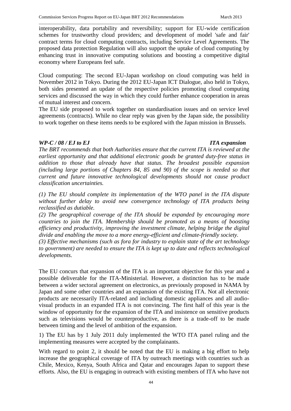interoperability, data portability and reversibility; support for EU-wide certification schemes for trustworthy cloud providers; and development of model 'safe and fair' contract terms for cloud computing contracts, including Service Level Agreements. The proposed data protection Regulation will also support the uptake of cloud computing by enhancing trust in innovative computing solutions and boosting a competitive digital economy where Europeans feel safe.

\_\_\_\_\_\_\_\_\_\_\_\_\_\_\_\_\_\_\_\_\_\_\_\_\_\_\_\_\_\_\_\_\_\_\_\_\_\_\_\_\_\_\_\_\_\_\_\_\_\_\_\_\_\_\_\_\_\_\_\_\_\_\_\_\_\_\_\_\_\_\_\_\_\_\_\_\_\_\_\_\_\_\_\_\_\_\_\_\_\_\_\_

Cloud computing: The second EU-Japan workshop on cloud computing was held in November 2012 in Tokyo. During the 2012 EU-Japan ICT Dialogue, also held in Tokyo, both sides presented an update of the respective policies promoting cloud computing services and discussed the way in which they could further enhance cooperation in areas of mutual interest and concern.

The EU side proposed to work together on standardisation issues and on service level agreements (contracts). While no clear reply was given by the Japan side, the possibility to work together on these items needs to be explored with the Japan mission in Brussels.

### *WP-C* / 08 / *EJ* to *EJ ITA expansion*

*The BRT recommends that both Authorities ensure that the current ITA is reviewed at the earliest opportunity and that additional electronic goods be granted duty-free status in addition to those that already have that status. The broadest possible expansion (including large portions of Chapters 84, 85 and 90) of the scope is needed so that current and future innovative technological developments should not cause product classification uncertainties.*

*(1) The EU should complete its implementation of the WTO panel in the ITA dispute without further delay to avoid new convergence technology of ITA products being reclassified as dutiable.*

*(2) The geographical coverage of the ITA should be expanded by encouraging more countries to join the ITA. Membership should be promoted as a means of boosting efficiency and productivity, improving the investment climate, helping bridge the digital divide and enabling the move to a more energy-efficient and climate-friendly society.*

*(3) Effective mechanisms (such as fora for industry to explain state of the art technology to government) are needed to ensure the ITA is kept up to date and reflects technological developments.*

The EU concurs that expansion of the ITA is an important objective for this year and a possible deliverable for the ITA-Ministerial. However, a distinction has to be made between a wider sectoral agreement on electronics, as previously proposed in NAMA by Japan and some other countries and an expansion of the existing ITA. Not all electronic products are necessarily ITA-related and including domestic appliances and all audiovisual products in an expanded ITA is not convincing. The first half of this year is the window of opportunity for the expansion of the ITA and insistence on sensitive products such as televisions would be counterproductive, as there is a trade-off to be made between timing and the level of ambition of the expansion.

1) The EU has by 1 July 2011 duly implemented the WTO ITA panel ruling and the implementing measures were accepted by the complainants.

With regard to point 2, it should be noted that the EU is making a big effort to help increase the geographical coverage of ITA by outreach meetings with countries such as Chile, Mexico, Kenya, South Africa and Qatar and encourages Japan to support these efforts. Also, the EU is engaging in outreach with existing members of ITA who have not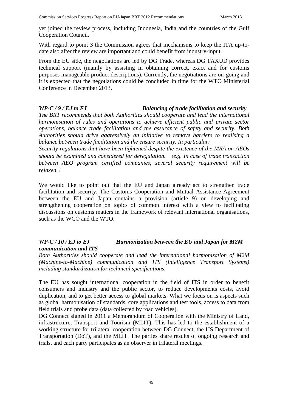yet joined the review process, including Indonesia, India and the countries of the Gulf Cooperation Council.

\_\_\_\_\_\_\_\_\_\_\_\_\_\_\_\_\_\_\_\_\_\_\_\_\_\_\_\_\_\_\_\_\_\_\_\_\_\_\_\_\_\_\_\_\_\_\_\_\_\_\_\_\_\_\_\_\_\_\_\_\_\_\_\_\_\_\_\_\_\_\_\_\_\_\_\_\_\_\_\_\_\_\_\_\_\_\_\_\_\_\_\_

With regard to point 3 the Commission agrees that mechanisms to keep the ITA up-todate also after the review are important and could benefit from industry-input.

From the EU side, the negotiations are led by DG Trade, whereas DG TAXUD provides technical support (mainly by assisting in obtaining correct, exact and for customs purposes manageable product descriptions). Currently, the negotiations are on-going and it is expected that the negotiations could be concluded in time for the WTO Ministerial Conference in December 2013.

### *WP-C / 9 / EJ to EJ Balancing of trade facilitation and security*

*The BRT recommends that both Authorities should cooperate and lead the international harmonisation of rules and operations to achieve efficient public and private sector operations, balance trade facilitation and the assurance of safety and security. Both Authorities should drive aggressively an initiative to remove barriers to realising a balance between trade facilitation and the ensure security. In particular:*

*Security regulations that have been tightened despite the existence of the MRA on AEOs should be examined and considered for deregulation.* (*e.g. In case of trade transaction between AEO program certified companies, several security requirement will be relaxed.*)

We would like to point out that the EU and Japan already act to strengthen trade facilitation and security. The Customs Cooperation and Mutual Assistance Agreement between the EU and Japan contains a provision (article 9) on developing and strengthening cooperation on topics of common interest with a view to facilitating discussions on customs matters in the framework of relevant international organisations, such as the WCO and the WTO.

### *WP-C / 10 / EJ to EJ Harmonization between the EU and Japan for M2M communication and ITS*

*Both Authorities should cooperate and lead the international harmonisation of M2M (Machine-to-Machine) communication and ITS (Intelligence Transport Systems) including standardization for technical specifications.*

The EU has sought international cooperation in the field of ITS in order to benefit consumers and industry and the public sector, to reduce developments costs, avoid duplication, and to get better access to global markets. What we focus on is aspects such as global harmonisation of standards, core applications and test tools, access to data from field trials and probe data (data collected by road vehicles).

DG Connect signed in 2011 a Memorandum of Cooperation with the Ministry of Land, infrastructure, Transport and Tourism (MLIT). This has led to the establishment of a working structure for trilateral cooperation between DG Connect, the US Department of Transportation (DoT), and the MLIT. The parties share results of ongoing research and trials, and each party participates as an observer in trilateral meetings.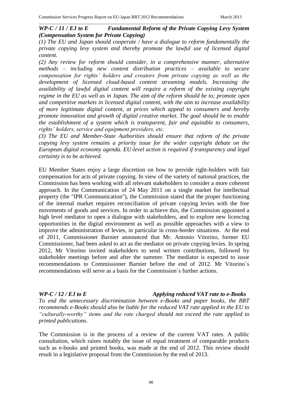*WP-C / 11 / EJ to E Fundamental Reform of the Private Copying Levy System (Compensation System for Private Copying)*

\_\_\_\_\_\_\_\_\_\_\_\_\_\_\_\_\_\_\_\_\_\_\_\_\_\_\_\_\_\_\_\_\_\_\_\_\_\_\_\_\_\_\_\_\_\_\_\_\_\_\_\_\_\_\_\_\_\_\_\_\_\_\_\_\_\_\_\_\_\_\_\_\_\_\_\_\_\_\_\_\_\_\_\_\_\_\_\_\_\_\_\_

*(1) The EU and Japan should cooperate / have a dialogue to reform fundamentally the private copying levy system and thereby promote the lawful use of licensed digital content.*

*(2) Any review for reform should consider, in a comprehensive manner, alternative methods – including new content distribution practices – available to secure compensation for rights' holders and creators from private copying as well as the development of licensed cloud-based content streaming models. Increasing the availability of lawful digital content will require a reform of the existing copyright regime in the EU as well as in Japan. The aim of the reform should be to; promote open and competitive markets in licensed digital content, with the aim to increase availability of more legitimate digital content, at prices which appeal to consumers and hereby promote innovation and growth of digital creative market. The goal should be to enable the establishment of a system which is transparent, fair and equitable to consumers, rights' holders, service and equipment providers, etc.*

*(3) The EU and Member-State Authorities should ensure that reform of the private copying levy system remains a priority issue for the wider copyright debate on the European digital economy agenda. EU-level action is required if transparency and legal certainty is to be achieved.*

EU Member States enjoy a large discretion on how to provide right-holders with fair compensation for acts of private copying. In view of the variety of national practices, the Commission has been working with all relevant stakeholders to consider a more coherent approach. In the Communication of 24 May 2011 on a single market for intellectual property (the "IPR Communication"), the Commission stated that the proper functioning of the internal market requires reconciliation of private copying levies with the free movements of goods and services. In order to achieve this, the Commission appointed a high level mediator to open a dialogue with stakeholders, and to explore new licencing opportunities in the digital environment as well as possible approaches with a view to improve the administration of levies, in particular in cross-border situations. At the end of 2011, Commissioner Barnier announced that Mr. Antonio Vitorino, former EU Commissioner, had been asked to act as the mediator on private copying levies. In spring 2012, Mr Vitorino invited stakeholders to send written contributions, followed by stakeholder meetings before and after the summer. The mediator is expected to issue recommendations to Commissioner Barnier before the end of 2012. Mr Vitorino´s recommendations will serve as a basis for the Commission´s further actions.

#### *WP-C* / 12 / *EJ* to *E Applying reduced VAT rate to e-Books*

*To end the unnecessary discrimination between e-Books and paper books, the BRT recommends e-Books should also be liable for the reduced VAT rate applied in the EU to "culturally-worthy" items and the rate charged should not exceed the rate applied to printed publications.*

The Commission is in the process of a review of the current VAT rates. A public consultation, which raises notably the issue of equal treatment of comparable products such as e-books and printed books, was made at the end of 2012. This review should result in a legislative proposal from the Commission by the end of 2013.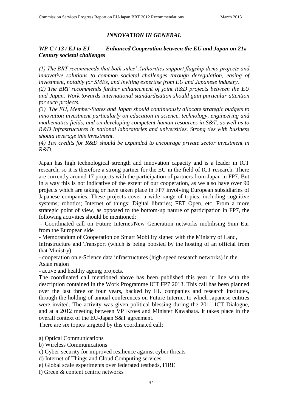#### *INNOVATION IN GENERAL*

\_\_\_\_\_\_\_\_\_\_\_\_\_\_\_\_\_\_\_\_\_\_\_\_\_\_\_\_\_\_\_\_\_\_\_\_\_\_\_\_\_\_\_\_\_\_\_\_\_\_\_\_\_\_\_\_\_\_\_\_\_\_\_\_\_\_\_\_\_\_\_\_\_\_\_\_\_\_\_\_\_\_\_\_\_\_\_\_\_\_\_\_

#### *WP-C / 13 / EJ to EJ Enhanced Cooperation between the EU and Japan on 21st Century societal challenges*

*(1) The BRT recommends that both sides' Authorities support flagship demo projects and innovative solutions to common societal challenges through deregulation, easing of investment, notably for SMEs, and inviting expertise from EU and Japanese industry.*

*(2) The BRT recommends further enhancement of joint R&D projects between the EU and Japan. Work towards international standardisation should gain particular attention for such projects.*

*(3) The EU, Member-States and Japan should continuously allocate strategic budgets to innovation investment particularly on education in science, technology, engineering and mathematics fields, and on developing competent human resources in S&T, as well as to R&D Infrastructures in national laboratories and universities. Strong ties with business should leverage this investment.*

*(4) Tax credits for R&D should be expanded to encourage private sector investment in R&D.*

Japan has high technological strength and innovation capacity and is a leader in ICT research, so it is therefore a strong partner for the EU in the field of ICT research. There are currently around 17 projects with the participation of partners from Japan in FP7. But in a way this is not indicative of the extent of our cooperation, as we also have over 90 projects which are taking or have taken place in FP7 involving European subsidiaries of Japanese companies. These projects cover a wide range of topics, including cognitive systems; robotics; Internet of things; Digital libraries; FET Open, etc. From a more strategic point of view, as opposed to the bottom-up nature of participation in FP7, the following activities should be mentioned:

- Coordinated call on Future Internet/New Generation networks mobilising 9mn Eur from the European side

- Memorandum of Cooperation on Smart Mobility signed with the Ministry of Land,

Infrastructure and Transport (which is being boosted by the hosting of an official from that Ministry)

- cooperation on e-Science data infrastructures (high speed research networks) in the Asian region

- active and healthy ageing projects.

The coordinated call mentioned above has been published this year in line with the description contained in the Work Programme ICT FP7 2013. This call has been planned over the last three or four years, backed by EU companies and research institutes, through the holding of annual conferences on Future Internet to which Japanese entities were invited. The activity was given political blessing during the 2011 ICT Dialogue, and at a 2012 meeting between VP Kroes and Minister Kawabata. It takes place in the overall context of the EU-Japan S&T agreement.

There are six topics targeted by this coordinated call:

a) Optical Communications

b) Wireless Communications

c) Cyber-security for improved resilience against cyber threats

d) Internet of Things and Cloud Computing services

e) Global scale experiments over federated testbeds, FIRE

f) Green & content centric networks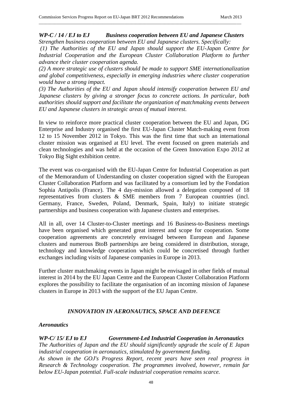*WP-C / 14 / EJ to EJ Business cooperation between EU and Japanese Clusters Strengthen business cooperation between EU and Japanese clusters. Specifically:*

\_\_\_\_\_\_\_\_\_\_\_\_\_\_\_\_\_\_\_\_\_\_\_\_\_\_\_\_\_\_\_\_\_\_\_\_\_\_\_\_\_\_\_\_\_\_\_\_\_\_\_\_\_\_\_\_\_\_\_\_\_\_\_\_\_\_\_\_\_\_\_\_\_\_\_\_\_\_\_\_\_\_\_\_\_\_\_\_\_\_\_\_

*(1) The Authorities of the EU and Japan should support the EU-Japan Centre for Industrial Cooperation and the European Cluster Collaboration Platform to further advance their cluster cooperation agenda.*

*(2) A more strategic use of clusters should be made to support SME internationalization and global competitiveness, especially in emerging industries where cluster cooperation would have a strong impact.*

*(3) The Authorities of the EU and Japan should intensify cooperation between EU and Japanese clusters by giving a stronger focus to concrete actions. In particular, both authorities should support and facilitate the organization of matchmaking events between EU and Japanese clusters in strategic areas of mutual interest.*

In view to reinforce more practical cluster cooperation between the EU and Japan, DG Enterprise and Industry organised the first EU-Japan Cluster Match-making event from 12 to 15 November 2012 in Tokyo. This was the first time that such an international cluster mission was organised at EU level. The event focused on green materials and clean technologies and was held at the occasion of the Green Innovation Expo 2012 at Tokyo Big Sight exhibition centre.

The event was co-organised with the EU-Japan Centre for Industrial Cooperation as part of the Memorandum of Understanding on cluster cooperation signed with the European Cluster Collaboration Platform and was facilitated by a consortium led by the Fondation Sophia Antipolis (France). The 4 day-mission allowed a delegation composed of 18 representatives from clusters & SME members from 7 European countries (incl. Germany, France, Sweden, Poland, Denmark, Spain, Italy) to initiate strategic partnerships and business cooperation with Japanese clusters and enterprises.

All in all, over 14 Cluster-to-Cluster meetings and 16 Business-to-Business meetings have been organised which generated great interest and scope for cooperation. Some cooperation agreements are concretely envisaged between European and Japanese clusters and numerous BtoB partnerships are being considered in distribution, storage, technology and knowledge cooperation which could be concretised through further exchanges including visits of Japanese companies in Europe in 2013.

Further cluster matchmaking events in Japan might be envisaged in other fields of mutual interest in 2014 by the EU Japan Centre and the European Cluster Collaboration Platform explores the possibility to facilitate the organisation of an incoming mission of Japanese clusters in Europe in 2013 with the support of the EU Japan Centre.

### *INNOVATION IN AERONAUTICS, SPACE AND DEFENCE*

### *Aeronautics*

*WP-C/ 15/ EJ to EJ Government-Led Industrial Cooperation in Aeronautics The Authorities of Japan and the EU should significantly upgrade the scale of E Japan industrial cooperation in aeronautics, stimulated by government funding. As shown in the GOJ's Progress Report, recent years have seen real progress in Research & Technology cooperation. The programmes involved, however, remain far below EU-Japan potential. Full-scale industrial cooperation remains scarce.*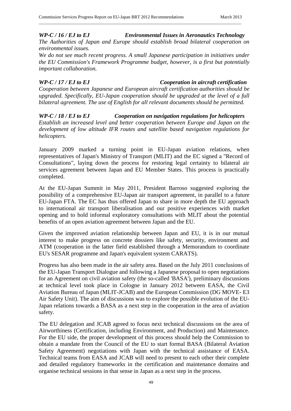*WP-C / 16 / EJ to EJ Environmental Issues in Aeronautics Technology The Authorities of Japan and Europe should establish broad bilateral cooperation on environmental issues.*

\_\_\_\_\_\_\_\_\_\_\_\_\_\_\_\_\_\_\_\_\_\_\_\_\_\_\_\_\_\_\_\_\_\_\_\_\_\_\_\_\_\_\_\_\_\_\_\_\_\_\_\_\_\_\_\_\_\_\_\_\_\_\_\_\_\_\_\_\_\_\_\_\_\_\_\_\_\_\_\_\_\_\_\_\_\_\_\_\_\_\_\_

*We do not see much recent progress. A small Japanese participation in initiatives under the EU Commission's Framework Programme budget, however, is a first but potentially important collaboration.*

#### *WP-C / 17 / EJ to EJ Cooperation in aircraft certification*

*Cooperation between Japanese and European aircraft certification authorities should be upgraded. Specifically, EU-Japan cooperation should be upgraded at the level of a full bilateral agreement. The use of English for all relevant documents should be permitted.*

#### *WP-C / 18 / EJ to EJ Cooperation on navigation regulations for helicopters Establish an increased level and better cooperation between Europe and Japan on the development of low altitude IFR routes and satellite based navigation regulations for helicopters.*

January 2009 marked a turning point in EU-Japan aviation relations, when representatives of Japan's Ministry of Transport (MLIT) and the EC signed a "Record of Consultations", laying down the process for restoring legal certainty to bilateral air services agreement between Japan and EU Member States. This process is practically completed.

At the EU-Japan Summit in May 2011, President Barroso suggested exploring the possibility of a comprehensive EU-Japan air transport agreement, in parallel to a future EU-Japan FTA. The EC has thus offered Japan to share in more depth the EU approach to international air transport liberalisation and our positive experiences with market opening and to hold informal exploratory consultations with MLIT about the potential benefits of an open aviation agreement between Japan and the EU.

Given the improved aviation relationship between Japan and EU, it is in our mutual interest to make progress on concrete dossiers like safety, security, environment and ATM (cooperation in the latter field established through a Memorandum to coordinate EU's SESAR programme and Japan's equivalent system CARATS).

Progress has also been made in the air safety area. Based on the July 2011 conclusions of the EU-Japan Transport Dialogue and following a Japanese proposal to open negotiations for an Agreement on civil aviation safety (the so-called 'BASA'), preliminary discussions at technical level took place in Cologne in January 2012 between EASA, the Civil Aviation Bureau of Japan (MLIT-JCAB) and the European Commission (DG MOVE- E3 Air Safety Unit). The aim of discussions was to explore the possible evolution of the EU-Japan relations towards a BASA as a next step in the cooperation in the area of aviation safety.

The EU delegation and JCAB agreed to focus next technical discussions on the area of Airworthiness (Certification, including Environment, and Production) and Maintenance. For the EU side, the proper development of this process should help the Commission to obtain a mandate from the Council of the EU to start formal BASA (Bilateral Aviation Safety Agreement) negotiations with Japan with the technical assistance of EASA. Technical teams from EASA and JCAB will need to present to each other their complete and detailed regulatory frameworks in the certification and maintenance domains and organise technical sessions in that sense in Japan as a next step in the process.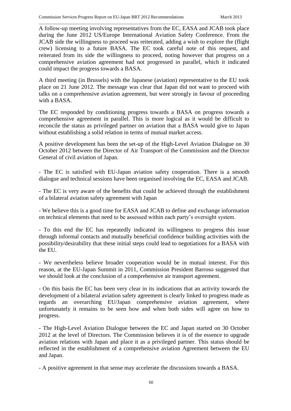A follow-up meeting involving representatives from the EC, EASA and JCAB took place during the June 2012 US/Europe International Aviation Safety Conference. From the JCAB side the willingness to proceed was reiterated, adding a wish to explore the (flight crew) licensing to a future BASA. The EC took careful note of this request, and reiterated from its side the willingness to proceed, noting however that progress on a comprehensive aviation agreement had not progressed in parallel, which it indicated could impact the progress towards a BASA.

\_\_\_\_\_\_\_\_\_\_\_\_\_\_\_\_\_\_\_\_\_\_\_\_\_\_\_\_\_\_\_\_\_\_\_\_\_\_\_\_\_\_\_\_\_\_\_\_\_\_\_\_\_\_\_\_\_\_\_\_\_\_\_\_\_\_\_\_\_\_\_\_\_\_\_\_\_\_\_\_\_\_\_\_\_\_\_\_\_\_\_\_

A third meeting (in Brussels) with the Japanese (aviation) representative to the EU took place on 21 June 2012. The message was clear that Japan did not want to proceed with talks on a comprehensive aviation agreement, but were strongly in favour of proceeding with a BASA.

The EC responded by conditioning progress towards a BASA on progress towards a comprehensive agreement in parallel. This is more logical as it would be difficult to reconcile the status as privileged partner on aviation that a BASA would give to Japan without establishing a solid relation in terms of mutual market access.

A positive development has been the set-up of the High-Level Aviation Dialogue on 30 October 2012 between the Director of Air Transport of the Commission and the Director General of civil aviation of Japan.

- The EC is satisfied with EU-Japan aviation safety cooperation. There is a smooth dialogue and technical sessions have been organised involving the EC, EASA and JCAB.

- The EC is very aware of the benefits that could be achieved through the establishment of a bilateral aviation safety agreement with Japan

- We believe this is a good time for EASA and JCAB to define and exchange information on technical elements that need to be assessed within each party's oversight system.

- To this end the EC has repeatedly indicated its willingness to progress this issue through informal contacts and mutually beneficial confidence building activities with the possibility/desirability that these initial steps could lead to negotiations for a BASA with the EU.

- We nevertheless believe broader cooperation would be in mutual interest. For this reason, at the EU-Japan Summit in 2011, Commission President Barroso suggested that we should look at the conclusion of a comprehensive air transport agreement.

- On this basis the EC has been very clear in its indications that an activity towards the development of a bilateral aviation safety agreement is clearly linked to progress made as regards an overarching EU/Japan comprehensive aviation agreement, where unfortunately it remains to be seen how and when both sides will agree on how to progress.

- The High-Level Aviation Dialogue between the EC and Japan started on 30 October 2012 at the level of Directors. The Commission believes it is of the essence to upgrade aviation relations with Japan and place it as a privileged partner. This status should be reflected in the establishment of a comprehensive aviation Agreement between the EU and Japan.

- A positive agreement in that sense may accelerate the discussions towards a BASA.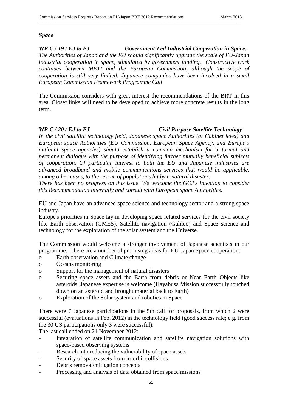#### *Space*

#### *WP-C / 19 / EJ to EJ Government-Led Industrial Cooperation in Space. The Authorities of Japan and the EU should significantly upgrade the scale of EU-Japan industrial cooperation in space, stimulated by government funding. Constructive work continues between METI and the European Commission, although the scope of cooperation is still very limited. Japanese companies have been involved in a small European Commission Framework Programme Call*

\_\_\_\_\_\_\_\_\_\_\_\_\_\_\_\_\_\_\_\_\_\_\_\_\_\_\_\_\_\_\_\_\_\_\_\_\_\_\_\_\_\_\_\_\_\_\_\_\_\_\_\_\_\_\_\_\_\_\_\_\_\_\_\_\_\_\_\_\_\_\_\_\_\_\_\_\_\_\_\_\_\_\_\_\_\_\_\_\_\_\_\_

The Commission considers with great interest the recommendations of the BRT in this area. Closer links will need to be developed to achieve more concrete results in the long term.

#### *WP-C / 20 / EJ to EJ Civil Purpose Satellite Technology*

*In the civil satellite technology field, Japanese space Authorities (at Cabinet level) and European space Authorities (EU Commission, European Space Agency, and Europe's national space agencies) should establish a common mechanism for a formal and permanent dialogue with the purpose of identifying further mutually beneficial subjects of cooperation. Of particular interest to both the EU and Japanese industries are advanced broadband and mobile communications services that would be applicable, among other cases, to the rescue of populations hit by a natural disaster.*

*There has been no progress on this issue. We welcome the GOJ's intention to consider this Recommendation internally and consult with European space Authorities.*

EU and Japan have an advanced space science and technology sector and a strong space industry.

Europe's priorities in Space lay in developing space related services for the civil society like Earth observation (GMES), Satellite navigation (Galileo) and Space science and technology for the exploration of the solar system and the Universe.

The Commission would welcome a stronger involvement of Japanese scientists in our programme. There are a number of promising areas for EU-Japan Space cooperation:

- o Earth observation and Climate change
- o Oceans monitoring
- o Support for the management of natural disasters
- o Securing space assets and the Earth from debris or Near Earth Objects like asteroids. Japanese expertise is welcome (Hayabusa Mission successfully touched down on an asteroid and brought material back to Earth)
- o Exploration of the Solar system and robotics in Space

There were 7 Japanese participations in the 5th call for proposals, from which 2 were successful (evaluations in Feb. 2012) in the technology field (good success rate; e.g. from the 30 US participations only 3 were successful).

The last call ended on 21 November 2012:

- Integration of satellite communication and satellite navigation solutions with space-based observing systems
- Research into reducing the vulnerability of space assets
- Security of space assets from in-orbit collisions
- Debris removal/mitigation concepts
- Processing and analysis of data obtained from space missions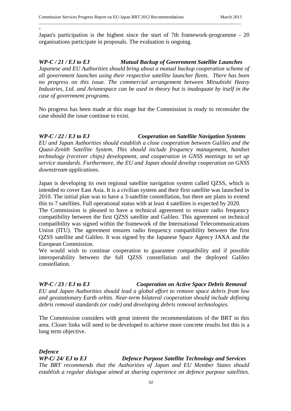Japan's participation is the highest since the start of 7th framework-programme - 20 organisations participate in proposals. The evaluation is ongoing.

\_\_\_\_\_\_\_\_\_\_\_\_\_\_\_\_\_\_\_\_\_\_\_\_\_\_\_\_\_\_\_\_\_\_\_\_\_\_\_\_\_\_\_\_\_\_\_\_\_\_\_\_\_\_\_\_\_\_\_\_\_\_\_\_\_\_\_\_\_\_\_\_\_\_\_\_\_\_\_\_\_\_\_\_\_\_\_\_\_\_\_\_

### *WP-C / 21 / EJ to EJ Mutual Backup of Government Satellite Launches Japanese and EU Authorities should bring about a mutual backup cooperation scheme of all government launches using their respective satellite launcher fleets. There has been no progress on this issue. The commercial arrangement between Mitsubishi Heavy Industries, Ltd. and Arianespace can be used in theory but is inadequate by itself in the case of government programs.*

No progress has been made at this stage but the Commission is ready to reconsider the case should the issue continue to exist.

*WP-C / 22 / EJ to EJ Cooperation on Satellite Navigation Systems EU and Japan Authorities should establish a close cooperation between Galileo and the Quasi-Zenith Satellite System. This should include frequency management, handset technology (receiver chips) development, and cooperation in GNSS meetings to set up service standards. Furthermore, the EU and Japan should develop cooperation on GNSS downstream applications.*

Japan is developing its own regional satellite navigation system called QZSS, which is intended to cover East Asia. It is a civilian system and their first satellite was launched in 2010. The initial plan was to have a 3-satellite constellation, but there are plans to extend this to 7 satellites. Full operational status with at least 4 satellites is expected by 2020.

The Commission is pleased to have a technical agreement to ensure radio frequency compatibility between the first QZSS satellite and Galileo. This agreement on technical compatibility was signed within the framework of the International Telecommunications Union (ITU). The agreement ensures radio frequency compatibility between the first QZSS satellite and Galileo. It was signed by the Japanese Space Agency JAXA and the European Commission.

We would wish to continue cooperation to guarantee compatibility and if possible interoperability between the full QZSS constellation and the deployed Galileo constellation.

#### *WP-C / 23 / EJ to EJ Cooperation on Active Space Debris Removal*

*EU and Japan Authorities should lead a global effort to remove space debris from low and geostationary Earth orbits. Near-term bilateral cooperation should include defining debris removal standards (or code) and developing debris removal technologies.*

The Commission considers with great interest the recommendations of the BRT in this area. Closer links will need to be developed to achieve more concrete results but this is a long term objective.

*Defence*

-

*WP-C/ 24/ EJ to EJ Defence Purpose Satellite Technology and Services The BRT recommends that the Authorities of Japan and EU Member States should establish a regular dialogue aimed at sharing experience on defence purpose satellites.*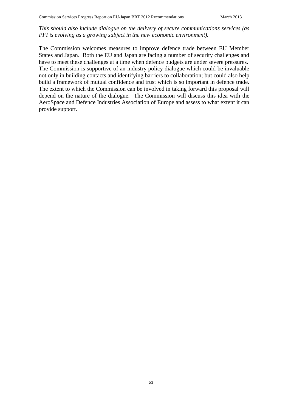*This should also include dialogue on the delivery of secure communications services (as PFI is evolving as a growing subject in the new economic environment).*

\_\_\_\_\_\_\_\_\_\_\_\_\_\_\_\_\_\_\_\_\_\_\_\_\_\_\_\_\_\_\_\_\_\_\_\_\_\_\_\_\_\_\_\_\_\_\_\_\_\_\_\_\_\_\_\_\_\_\_\_\_\_\_\_\_\_\_\_\_\_\_\_\_\_\_\_\_\_\_\_\_\_\_\_\_\_\_\_\_\_\_\_

The Commission welcomes measures to improve defence trade between EU Member States and Japan. Both the EU and Japan are facing a number of security challenges and have to meet these challenges at a time when defence budgets are under severe pressures. The Commission is supportive of an industry policy dialogue which could be invaluable not only in building contacts and identifying barriers to collaboration; but could also help build a framework of mutual confidence and trust which is so important in defence trade. The extent to which the Commission can be involved in taking forward this proposal will depend on the nature of the dialogue. The Commission will discuss this idea with the AeroSpace and Defence Industries Association of Europe and assess to what extent it can provide support.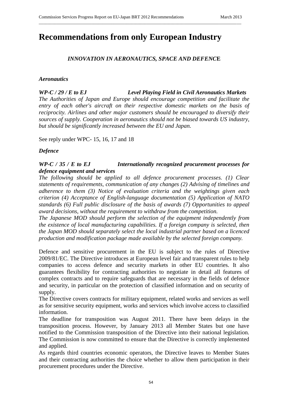## **Recommendations from only European Industry**

### *INNOVATION IN AERONAUTICS, SPACE AND DEFENC***E**

\_\_\_\_\_\_\_\_\_\_\_\_\_\_\_\_\_\_\_\_\_\_\_\_\_\_\_\_\_\_\_\_\_\_\_\_\_\_\_\_\_\_\_\_\_\_\_\_\_\_\_\_\_\_\_\_\_\_\_\_\_\_\_\_\_\_\_\_\_\_\_\_\_\_\_\_\_\_\_\_\_\_\_\_\_\_\_\_\_\_\_\_

#### *Aeronautics*

*WP-C / 29 / E to EJ Level Playing Field in Civil Aeronautics Markets The Authorities of Japan and Europe should encourage competition and facilitate the entry of each other's aircraft on their respective domestic markets on the basis of reciprocity. Airlines and other major customers should be encouraged to diversify their sources of supply. Cooperation in aeronautics should not be biased towards US industry, but should be significantly increased between the EU and Japan.*

See reply under WPC- 15, 16, 17 and 18

#### *Defence*

#### *WP-C / 35 / E to EJ Internationally recognized procurement processes for defence equipment and services*

*The following should be applied to all defence procurement processes. (1) Clear statements of requirements, communication of any changes (2) Advising of timelines and adherence to them (3) Notice of evaluation criteria and the weightings given each criterion (4) Acceptance of English-language documentation (5) Application of NATO standards (6) Full public disclosure of the basis of awards (7) Opportunities to appeal award decisions, without the requirement to withdraw from the competition.*

*The Japanese MOD should perform the selection of the equipment independently from the existence of local manufacturing capabilities. If a foreign company is selected, then the Japan MOD should separately select the local industrial partner based on a licenced production and modification package made available by the selected foreign company.*

Defence and sensitive procurement in the EU is subject to the rules of Directive 2009/81/EC. The Directive introduces at European level fair and transparent rules to help companies to access defence and security markets in other EU countries. It also guarantees flexibility for contracting authorities to negotiate in detail all features of complex contracts and to require safeguards that are necessary in the fields of defence and security, in particular on the protection of classified information and on security of supply.

The Directive covers contracts for military equipment, related works and services as well as for sensitive security equipment, works and services which involve access to classified information.

The deadline for transposition was August 2011. There have been delays in the transposition process. However, by January 2013 all Member States but one have notified to the Commission transposition of the Directive into their national legislation. The Commission is now committed to ensure that the Directive is correctly implemented and applied.

As regards third countries economic operators, the Directive leaves to Member States and their contracting authorities the choice whether to allow them participation in their procurement procedures under the Directive.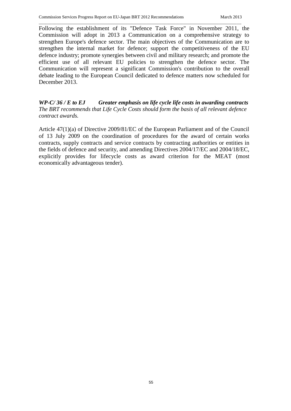Following the establishment of its "Defence Task Force" in November 2011, the Commission will adopt in 2013 a Communication on a comprehensive strategy to strengthen Europe's defence sector. The main objectives of the Communication are to strengthen the internal market for defence; support the competitiveness of the EU defence industry; promote synergies between civil and military research; and promote the efficient use of all relevant EU policies to strengthen the defence sector. The Communication will represent a significant Commission's contribution to the overall debate leading to the European Council dedicated to defence matters now scheduled for December 2013.

\_\_\_\_\_\_\_\_\_\_\_\_\_\_\_\_\_\_\_\_\_\_\_\_\_\_\_\_\_\_\_\_\_\_\_\_\_\_\_\_\_\_\_\_\_\_\_\_\_\_\_\_\_\_\_\_\_\_\_\_\_\_\_\_\_\_\_\_\_\_\_\_\_\_\_\_\_\_\_\_\_\_\_\_\_\_\_\_\_\_\_\_

*WP-C/ 36 / E to EJ Greater emphasis on life cycle life costs in awarding contracts The BRT recommends that Life Cycle Costs should form the basis of all relevant defence contract awards.*

Article 47(1)(a) of Directive 2009/81/EC of the European Parliament and of the Council of 13 July 2009 on the coordination of procedures for the award of certain works contracts, supply contracts and service contracts by contracting authorities or entities in the fields of defence and security, and amending Directives 2004/17/EC and 2004/18/EC, explicitly provides for lifecycle costs as award criterion for the MEAT (most economically advantageous tender).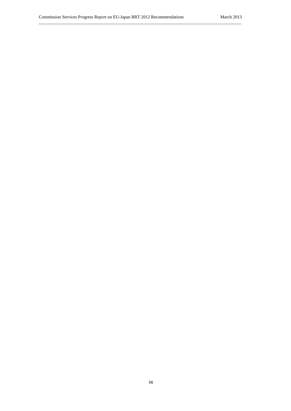\_\_\_\_\_\_\_\_\_\_\_\_\_\_\_\_\_\_\_\_\_\_\_\_\_\_\_\_\_\_\_\_\_\_\_\_\_\_\_\_\_\_\_\_\_\_\_\_\_\_\_\_\_\_\_\_\_\_\_\_\_\_\_\_\_\_\_\_\_\_\_\_\_\_\_\_\_\_\_\_\_\_\_\_\_\_\_\_\_\_\_\_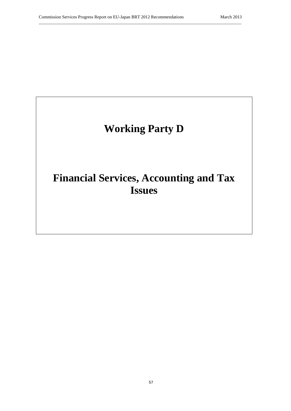# **Working Party D**

\_\_\_\_\_\_\_\_\_\_\_\_\_\_\_\_\_\_\_\_\_\_\_\_\_\_\_\_\_\_\_\_\_\_\_\_\_\_\_\_\_\_\_\_\_\_\_\_\_\_\_\_\_\_\_\_\_\_\_\_\_\_\_\_\_\_\_\_\_\_\_\_\_\_\_\_\_\_\_\_\_\_\_\_\_\_\_\_\_\_\_\_

# **Financial Services, Accounting and Tax Issues**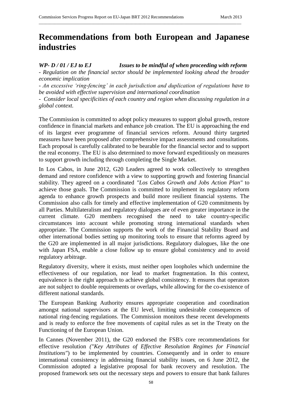## **Recommendations from both European and Japanese industries**

\_\_\_\_\_\_\_\_\_\_\_\_\_\_\_\_\_\_\_\_\_\_\_\_\_\_\_\_\_\_\_\_\_\_\_\_\_\_\_\_\_\_\_\_\_\_\_\_\_\_\_\_\_\_\_\_\_\_\_\_\_\_\_\_\_\_\_\_\_\_\_\_\_\_\_\_\_\_\_\_\_\_\_\_\_\_\_\_\_\_\_\_

### *WP- D* / 01 / *EJ* to *EJ Issues to be mindful of when proceeding with reform*

*- Regulation on the financial sector should be implemented looking ahead the broader economic implication*

*- An excessive 'ring-fencing' in each jurisdiction and duplication of regulations have to be avoided with effective supervision and international coordination*

*- Consider local specificities of each country and region when discussing regulation in a global context.*

The Commission is committed to adopt policy measures to support global growth, restore confidence in financial markets and enhance job creation. The EU is approaching the end of its largest ever programme of financial services reform. Around thirty targeted measures have been proposed after comprehensive impact assessments and consultations. Each proposal is carefully calibrated to be bearable for the financial sector and to support the real economy. The EU is also determined to move forward expeditiously on measures to support growth including through completing the Single Market.

In Los Cabos, in June 2012, G20 Leaders agreed to work collectively to strengthen demand and restore confidence with a view to supporting growth and fostering financial stability. They agreed on a coordinated *"Los Cabos Growth and Jobs Action Plan"* to achieve those goals. The Commission is committed to implement its regulatory reform agenda to enhance growth prospects and build more resilient financial systems. The Commission also calls for timely and effective implementation of G20 commitments by all Parties. Multilateralism and regulatory dialogues are of even greater importance in the current climate. G20 members recognised the need to take country-specific circumstances into account while promoting strong international standards when appropriate. The Commission supports the work of the Financial Stability Board and other international bodies setting up monitoring tools to ensure that reforms agreed by the G20 are implemented in all major jurisdictions. Regulatory dialogues, like the one with Japan FSA, enable a close follow up to ensure global consistency and to avoid regulatory arbitrage.

Regulatory diversity, where it exists, must neither open loopholes which undermine the effectiveness of our regulation, nor lead to market fragmentation. In this context, equivalence is the right approach to achieve global consistency. It ensures that operators are not subject to double requirements or overlaps, while allowing for the co-existence of different national standards.

The European Banking Authority ensures appropriate cooperation and coordination amongst national supervisors at the EU level, limiting undesirable consequences of national ring-fencing regulations. The Commission monitors these recent developments and is ready to enforce the free movements of capital rules as set in the Treaty on the Functioning of the European Union.

In Cannes (November 2011), the G20 endorsed the FSB's core recommendations for effective resolution *("Key Attributes of Effective Resolution Regimes for Financial Institutions"*) to be implemented by countries. Consequently and in order to ensure international consistency in addressing financial stability issues, on 6 June 2012, the Commission adopted a legislative proposal for bank recovery and resolution. The proposed framework sets out the necessary steps and powers to ensure that bank failures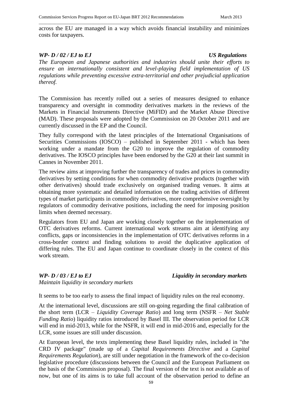across the EU are managed in a way which avoids financial instability and minimizes costs for taxpayers.

\_\_\_\_\_\_\_\_\_\_\_\_\_\_\_\_\_\_\_\_\_\_\_\_\_\_\_\_\_\_\_\_\_\_\_\_\_\_\_\_\_\_\_\_\_\_\_\_\_\_\_\_\_\_\_\_\_\_\_\_\_\_\_\_\_\_\_\_\_\_\_\_\_\_\_\_\_\_\_\_\_\_\_\_\_\_\_\_\_\_\_\_

#### *WP-*  $D / 02 / EJ$  to  $EJ$  US Regulations

*The European and Japanese authorities and industries should unite their efforts to ensure an internationally consistent and level-playing field implementation of US regulations while preventing excessive extra-territorial and other prejudicial application thereof.*

The Commission has recently rolled out a series of measures designed to enhance transparency and oversight in commodity derivatives markets in the reviews of the Markets in Financial Instruments Directive (MiFID) and the Market Abuse Directive (MAD). These proposals were adopted by the Commission on 20 October 2011 and are currently discussed in the EP and the Council.

They fully correspond with the latest principles of the International Organisations of Securities Commissions (IOSCO) – published in September 2011 - which has been working under a mandate from the G20 to improve the regulation of commodity derivatives. The IOSCO principles have been endorsed by the G20 at their last summit in Cannes in November 2011.

The review aims at improving further the transparency of trades and prices in commodity derivatives by setting conditions for when commodity derivative products (together with other derivatives) should trade exclusively on organised trading venues. It aims at obtaining more systematic and detailed information on the trading activities of different types of market participants in commodity derivatives, more comprehensive oversight by regulators of commodity derivative positions, including the need for imposing position limits when deemed necessary.

Regulators from EU and Japan are working closely together on the implementation of OTC derivatives reforms. Current international work streams aim at identifying any conflicts, gaps or inconsistencies in the implementation of OTC derivatives reforms in a cross-border context and finding solutions to avoid the duplicative application of differing rules. The EU and Japan continue to coordinate closely in the context of this work stream.

### *WP-*  $D / 03 / EJ$  *to*  $EJ$  *Liquidity in secondary markets Maintain liquidity in secondary markets*

It seems to be too early to assess the final impact of liquidity rules on the real economy.

At the international level, discussions are still on-going regarding the final calibration of the short term (LCR – *Liquidity Coverage Ratio*) and long term (NSFR – *Net Stable Funding Ratio*) liquidity ratios introduced by Basel III. The observation period for LCR will end in mid-2013, while for the NSFR, it will end in mid-2016 and, especially for the LCR, some issues are still under discussion.

At European level, the texts implementing these Basel liquidity rules, included in "the CRD IV package" (made up of a *Capital Requirements Directive* and a *Capital Requirements Regulation*), are still under negotiation in the framework of the co-decision legislative procedure (discussions between the Council and the European Parliament on the basis of the Commission proposal). The final version of the text is not available as of now, but one of its aims is to take full account of the observation period to define an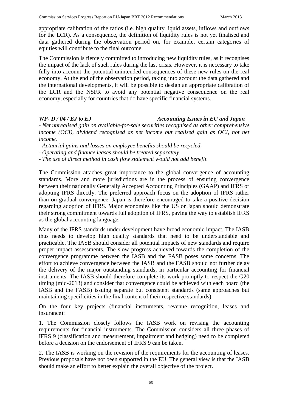appropriate calibration of the ratios (i.e. high quality liquid assets, inflows and outflows for the LCR). As a consequence, the definition of liquidity rules is not yet finalised and data gathered during the observation period on, for example, certain categories of equities will contribute to the final outcome.

\_\_\_\_\_\_\_\_\_\_\_\_\_\_\_\_\_\_\_\_\_\_\_\_\_\_\_\_\_\_\_\_\_\_\_\_\_\_\_\_\_\_\_\_\_\_\_\_\_\_\_\_\_\_\_\_\_\_\_\_\_\_\_\_\_\_\_\_\_\_\_\_\_\_\_\_\_\_\_\_\_\_\_\_\_\_\_\_\_\_\_\_

The Commission is fiercely committed to introducing new liquidity rules, as it recognises the impact of the lack of such rules during the last crisis. However, it is necessary to take fully into account the potential unintended consequences of these new rules on the real economy. At the end of the observation period, taking into account the data gathered and the international developments, it will be possible to design an appropriate calibration of the LCR and the NSFR to avoid any potential negative consequence on the real economy, especially for countries that do have specific financial systems.

#### *WP- D / 04 / EJ to EJ Accounting Issues in EU and Japan*

*- Net unrealised gain on available-for-sale securities recognised as other comprehensive income (OCI), dividend recognised as net income but realised gain as OCI, not net income.*

*- Actuarial gains and losses on employee benefits should be recycled.*

*- Operating and finance leases should be treated separately.*

*- The use of direct method in cash flow statement would not add benefit.*

The Commission attaches great importance to the global convergence of accounting standards. More and more jurisdictions are in the process of ensuring convergence between their nationally Generally Accepted Accounting Principles (GAAP) and IFRS or adopting IFRS directly. The preferred approach focus on the adoption of IFRS rather than on gradual convergence. Japan is therefore encouraged to take a positive decision regarding adoption of IFRS. Major economies like the US or Japan should demonstrate their strong commitment towards full adoption of IFRS, paving the way to establish IFRS as the global accounting language.

Many of the IFRS standards under development have broad economic impact. The IASB thus needs to develop high quality standards that need to be understandable and practicable. The IASB should consider all potential impacts of new standards and require proper impact assessments. The slow progress achieved towards the completion of the convergence programme between the IASB and the FASB poses some concerns. The effort to achieve convergence between the IASB and the FASB should not further delay the delivery of the major outstanding standards, in particular accounting for financial instruments. The IASB should therefore complete its work promptly to respect the G20 timing (mid-2013) and consider that convergence could be achieved with each board (the IASB and the FASB) issuing separate but consistent standards (same approaches but maintaining specificities in the final content of their respective standards).

On the four key projects (financial instruments, revenue recognition, leases and insurance):

1. The Commission closely follows the IASB work on revising the accounting requirements for financial instruments. The Commission considers all three phases of IFRS 9 (classification and measurement, impairment and hedging) need to be completed before a decision on the endorsement of IFRS 9 can be taken.

2. The IASB is working on the revision of the requirements for the accounting of leases. Previous proposals have not been supported in the EU. The general view is that the IASB should make an effort to better explain the overall objective of the project.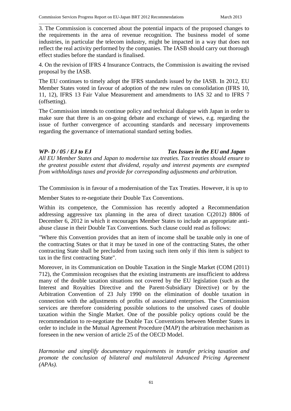3. The Commission is concerned about the potential impacts of the proposed changes to the requirements in the area of revenue recognition. The business model of some industries, in particular the telecom industry, might be impacted in a way that does not reflect the real activity performed by the companies. The IASB should carry out thorough effect studies before the standard is finalised.

\_\_\_\_\_\_\_\_\_\_\_\_\_\_\_\_\_\_\_\_\_\_\_\_\_\_\_\_\_\_\_\_\_\_\_\_\_\_\_\_\_\_\_\_\_\_\_\_\_\_\_\_\_\_\_\_\_\_\_\_\_\_\_\_\_\_\_\_\_\_\_\_\_\_\_\_\_\_\_\_\_\_\_\_\_\_\_\_\_\_\_\_

4. On the revision of IFRS 4 Insurance Contracts, the Commission is awaiting the revised proposal by the IASB.

The EU continues to timely adopt the IFRS standards issued by the IASB. In 2012, EU Member States voted in favour of adoption of the new rules on consolidation (IFRS 10, 11, 12), IFRS 13 Fair Value Measurement and amendments to IAS 32 and to IFRS 7 (offsetting).

The Commission intends to continue policy and technical dialogue with Japan in order to make sure that three is an on-going debate and exchange of views, e.g. regarding the issue of further convergence of accounting standards and necessary improvements regarding the governance of international standard setting bodies.

#### *WP- D / 05 / EJ to EJ Tax Issues in the EU and Japan*

*All EU Member States and Japan to modernise tax treaties. Tax treaties should ensure to the greatest possible extent that dividend, royalty and interest payments are exempted from withholdings taxes and provide for corresponding adjustments and arbitration.*

The Commission is in favour of a modernisation of the Tax Treaties. However, it is up to

Member States to re-negotiate their Double Tax Conventions.

Within its competence, the Commission has recently adopted a Recommendation addressing aggressive tax planning in the area of direct taxation C(2012) 8806 of December 6, 2012 in which it encourages Member States to include an appropriate antiabuse clause in their Double Tax Conventions. Such clause could read as follows:

"Where this Convention provides that an item of income shall be taxable only in one of the contracting States or that it may be taxed in one of the contracting States, the other contracting State shall be precluded from taxing such item only if this item is subject to tax in the first contracting State".

Moreover, in its Communication on Double Taxation in the Single Market (COM (2011) 712), the Commission recognises that the existing instruments are insufficient to address many of the double taxation situations not covered by the EU legislation (such as the Interest and Royalties Directive and the Parent-Subsidiary Directive) or by the Arbitration Convention of 23 July 1990 on the elimination of double taxation in connection with the adjustments of profits of associated enterprises. The Commission services are therefore considering possible solutions to the unsolved cases of double taxation within the Single Market. One of the possible policy options could be the recommendation to re-negotiate the Double Tax Conventions between Member States in order to include in the Mutual Agreement Procedure (MAP) the arbitration mechanism as foreseen in the new version of article 25 of the OECD Model.

*Harmonise and simplify documentary requirements in transfer pricing taxation and promote the conclusion of bilateral and multilateral Advanced Pricing Agreement (APAs).*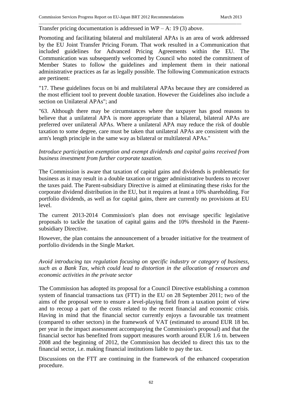Transfer pricing documentation is addressed in  $WP - A$ : 19 (3) above.

Promoting and facilitating bilateral and multilateral APAs is an area of work addressed by the EU Joint Transfer Pricing Forum. That work resulted in a Communication that included guidelines for Advanced Pricing Agreements within the EU. The Communication was subsequently welcomed by Council who noted the commitment of Member States to follow the guidelines and implement them in their national administrative practices as far as legally possible. The following Communication extracts are pertinent:

\_\_\_\_\_\_\_\_\_\_\_\_\_\_\_\_\_\_\_\_\_\_\_\_\_\_\_\_\_\_\_\_\_\_\_\_\_\_\_\_\_\_\_\_\_\_\_\_\_\_\_\_\_\_\_\_\_\_\_\_\_\_\_\_\_\_\_\_\_\_\_\_\_\_\_\_\_\_\_\_\_\_\_\_\_\_\_\_\_\_\_\_

"17. These guidelines focus on bi and multilateral APAs because they are considered as the most efficient tool to prevent double taxation. However the Guidelines also include a section on Unilateral APAs"; and

"63. Although there may be circumstances where the taxpayer has good reasons to believe that a unilateral APA is more appropriate than a bilateral, bilateral APAs are preferred over unilateral APAs. Where a unilateral APA may reduce the risk of double taxation to some degree, care must be taken that unilateral APAs are consistent with the arm's length principle in the same way as bilateral or multilateral APAs."

*Introduce participation exemption and exempt dividends and capital gains received from business investment from further corporate taxation.*

The Commission is aware that taxation of capital gains and dividends is problematic for business as it may result in a double taxation or trigger administrative burdens to recover the taxes paid. The Parent-subsidiary Directive is aimed at eliminating these risks for the corporate dividend distribution in the EU, but it requires at least a 10% shareholding. For portfolio dividends, as well as for capital gains, there are currently no provisions at EU level.

The current 2013-2014 Commission's plan does not envisage specific legislative proposals to tackle the taxation of capital gains and the 10% threshold in the Parentsubsidiary Directive.

However, the plan contains the announcement of a broader initiative for the treatment of portfolio dividends in the Single Market.

*Avoid introducing tax regulation focusing on specific industry or category of business, such as a Bank Tax, which could lead to distortion in the allocation of resources and economic activities in the private sector*

The Commission has adopted its proposal for a Council Directive establishing a common system of financial transactions tax (FTT) in the EU on 28 September 2011; two of the aims of the proposal were to ensure a level-playing field from a taxation point of view and to recoup a part of the costs related to the recent financial and economic crisis. Having in mind that the financial sector currently enjoys a favourable tax treatment (compared to other sectors) in the framework of VAT (estimated to around EUR 18 bn. per year in the impact assessment accompanying the Commission's proposal) and that the financial sector has benefited from support measures worth around EUR 1.6 tn. between 2008 and the beginning of 2012, the Commission has decided to direct this tax to the financial sector, i.e. making financial institutions liable to pay the tax.

Discussions on the FTT are continuing in the framework of the enhanced cooperation procedure.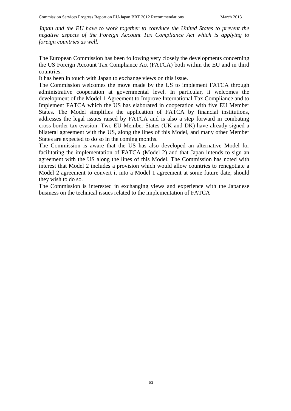*Japan and the EU have to work together to convince the United States to prevent the negative aspects of the Foreign Account Tax Compliance Act which is applying to foreign countries as well.*

\_\_\_\_\_\_\_\_\_\_\_\_\_\_\_\_\_\_\_\_\_\_\_\_\_\_\_\_\_\_\_\_\_\_\_\_\_\_\_\_\_\_\_\_\_\_\_\_\_\_\_\_\_\_\_\_\_\_\_\_\_\_\_\_\_\_\_\_\_\_\_\_\_\_\_\_\_\_\_\_\_\_\_\_\_\_\_\_\_\_\_\_

The European Commission has been following very closely the developments concerning the US Foreign Account Tax Compliance Act (FATCA) both within the EU and in third countries.

It has been in touch with Japan to exchange views on this issue.

The Commission welcomes the move made by the US to implement FATCA through administrative cooperation at governmental level. In particular, it welcomes the development of the Model 1 Agreement to Improve International Tax Compliance and to Implement FATCA which the US has elaborated in cooperation with five EU Member States. The Model simplifies the application of FATCA by financial institutions, addresses the legal issues raised by FATCA and is also a step forward in combating cross-border tax evasion. Two EU Member States (UK and DK) have already signed a bilateral agreement with the US, along the lines of this Model, and many other Member States are expected to do so in the coming months.

The Commission is aware that the US has also developed an alternative Model for facilitating the implementation of FATCA (Model 2) and that Japan intends to sign an agreement with the US along the lines of this Model. The Commission has noted with interest that Model 2 includes a provision which would allow countries to renegotiate a Model 2 agreement to convert it into a Model 1 agreement at some future date, should they wish to do so.

The Commission is interested in exchanging views and experience with the Japanese business on the technical issues related to the implementation of FATCA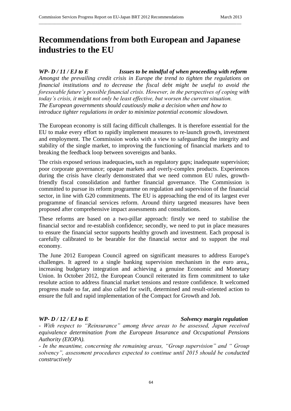# **Recommendations from both European and Japanese industries to the EU**

\_\_\_\_\_\_\_\_\_\_\_\_\_\_\_\_\_\_\_\_\_\_\_\_\_\_\_\_\_\_\_\_\_\_\_\_\_\_\_\_\_\_\_\_\_\_\_\_\_\_\_\_\_\_\_\_\_\_\_\_\_\_\_\_\_\_\_\_\_\_\_\_\_\_\_\_\_\_\_\_\_\_\_\_\_\_\_\_\_\_\_\_

*WP- D* / 11 / *EJ* **to** *E Issues to be mindful of when proceeding with reform Amongst the prevailing credit crisis in Europe the trend to tighten the regulations on financial institutions and to decrease the fiscal debt might be useful to avoid the foreseeable future's possible financial crisis. However, in the perspectives of coping with today's crisis, it might not only be least effective, but worsen the current situation. The European governments should cautiously make a decision when and how to introduce tighter regulations in order to minimize potential economic slowdown.*

The European economy is still facing difficult challenges. It is therefore essential for the EU to make every effort to rapidly implement measures to re-launch growth, investment and employment. The Commission works with a view to safeguarding the integrity and stability of the single market, to improving the functioning of financial markets and to breaking the feedback loop between sovereigns and banks.

The crisis exposed serious inadequacies**,** such as regulatory gaps; inadequate supervision; poor corporate governance; opaque markets and overly-complex products. Experiences during the crisis have clearly demonstrated that we need common EU rules, growthfriendly fiscal consolidation and further financial governance. The Commission is committed to pursue its reform programme on regulation and supervision of the financial sector, in line with G20 commitments. The EU is approaching the end of its largest ever programme of financial services reform. Around thirty targeted measures have been proposed after comprehensive impact assessments and consultations.

These reforms are based on a two-pillar approach: firstly we need to stabilise the financial sector and re-establish confidence; secondly, we need to put in place measures to ensure the financial sector supports healthy growth and investment. Each proposal is carefully calibrated to be bearable for the financial sector and to support the real economy.

The June 2012 European Council agreed on significant measures to address Europe's challenges. It agreed to a single banking supervision mechanism in the euro area,, increasing budgetary integration and achieving a genuine Economic and Monetary Union. In October 2012, the European Council reiterated its firm commitment to take resolute action to address financial market tensions and restore confidence. It welcomed progress made so far, and also called for swift, determined and result-oriented action to ensure the full and rapid implementation of the Compact for Growth and Job.

#### *WP-*  $D / 12 / EJ$  *to*  $E$  *Solvency margin regulation*

*- With respect to "Reinsurance" among three areas to be assessed, Japan received equivalence determination from the European Insurance and Occupational Pensions Authority (EIOPA).*

*- In the meantime, concerning the remaining areas, "Group supervision" and " Group solvency", assessment procedures expected to continue until 2015 should be conducted constructively*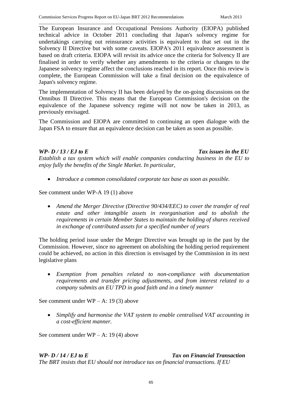The European Insurance and Occupational Pensions Authority (EIOPA) published technical advice in October 2011 concluding that Japan's solvency regime for undertakings carrying out reinsurance activities is equivalent to that set out in the Solvency II Directive but with some caveats. EIOPA's 2011 equivalence assessment is based on draft criteria. EIOPA will revisit its advice once the criteria for Solvency II are finalised in order to verify whether any amendments to the criteria or changes to the Japanese solvency regime affect the conclusions reached in its report. Once this review is complete, the European Commission will take a final decision on the equivalence of Japan's solvency regime.

\_\_\_\_\_\_\_\_\_\_\_\_\_\_\_\_\_\_\_\_\_\_\_\_\_\_\_\_\_\_\_\_\_\_\_\_\_\_\_\_\_\_\_\_\_\_\_\_\_\_\_\_\_\_\_\_\_\_\_\_\_\_\_\_\_\_\_\_\_\_\_\_\_\_\_\_\_\_\_\_\_\_\_\_\_\_\_\_\_\_\_\_

The implementation of Solvency II has been delayed by the on-going discussions on the Omnibus II Directive. This means that the European Commission's decision on the equivalence of the Japanese solvency regime will not now be taken in 2013, as previously envisaged.

The Commission and EIOPA are committed to continuing an open dialogue with the Japan FSA to ensure that an equivalence decision can be taken as soon as possible.

#### *WP- D / 13 / EJ to E Tax issues in the EU*

*Establish a tax system which will enable companies conducting business in the EU to enjoy fully the benefits of the Single Market. In particular,*

*Introduce a common consolidated corporate tax base as soon as possible.*

See comment under WP-A 19 (1) above

 *Amend the Merger Directive (Directive 90/434/EEC) to cover the transfer of real estate and other intangible assets in reorganisation and to abolish the requirements in certain Member States to maintain the holding of shares received in exchange of contributed assets for a specified number of years*

The holding period issue under the Merger Directive was brought up in the past by the Commission. However, since no agreement on abolishing the holding period requirement could be achieved, no action in this direction is envisaged by the Commission in its next legislative plans

 *Exemption from penalties related to non-compliance with documentation requirements and transfer pricing adjustments, and from interest related to a company submits an EU TPD in good faith and in a timely manner*

See comment under  $WP - A$ : 19 (3) above

 *Simplify and harmonise the VAT system to enable centralised VAT accounting in a cost-efficient manner.*

See comment under  $WP - A$ : 19 (4) above

*WP- D / 14 / EJ to E Tax on Financial Transaction The BRT insists that EU should not introduce tax on financial transactions. If EU*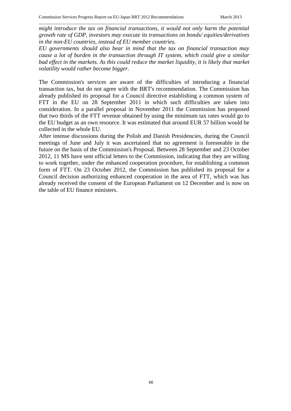*might introduce the tax on financial transactions, it would not only harm the potential growth rate of GDP, investors may execute its transactions on bonds/ equities/derivatives in the non-EU countries, instead of EU member countries.*

\_\_\_\_\_\_\_\_\_\_\_\_\_\_\_\_\_\_\_\_\_\_\_\_\_\_\_\_\_\_\_\_\_\_\_\_\_\_\_\_\_\_\_\_\_\_\_\_\_\_\_\_\_\_\_\_\_\_\_\_\_\_\_\_\_\_\_\_\_\_\_\_\_\_\_\_\_\_\_\_\_\_\_\_\_\_\_\_\_\_\_\_

*EU governments should also bear in mind that the tax on financial transaction may cause a lot of burden in the transaction through IT system, which could give a similar bad effect in the markets. As this could reduce the market liquidity, it is likely that market volatility would rather become bigger.*

The Commission's services are aware of the difficulties of introducing a financial transaction tax, but do not agree with the BRT's recommendation. The Commission has already published its proposal for a Council directive establishing a common system of FTT in the EU on 28 September 2011 in which such difficulties are taken into consideration. In a parallel proposal in November 2011 the Commission has proposed that two thirds of the FTT revenue obtained by using the minimum tax rates would go to the EU budget as an own resource. It was estimated that around EUR 57 billion would be collected in the whole EU.

After intense discussions during the Polish and Danish Presidencies, during the Council meetings of June and July it was ascertained that no agreement is foreseeable in the future on the basis of the Commission's Proposal. Between 28 September and 23 October 2012, 11 MS have sent official letters to the Commission, indicating that they are willing to work together, under the enhanced cooperation procedure, for establishing a common form of FTT. On 23 October 2012, the Commission has published its proposal for a Council decision authorizing enhanced cooperation in the area of FTT, which was has already received the consent of the European Parliament on 12 December and is now on the table of EU finance ministers.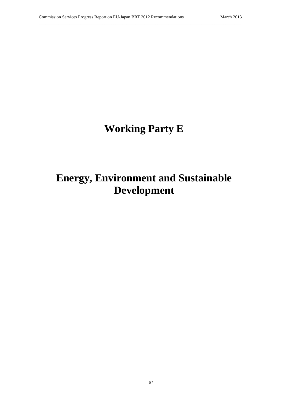# **Working Party E**

\_\_\_\_\_\_\_\_\_\_\_\_\_\_\_\_\_\_\_\_\_\_\_\_\_\_\_\_\_\_\_\_\_\_\_\_\_\_\_\_\_\_\_\_\_\_\_\_\_\_\_\_\_\_\_\_\_\_\_\_\_\_\_\_\_\_\_\_\_\_\_\_\_\_\_\_\_\_\_\_\_\_\_\_\_\_\_\_\_\_\_\_

# **Energy, Environment and Sustainable Development**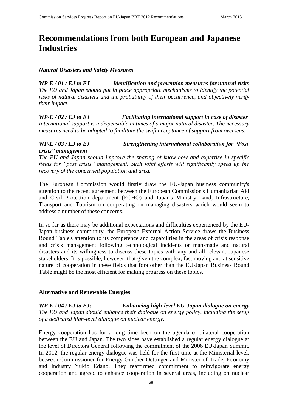## **Recommendations from both European and Japanese Industries**

\_\_\_\_\_\_\_\_\_\_\_\_\_\_\_\_\_\_\_\_\_\_\_\_\_\_\_\_\_\_\_\_\_\_\_\_\_\_\_\_\_\_\_\_\_\_\_\_\_\_\_\_\_\_\_\_\_\_\_\_\_\_\_\_\_\_\_\_\_\_\_\_\_\_\_\_\_\_\_\_\_\_\_\_\_\_\_\_\_\_\_\_

#### *Natural Disasters and Safety Measures*

*WP-E* / 01 / *EJ* to *EJ Identification and prevention measures for natural risks The EU and Japan should put in place appropriate mechanisms to identify the potential risks of natural disasters and the probability of their occurrence, and objectively verify their impact.*

*WP-E / 02 / EJ to EJ Facilitating international support in case of disaster International support is indispensable in times of a major natural disaster. The necessary measures need to be adopted to facilitate the swift acceptance of support from overseas.*

### *WP-E / 03 / EJ to EJ Strengthening international collaboration for "Post crisis" management*

*The EU and Japan should improve the sharing of know-how and expertise in specific fields for "post crisis" management. Such joint efforts will significantly speed up the recovery of the concerned population and area.*

The European Commission would firstly draw the EU-Japan business community's attention to the recent agreement between the European Commission's Humanitarian Aid and Civil Protection department (ECHO) and Japan's Ministry Land, Infrastructure, Transport and Tourism on cooperating on managing disasters which would seem to address a number of these concerns.

In so far as there may be additional expectations and difficulties experienced by the EU-Japan business community, the European External Action Service draws the Business Round Table's attention to its competence and capabilities in the areas of crisis response and crisis management following technological incidents or man-made and natural disasters and its willingness to discuss these topics with any and all relevant Japanese stakeholders. It is possible, however, that given the complex, fast moving and at sensitive nature of cooperation in these fields that fora other than the EU-Japan Business Round Table might be the most efficient for making progress on these topics.

#### **Alternative and Renewable Energies**

*WP-E / 04 / EJ to EJ: Enhancing high-level EU-Japan dialogue on energy The EU and Japan should enhance their dialogue on energy policy, including the setup of a dedicated high-level dialogue on nuclear energy.*

Energy cooperation has for a long time been on the agenda of bilateral cooperation between the EU and Japan. The two sides have established a regular energy dialogue at the level of Directors General following the commitment of the 2006 EU-Japan Summit. In 2012, the regular energy dialogue was held for the first time at the Ministerial level, between Commissioner for Energy Gunther Oettinger and Minister of Trade, Economy and Industry Yukio Edano. They reaffirmed commitment to reinvigorate energy cooperation and agreed to enhance cooperation in several areas, including on nuclear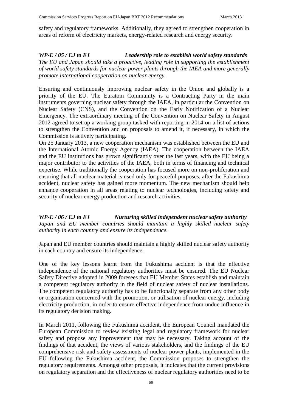safety and regulatory frameworks. Additionally, they agreed to strengthen cooperation in areas of reform of electricity markets, energy-related research and energy security.

\_\_\_\_\_\_\_\_\_\_\_\_\_\_\_\_\_\_\_\_\_\_\_\_\_\_\_\_\_\_\_\_\_\_\_\_\_\_\_\_\_\_\_\_\_\_\_\_\_\_\_\_\_\_\_\_\_\_\_\_\_\_\_\_\_\_\_\_\_\_\_\_\_\_\_\_\_\_\_\_\_\_\_\_\_\_\_\_\_\_\_\_

#### *WP-E / 05 / EJ to EJ Leadership role to establish world safety standards The EU and Japan should take a proactive, leading role in supporting the establishment of world safety standards for nuclear power plants through the IAEA and more generally promote international cooperation on nuclear energy.*

Ensuring and continuously improving nuclear safety in the Union and globally is a priority of the EU. The Euratom Community is a Contracting Party in the main instruments governing nuclear safety through the IAEA, in particular the Convention on Nuclear Safety (CNS), and the Convention on the Early Notification of a Nuclear Emergency. The extraordinary meeting of the Convention on Nuclear Safety in August 2012 agreed to set up a working group tasked with reporting in 2014 on a list of actions to strengthen the Convention and on proposals to amend it, if necessary, in which the Commission is actively participating.

On 25 January 2013, a new cooperation mechanism was established between the EU and the International Atomic Energy Agency (IAEA). The cooperation between the IAEA and the EU institutions has grown significantly over the last years, with the EU being a major contributor to the activities of the IAEA, both in terms of financing and technical expertise. While traditionally the cooperation has focused more on non-proliferation and ensuring that all nuclear material is used only for peaceful purposes, after the Fukushima accident, nuclear safety has gained more momentum. The new mechanism should help enhance cooperation in all areas relating to nuclear technologies, including safety and security of nuclear energy production and research activities.

*WP-E / 06 / EJ to EJ Nurturing skilled independent nuclear safety authority* Japan and EU member countries should maintain a highly skilled nuclear safety *authority in each country and ensure its independence.*

Japan and EU member countries should maintain a highly skilled nuclear safety authority in each country and ensure its independence.

One of the key lessons learnt from the Fukushima accident is that the effective independence of the national regulatory authorities must be ensured. The EU Nuclear Safety Directive adopted in 2009 foresees that EU Member States establish and maintain a competent regulatory authority in the field of nuclear safety of nuclear installations. The competent regulatory authority has to be functionally separate from any other body or organisation concerned with the promotion, or utilisation of nuclear energy, including electricity production, in order to ensure effective independence from undue influence in its regulatory decision making.

In March 2011, following the Fukushima accident, the European Council mandated the European Commission to review existing legal and regulatory framework for nuclear safety and propose any improvement that may be necessary. Taking account of the findings of that accident, the views of various stakeholders, and the findings of the EU comprehensive risk and safety assessments of nuclear power plants, implemented in the EU following the Fukushima accident, the Commission proposes to strengthen the regulatory requirements. Amongst other proposals, it indicates that the current provisions on regulatory separation and the effectiveness of nuclear regulatory authorities need to be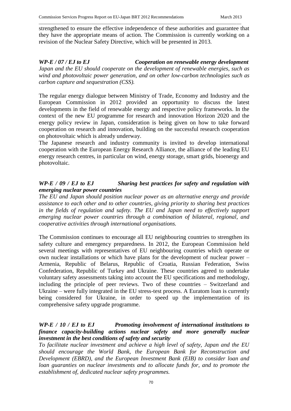strengthened to ensure the effective independence of these authorities and guarantee that they have the appropriate means of action. The Commission is currently working on a revision of the Nuclear Safety Directive, which will be presented in 2013.

\_\_\_\_\_\_\_\_\_\_\_\_\_\_\_\_\_\_\_\_\_\_\_\_\_\_\_\_\_\_\_\_\_\_\_\_\_\_\_\_\_\_\_\_\_\_\_\_\_\_\_\_\_\_\_\_\_\_\_\_\_\_\_\_\_\_\_\_\_\_\_\_\_\_\_\_\_\_\_\_\_\_\_\_\_\_\_\_\_\_\_\_

#### *WP-E / 07 / EJ to EJ Cooperation on renewable energy development Japan and the EU should cooperate on the development of renewable energies, such as wind and photovoltaic power generation, and on other low-carbon technologies such as carbon capture and sequestration (CSS).*

The regular energy dialogue between Ministry of Trade, Economy and Industry and the European Commission in 2012 provided an opportunity to discuss the latest developments in the field of renewable energy and respective policy frameworks. In the context of the new EU programme for research and innovation Horizon 2020 and the energy policy review in Japan, consideration is being given on how to take forward cooperation on research and innovation, building on the successful research cooperation on photovoltaic which is already underway.

The Japanese research and industry community is invited to develop international cooperation with the European Energy Research Alliance, the alliance of the leading EU energy research centres, in particular on wind, energy storage, smart grids, bioenergy and photovoltaic.

### *WP-E / 09 / EJ to EJ Sharing best practices for safety and regulation with emerging nuclear power countries*

*The EU and Japan should position nuclear power as an alternative energy and provide assistance to each other and to other countries, giving priority to sharing best practices in the fields of regulation and safety. The EU and Japan need to effectively support emerging nuclear power countries through a combination of bilateral, regional, and cooperative activities through international organisations.*

The Commission continues to encourage all EU neighbouring countries to strengthen its safety culture and emergency preparedness. In 2012, the European Commission held several meetings with representatives of EU neighbouring countries which operate or own nuclear installations or which have plans for the development of nuclear power – Armenia, Republic of Belarus, Republic of Croatia, Russian Federation, Swiss Confederation, Republic of Turkey and Ukraine. These countries agreed to undertake voluntary safety assessments taking into account the EU specifications and methodology, including the principle of peer reviews. Two of these countries – Switzerland and Ukraine – were fully integrated in the EU stress-test process. A Euratom loan is currently being considered for Ukraine, in order to speed up the implementation of its comprehensive safety upgrade programme.

#### *WP-E / 10 / EJ to EJ Promoting involvement of international institutions to finance capacity-building actions nuclear safety and more generally nuclear investment in the best conditions of safety and security*

*To facilitate nuclear investment and achieve a high level of safety, Japan and the EU should encourage the World Bank, the European Bank for Reconstruction and Development (EBRD), and the European Investment Bank (EIB) to consider loan and loan guaranties on nuclear investments and to allocate funds for, and to promote the establishment of, dedicated nuclear safety programmes.*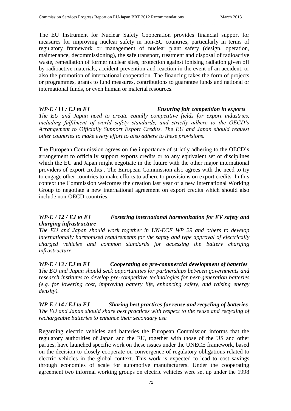The EU Instrument for Nuclear Safety Cooperation provides financial support for measures for improving nuclear safety in non-EU countries, particularly in terms of regulatory framework or management of nuclear plant safety (design, operation, maintenance, decommissioning), the safe transport, treatment and disposal of radioactive waste, remediation of former nuclear sites, protection against ionising radiation given off by radioactive materials, accident prevention and reaction in the event of an accident, or also the promotion of international cooperation. The financing takes the form of projects or programmes, grants to fund measures, contributions to guarantee funds and national or international funds, or even human or material resources.

\_\_\_\_\_\_\_\_\_\_\_\_\_\_\_\_\_\_\_\_\_\_\_\_\_\_\_\_\_\_\_\_\_\_\_\_\_\_\_\_\_\_\_\_\_\_\_\_\_\_\_\_\_\_\_\_\_\_\_\_\_\_\_\_\_\_\_\_\_\_\_\_\_\_\_\_\_\_\_\_\_\_\_\_\_\_\_\_\_\_\_\_

#### *WP-E* / 11 / EJ to EJ Ensuring fair competition in exports

*The EU and Japan need to create equally competitive fields for export industries, including fulfilment of world safety standards, and strictly adhere to the OECD's Arrangement to Officially Support Export Credits. The EU and Japan should request other countries to make every effort to also adhere to these provisions.*

The European Commission agrees on the importance of strictly adhering to the OECD's arrangement to officially support exports credits or to any equivalent set of disciplines which the EU and Japan might negotiate in the future with the other major international providers of export credits . The European Commission also agrees with the need to try to engage other countries to make efforts to adhere to provisions on export credits. In this context the Commission welcomes the creation last year of a new International Working Group to negotiate a new international agreement on export credits which should also include non-OECD countries.

### *WP-E / 12 / EJ to EJ Fostering international harmonization for EV safety and charging infrastructure*

*The EU and Japan should work together in UN-ECE WP 29 and others to develop internationally harmonized requirements for the safety and type approval of electrically charged vehicles and common standards for accessing the battery charging infrastructure.*

#### *WP-E / 13 / EJ to EJ Cooperating on pre-commercial development of batteries The EU and Japan should seek opportunities for partnerships between governments and research institutes to develop pre-competitive technologies for next-generation batteries (e.g. for lowering cost, improving battery life, enhancing safety, and raising energy density).*

*WP-E / 14 / EJ to EJ Sharing best practices for reuse and recycling of batteries The EU and Japan should share best practices with respect to the reuse and recycling of rechargeable batteries to enhance their secondary use.*

Regarding electric vehicles and batteries the European Commission informs that the regulatory authorities of Japan and the EU, together with those of the US and other parties, have launched specific work on these issues under the UNECE framework, based on the decision to closely cooperate on convergence of regulatory obligations related to electric vehicles in the global context. This work is expected to lead to cost savings through economies of scale for automotive manufacturers. Under the cooperating agreement two informal working groups on electric vehicles were set up under the 1998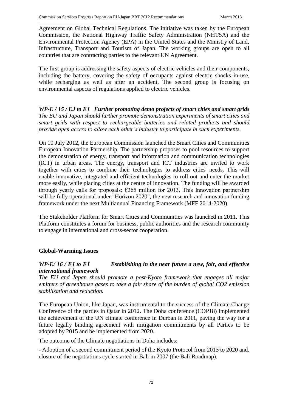Agreement on Global Technical Regulations. The initiative was taken by the European Commission, the National Highway Traffic Safety Administration (NHTSA) and the Environmental Protection Agency (EPA) in the United States and the Ministry of Land, Infrastructure, Transport and Tourism of Japan. The working groups are open to all countries that are contracting parties to the relevant UN Agreement.

\_\_\_\_\_\_\_\_\_\_\_\_\_\_\_\_\_\_\_\_\_\_\_\_\_\_\_\_\_\_\_\_\_\_\_\_\_\_\_\_\_\_\_\_\_\_\_\_\_\_\_\_\_\_\_\_\_\_\_\_\_\_\_\_\_\_\_\_\_\_\_\_\_\_\_\_\_\_\_\_\_\_\_\_\_\_\_\_\_\_\_\_

The first group is addressing the safety aspects of electric vehicles and their components, including the battery, covering the safety of occupants against electric shocks in-use, while recharging as well as after an accident. The second group is focusing on environmental aspects of regulations applied to electric vehicles.

*WP-E / 15 / EJ to EJ Further promoting demo projects of smart cities and smart grids The EU and Japan should further promote demonstration experiments of smart cities and smart grids with respect to rechargeable batteries and related products and should provide open access to allow each other's industry to participate in such experiments.*

On 10 July 2012, the European Commission launched the Smart Cities and Communities European Innovation Partnership. The partnership proposes to pool resources to support the demonstration of energy, transport and information and communication technologies (ICT) in urban areas. The energy, transport and ICT industries are invited to work together with cities to combine their technologies to address cities' needs. This will enable innovative, integrated and efficient technologies to roll out and enter the market more easily, while placing cities at the centre of innovation. The funding will be awarded through yearly calls for proposals:  $\epsilon$ 365 million for 2013. This Innovation partnership will be fully operational under "Horizon 2020", the new research and innovation funding framework under the next Multiannual Financing Framework (MFF 2014-2020).

The Stakeholder Platform for Smart Cities and Communities was launched in 2011. This Platform constitutes a forum for business, public authorities and the research community to engage in international and cross-sector cooperation.

### **Global-Warming Issues**

### *WP-E/* 16 / *EJ* to *EJ* Establishing in the near future a new, fair, and effective *international framework*

*The EU and Japan should promote a post-Kyoto framework that engages all major emitters of greenhouse gases to take a fair share of the burden of global CO2 emission stabilization and reduction.*

The European Union, like Japan, was instrumental to the success of the Climate Change Conference of the parties in Qatar in 2012. The Doha conference (COP18) implemented the achievement of the UN climate conference in Durban in 2011, paving the way for a future legally binding agreement with mitigation commitments by all Parties to be adopted by 2015 and be implemented from 2020.

The outcome of the Climate negotiations in Doha includes:

- Adoption of a second commitment period of the Kyoto Protocol from 2013 to 2020 and. closure of the negotiations cycle started in Bali in 2007 (the Bali Roadmap).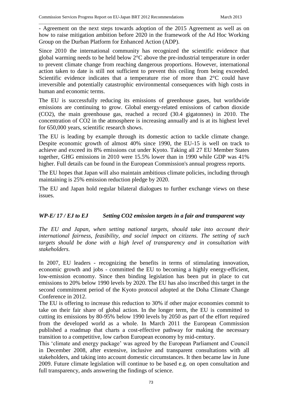- Agreement on the next steps towards adoption of the 2015 Agreement as well as on how to raise mitigation ambition before 2020 in the framework of the Ad Hoc Working Group on the Durban Platform for Enhanced Action (ADP).

\_\_\_\_\_\_\_\_\_\_\_\_\_\_\_\_\_\_\_\_\_\_\_\_\_\_\_\_\_\_\_\_\_\_\_\_\_\_\_\_\_\_\_\_\_\_\_\_\_\_\_\_\_\_\_\_\_\_\_\_\_\_\_\_\_\_\_\_\_\_\_\_\_\_\_\_\_\_\_\_\_\_\_\_\_\_\_\_\_\_\_\_

Since 2010 the international community has recognized the scientific evidence that global warming needs to be held below 2°C above the pre-industrial temperature in order to prevent climate change from reaching dangerous proportions. However, international action taken to date is still not sufficient to prevent this ceiling from being exceeded. Scientific evidence indicates that a temperature rise of more than 2°C could have irreversible and potentially catastrophic environmental consequences with high costs in human and economic terms.

The EU is successfully reducing its emissions of greenhouse gases, but worldwide emissions are continuing to grow. Global energy-related emissions of carbon dioxide (CO2), the main greenhouse gas, reached a record (30.4 gigatonnes) in 2010. The concentration of CO2 in the atmosphere is increasing annually and is at its highest level for 650,000 years, scientific research shows.

The EU is leading by example through its domestic action to tackle climate change. Despite economic growth of almost 40% since 1990, the EU-15 is well on track to achieve and exceed its 8% emissions cut under Kyoto. Taking all 27 EU Member States together, GHG emissions in 2010 were 15.5% lower than in 1990 while GDP was 41% higher. Full details can be found in the European Commission's annual progress reports.

The EU hopes that Japan will also maintain ambitious climate policies, including through maintaining is 25% emission reduction pledge by 2020.

The EU and Japan hold regular bilateral dialogues to further exchange views on these issues.

## *WP-E/ 17 / EJ to EJ Setting CO2 emission targets in a fair and transparent way*

*The EU and Japan, when setting national targets, should take into account their international fairness, feasibility, and social impact on citizens. The setting of such targets should be done with a high level of transparency and in consultation with stakeholders.*

In 2007, EU leaders - recognizing the benefits in terms of stimulating innovation, economic growth and jobs - committed the EU to becoming a highly energy-efficient, low-emission economy. Since then binding legislation has been put in place to cut emissions to 20% below 1990 levels by 2020. The EU has also inscribed this target in the second commitment period of the Kyoto protocol adopted at the Doha Climate Change Conference in 2012.

The EU is offering to increase this reduction to 30% if other major economies commit to take on their fair share of global action. In the longer term, the EU is committed to cutting its emissions by 80-95% below 1990 levels by 2050 as part of the effort required from the developed world as a whole. In March 2011 the European Commission published a roadmap that charts a cost-effective pathway for making the necessary transition to a competitive, low carbon European economy by mid-century.

This 'climate and energy package' was agreed by the European Parliament and Council in December 2008, after extensive, inclusive and transparent consultations with all stakeholders, and taking into account domestic circumstances. It then became law in June 2009. Future climate legislation will continue to be based e.g. on open consultation and full transparency, ands answering the findings of science.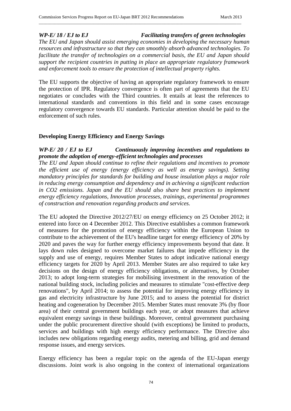# *WP-E/ 18 / EJ to EJ Facilitating transfers of green technologies*

*The EU and Japan should assist emerging economies in developing the necessary human resources and infrastructure so that they can smoothly absorb advanced technologies. To facilitate the transfer of technologies on a commercial basis, the EU and Japan should support the recipient countries in putting in place an appropriate regulatory framework and enforcement tools to ensure the protection of intellectual property rights.*

\_\_\_\_\_\_\_\_\_\_\_\_\_\_\_\_\_\_\_\_\_\_\_\_\_\_\_\_\_\_\_\_\_\_\_\_\_\_\_\_\_\_\_\_\_\_\_\_\_\_\_\_\_\_\_\_\_\_\_\_\_\_\_\_\_\_\_\_\_\_\_\_\_\_\_\_\_\_\_\_\_\_\_\_\_\_\_\_\_\_\_\_

The EU supports the objective of having an appropriate regulatory framework to ensure the protection of IPR. Regulatory convergence is often part of agreements that the EU negotiates or concludes with the Third countries. It entails at least the references to international standards and conventions in this field and in some cases encourage regulatory convergence towards EU standards. Particular attention should be paid to the enforcement of such rules.

### **Developing Energy Efficiency and Energy Savings**

*WP-E/ 20 / EJ to EJ Continuously improving incentives and regulations to promote the adoption of energy-efficient technologies and processes*

*The EU and Japan should continue to refine their regulations and incentives to promote the efficient use of energy (energy efficiency as well as energy savings). Setting mandatory principles for standards for building and house insulation plays a major role in reducing energy consumption and dependency and in achieving a significant reduction in CO2 emissions. Japan and the EU should also share best practices to implement energy efficiency regulations, Innovation processes, trainings, experimental programmes of construction and renovation regarding products and services.*

The EU adopted the Directive 2012/27/EU on energy efficiency on 25 October 2012; it entered into force on 4 December 2012. This Directive establishes a common framework of measures for the promotion of energy efficiency within the European Union to contribute to the achievement of the EU's headline target for energy efficiency of 20% by 2020 and paves the way for further energy efficiency improvements beyond that date. It lays down rules designed to overcome market failures that impede efficiency in the supply and use of energy, requires Member States to adopt indicative national energy efficiency targets for 2020 by April 2013. Member States are also required to take key decisions on the design of energy efficiency obligations, or alternatives, by October 2013; to adopt long-term strategies for mobilising investment in the renovation of the national building stock, including policies and measures to stimulate "cost-effective deep renovations", by April 2014; to assess the potential for improving energy efficiency in gas and electricity infrastructure by June 2015; and to assess the potential for district heating and cogeneration by December 2015. Member States must renovate 3% (by floor area) of their central government buildings each year, or adopt measures that achieve equivalent energy savings in these buildings. Moreover, central government purchasing under the public procurement directive should (with exceptions) be limited to products, services and buildings with high energy efficiency performance. The Directive also includes new obligations regarding energy audits, metering and billing, grid and demand response issues, and energy services.

Energy efficiency has been a regular topic on the agenda of the EU-Japan energy discussions. Joint work is also ongoing in the context of international organizations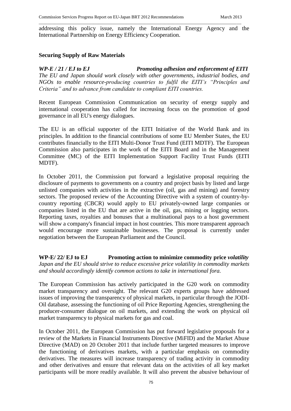addressing this policy issue, namely the International Energy Agency and the International Partnership on Energy Efficiency Cooperation.

\_\_\_\_\_\_\_\_\_\_\_\_\_\_\_\_\_\_\_\_\_\_\_\_\_\_\_\_\_\_\_\_\_\_\_\_\_\_\_\_\_\_\_\_\_\_\_\_\_\_\_\_\_\_\_\_\_\_\_\_\_\_\_\_\_\_\_\_\_\_\_\_\_\_\_\_\_\_\_\_\_\_\_\_\_\_\_\_\_\_\_\_

### **Securing Supply of Raw Materials**

*WP-E / 21 / EJ to EJ Promoting adhesion and enforcement of EITI The EU and Japan should work closely with other governments, industrial bodies, and NGOs to enable resource-producing countries to fulfil the EITI's "Principles and Criteria" and to advance from candidate to compliant EITI countries.*

Recent European Commission Communication on security of energy supply and international cooperation has called for increasing focus on the promotion of good governance in all EU's energy dialogues.

The EU is an official supporter of the EITI Initiative of the World Bank and its principles. In addition to the financial contributions of some EU Member States, the EU contributes financially to the EITI Multi-Donor Trust Fund (EITI MDTF). The European Commission also participates in the work of the EITI Board and in the Management Committee (MC) of the EITI Implementation Support Facility Trust Funds (EITI MDTF).

In October 2011, the Commission put forward a legislative proposal requiring the disclosure of payments to governments on a country and project basis by listed and large unlisted companies with activities in the extractive (oil, gas and mining) and forestry sectors. The proposed review of the Accounting Directive with a system of country-bycountry reporting (CBCR) would apply to EU privately-owned large companies or companies listed in the EU that are active in the oil, gas, mining or logging sectors. Reporting taxes, royalties and bonuses that a multinational pays to a host government will show a company's financial impact in host countries. This more transparent approach would encourage more sustainable businesses. The proposal is currently under negotiation between the European Parliament and the Council.

**WP-E/ 22/ EJ to EJ Promoting action to minimize commodity price** *volatility Japan and the EU should strive to reduce excessive price volatility in commodity markets and should accordingly identify common actions to take in international fora.*

The European Commission has actively participated in the G20 work on commodity market transparency and oversight. The relevant G20 experts groups have addressed issues of improving the transparency of physical markets, in particular through the JODI-Oil database, assessing the functioning of oil Price Reporting Agencies, strengthening the producer-consumer dialogue on oil markets, and extending the work on physical oil market transparency to physical markets for gas and coal.

In October 2011, the European Commission has put forward legislative proposals for a review of the Markets in Financial Instruments Directive (MiFID) and the Market Abuse Directive (MAD) on 20 October 2011 that include further targeted measures to improve the functioning of derivatives markets, with a particular emphasis on commodity derivatives. The measures will increase transparency of trading activity in commodity and other derivatives and ensure that relevant data on the activities of all key market participants will be more readily available. It will also prevent the abusive behaviour of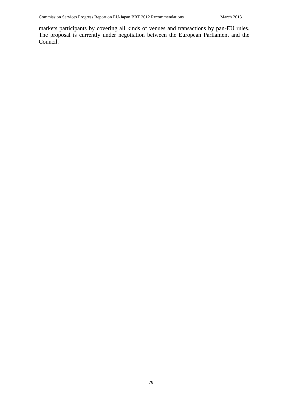\_\_\_\_\_\_\_\_\_\_\_\_\_\_\_\_\_\_\_\_\_\_\_\_\_\_\_\_\_\_\_\_\_\_\_\_\_\_\_\_\_\_\_\_\_\_\_\_\_\_\_\_\_\_\_\_\_\_\_\_\_\_\_\_\_\_\_\_\_\_\_\_\_\_\_\_\_\_\_\_\_\_\_\_\_\_\_\_\_\_\_\_ markets participants by covering all kinds of venues and transactions by pan-EU rules. The proposal is currently under negotiation between the European Parliament and the Council.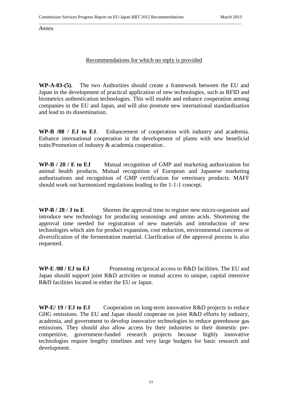*Annex*

#### Recommendations for which no reply is provided

\_\_\_\_\_\_\_\_\_\_\_\_\_\_\_\_\_\_\_\_\_\_\_\_\_\_\_\_\_\_\_\_\_\_\_\_\_\_\_\_\_\_\_\_\_\_\_\_\_\_\_\_\_\_\_\_\_\_\_\_\_\_\_\_\_\_\_\_\_\_\_\_\_\_\_\_\_\_\_\_\_\_\_\_\_\_\_\_\_\_\_\_

**WP-A-03-(5).** The two Authorities should create a framework between the EU and Japan in the development of practical application of new technologies, such as RFID and biometrics authentication technologies. This will enable and enhance cooperation among companies in the EU and Japan, and will also promote new international standardisation and lead to its dissemination.

**WP-B /08 / EJ to EJ**. Enhancement of cooperation with industry and academia. Enhance international cooperation in the development of plants with new beneficial traits/Promotion of industry & academia cooperation .

**WP-B / 20 / E to EJ** Mutual recognition of GMP and marketing authorization for animal health products. Mutual recognition of European and Japanese marketing authorizations and recognition of GMP certification for veterinary products. MAFF should work out harmonized regulations leading to the 1-1-1 concept.

**WP-B / 28 / J to E** Shorten the approval time to register new micro-organism and introduce new technology for producing seasonings and amino acids. Shortening the approval time needed for registration of new materials and introduction of new technologies which aim for product expansion, cost reduction, environmental concerns or diversification of the fermentation material. Clarification of the approval process is also requested.

**WP-E /08 / EJ to EJ** Promoting reciprocal access to R&D facilities. The EU and Japan should support joint R&D activities or mutual access to unique, capital intensive R&D facilities located in either the EU or Japan.

**WP-E/ 19 / EJ to EJ** Cooperation on long-term innovative R&D projects to reduce GHG emissions. The EU and Japan should cooperate on joint R&D efforts by industry, academia, and government to develop innovative technologies to reduce greenhouse gas emissions. They should also allow access by their industries to their domestic precompetitive, government-funded research projects because highly innovative technologies require lengthy timelines and very large budgets for basic research and development.